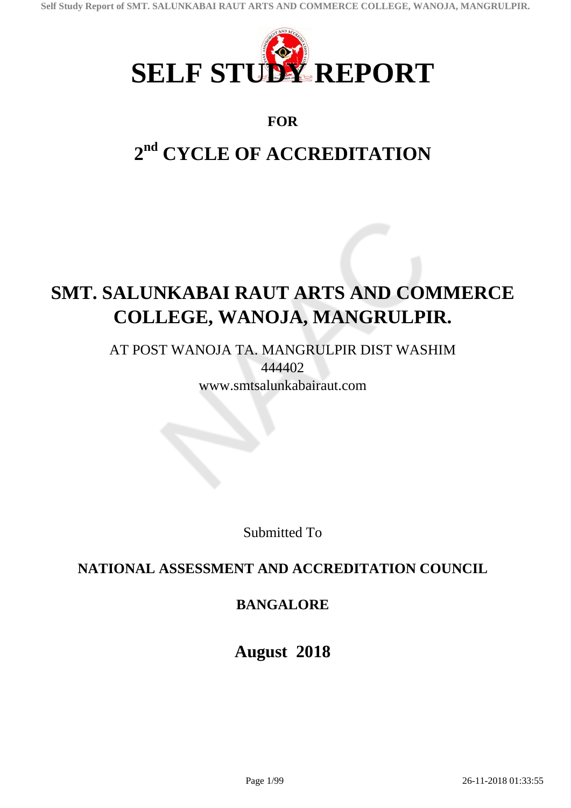

### **FOR**

# **2 nd CYCLE OF ACCREDITATION**

## **SMT. SALUNKABAI RAUT ARTS AND COMMERCE COLLEGE, WANOJA, MANGRULPIR.**

AT POST WANOJA TA. MANGRULPIR DIST WASHIM 444402 www.smtsalunkabairaut.com

Submitted To

### **NATIONAL ASSESSMENT AND ACCREDITATION COUNCIL**

### **BANGALORE**

**August 2018**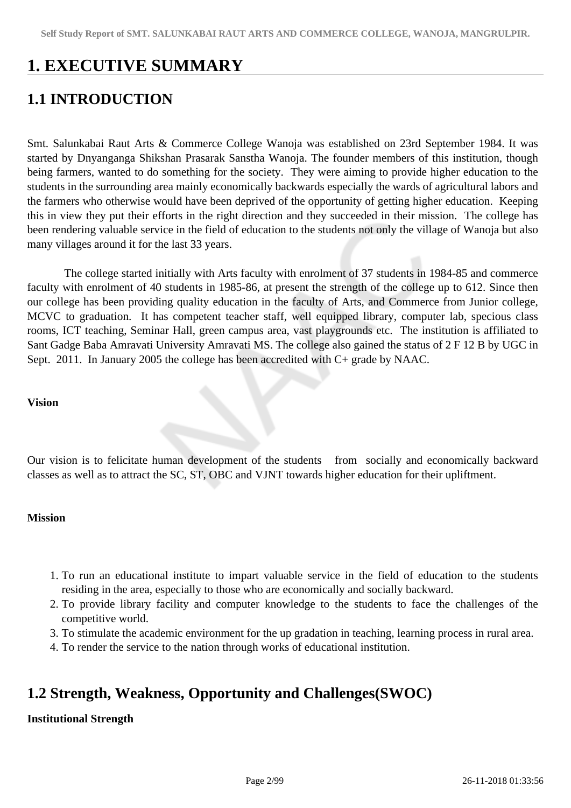## **1. EXECUTIVE SUMMARY**

### **1.1 INTRODUCTION**

Smt. Salunkabai Raut Arts & Commerce College Wanoja was established on 23rd September 1984. It was started by Dnyanganga Shikshan Prasarak Sanstha Wanoja. The founder members of this institution, though being farmers, wanted to do something for the society. They were aiming to provide higher education to the students in the surrounding area mainly economically backwards especially the wards of agricultural labors and the farmers who otherwise would have been deprived of the opportunity of getting higher education. Keeping this in view they put their efforts in the right direction and they succeeded in their mission. The college has been rendering valuable service in the field of education to the students not only the village of Wanoja but also many villages around it for the last 33 years.

 The college started initially with Arts faculty with enrolment of 37 students in 1984-85 and commerce faculty with enrolment of 40 students in 1985-86, at present the strength of the college up to 612. Since then our college has been providing quality education in the faculty of Arts, and Commerce from Junior college, MCVC to graduation. It has competent teacher staff, well equipped library, computer lab, specious class rooms, ICT teaching, Seminar Hall, green campus area, vast playgrounds etc. The institution is affiliated to Sant Gadge Baba Amravati University Amravati MS. The college also gained the status of 2 F 12 B by UGC in Sept. 2011. In January 2005 the college has been accredited with C+ grade by NAAC.

#### **Vision**

Our vision is to felicitate human development of the students from socially and economically backward classes as well as to attract the SC, ST, OBC and VJNT towards higher education for their upliftment.

### **Mission**

- 1. To run an educational institute to impart valuable service in the field of education to the students residing in the area, especially to those who are economically and socially backward.
- 2. To provide library facility and computer knowledge to the students to face the challenges of the competitive world.
- 3. To stimulate the academic environment for the up gradation in teaching, learning process in rural area.
- 4. To render the service to the nation through works of educational institution.

### **1.2 Strength, Weakness, Opportunity and Challenges(SWOC)**

### **Institutional Strength**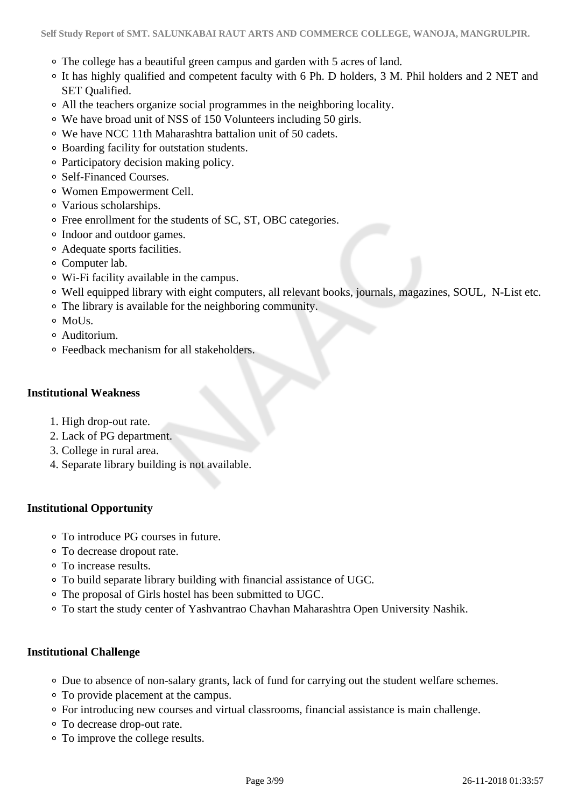- The college has a beautiful green campus and garden with 5 acres of land.
- It has highly qualified and competent faculty with 6 Ph. D holders, 3 M. Phil holders and 2 NET and SET Qualified.
- All the teachers organize social programmes in the neighboring locality.
- We have broad unit of NSS of 150 Volunteers including 50 girls.
- We have NCC 11th Maharashtra battalion unit of 50 cadets.
- Boarding facility for outstation students.
- Participatory decision making policy.
- Self-Financed Courses.
- Women Empowerment Cell.
- Various scholarships.
- Free enrollment for the students of SC, ST, OBC categories.
- Indoor and outdoor games.
- Adequate sports facilities.
- Computer lab.
- Wi-Fi facility available in the campus.
- Well equipped library with eight computers, all relevant books, journals, magazines, SOUL, N-List etc.
- The library is available for the neighboring community.
- MoUs.
- Auditorium.
- Feedback mechanism for all stakeholders.

### **Institutional Weakness**

- 1. High drop-out rate.
- 2. Lack of PG department.
- 3. College in rural area.
- 4. Separate library building is not available.

### **Institutional Opportunity**

- To introduce PG courses in future.
- To decrease dropout rate.
- To increase results.
- To build separate library building with financial assistance of UGC.
- The proposal of Girls hostel has been submitted to UGC.
- To start the study center of Yashvantrao Chavhan Maharashtra Open University Nashik.

### **Institutional Challenge**

- Due to absence of non-salary grants, lack of fund for carrying out the student welfare schemes.
- To provide placement at the campus.
- For introducing new courses and virtual classrooms, financial assistance is main challenge.
- To decrease drop-out rate.
- To improve the college results.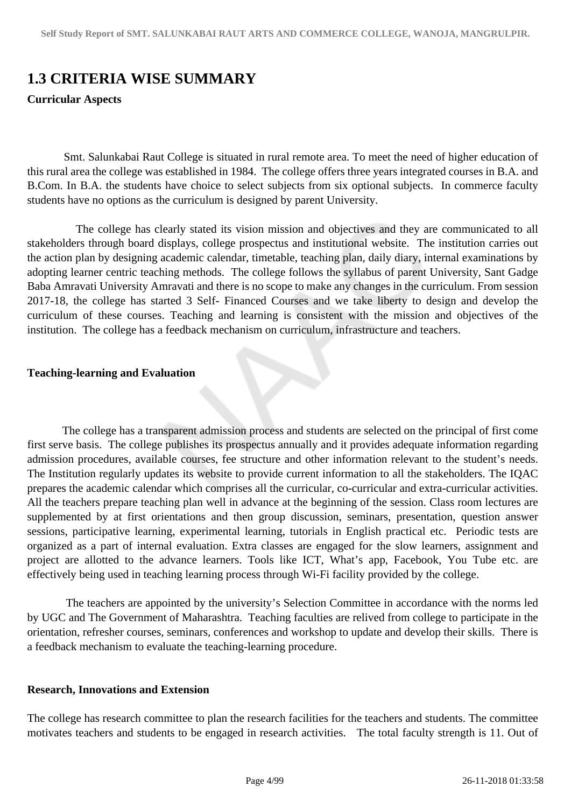### **1.3 CRITERIA WISE SUMMARY**

### **Curricular Aspects**

 Smt. Salunkabai Raut College is situated in rural remote area. To meet the need of higher education of this rural area the college was established in 1984. The college offers three years integrated courses in B.A. and B.Com. In B.A. the students have choice to select subjects from six optional subjects. In commerce faculty students have no options as the curriculum is designed by parent University.

 The college has clearly stated its vision mission and objectives and they are communicated to all stakeholders through board displays, college prospectus and institutional website. The institution carries out the action plan by designing academic calendar, timetable, teaching plan, daily diary, internal examinations by adopting learner centric teaching methods. The college follows the syllabus of parent University, Sant Gadge Baba Amravati University Amravati and there is no scope to make any changes in the curriculum. From session 2017-18, the college has started 3 Self- Financed Courses and we take liberty to design and develop the curriculum of these courses. Teaching and learning is consistent with the mission and objectives of the institution. The college has a feedback mechanism on curriculum, infrastructure and teachers.

### **Teaching-learning and Evaluation**

 The college has a transparent admission process and students are selected on the principal of first come first serve basis. The college publishes its prospectus annually and it provides adequate information regarding admission procedures, available courses, fee structure and other information relevant to the student's needs. The Institution regularly updates its website to provide current information to all the stakeholders. The IQAC prepares the academic calendar which comprises all the curricular, co-curricular and extra-curricular activities. All the teachers prepare teaching plan well in advance at the beginning of the session. Class room lectures are supplemented by at first orientations and then group discussion, seminars, presentation, question answer sessions, participative learning, experimental learning, tutorials in English practical etc. Periodic tests are organized as a part of internal evaluation. Extra classes are engaged for the slow learners, assignment and project are allotted to the advance learners. Tools like ICT, What's app, Facebook, You Tube etc. are effectively being used in teaching learning process through Wi-Fi facility provided by the college.

 The teachers are appointed by the university's Selection Committee in accordance with the norms led by UGC and The Government of Maharashtra. Teaching faculties are relived from college to participate in the orientation, refresher courses, seminars, conferences and workshop to update and develop their skills. There is a feedback mechanism to evaluate the teaching-learning procedure.

### **Research, Innovations and Extension**

The college has research committee to plan the research facilities for the teachers and students. The committee motivates teachers and students to be engaged in research activities. The total faculty strength is 11. Out of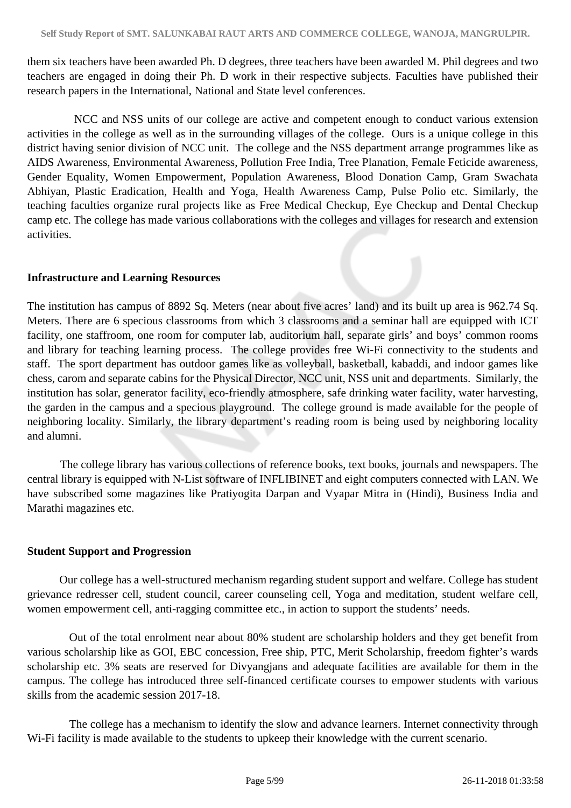them six teachers have been awarded Ph. D degrees, three teachers have been awarded M. Phil degrees and two teachers are engaged in doing their Ph. D work in their respective subjects. Faculties have published their research papers in the International, National and State level conferences.

 NCC and NSS units of our college are active and competent enough to conduct various extension activities in the college as well as in the surrounding villages of the college. Ours is a unique college in this district having senior division of NCC unit. The college and the NSS department arrange programmes like as AIDS Awareness, Environmental Awareness, Pollution Free India, Tree Planation, Female Feticide awareness, Gender Equality, Women Empowerment, Population Awareness, Blood Donation Camp, Gram Swachata Abhiyan, Plastic Eradication, Health and Yoga, Health Awareness Camp, Pulse Polio etc. Similarly, the teaching faculties organize rural projects like as Free Medical Checkup, Eye Checkup and Dental Checkup camp etc. The college has made various collaborations with the colleges and villages for research and extension activities.

### **Infrastructure and Learning Resources**

The institution has campus of 8892 Sq. Meters (near about five acres' land) and its built up area is 962.74 Sq. Meters. There are 6 specious classrooms from which 3 classrooms and a seminar hall are equipped with ICT facility, one staffroom, one room for computer lab, auditorium hall, separate girls' and boys' common rooms and library for teaching learning process. The college provides free Wi-Fi connectivity to the students and staff. The sport department has outdoor games like as volleyball, basketball, kabaddi, and indoor games like chess, carom and separate cabins for the Physical Director, NCC unit, NSS unit and departments. Similarly, the institution has solar, generator facility, eco-friendly atmosphere, safe drinking water facility, water harvesting, the garden in the campus and a specious playground. The college ground is made available for the people of neighboring locality. Similarly, the library department's reading room is being used by neighboring locality and alumni.

 The college library has various collections of reference books, text books, journals and newspapers. The central library is equipped with N-List software of INFLIBINET and eight computers connected with LAN. We have subscribed some magazines like Pratiyogita Darpan and Vyapar Mitra in (Hindi), Business India and Marathi magazines etc.

### **Student Support and Progression**

 Our college has a well-structured mechanism regarding student support and welfare. College has student grievance redresser cell, student council, career counseling cell, Yoga and meditation, student welfare cell, women empowerment cell, anti-ragging committee etc., in action to support the students' needs.

 Out of the total enrolment near about 80% student are scholarship holders and they get benefit from various scholarship like as GOI, EBC concession, Free ship, PTC, Merit Scholarship, freedom fighter's wards scholarship etc. 3% seats are reserved for Divyangjans and adequate facilities are available for them in the campus. The college has introduced three self-financed certificate courses to empower students with various skills from the academic session 2017-18.

 The college has a mechanism to identify the slow and advance learners. Internet connectivity through Wi-Fi facility is made available to the students to upkeep their knowledge with the current scenario.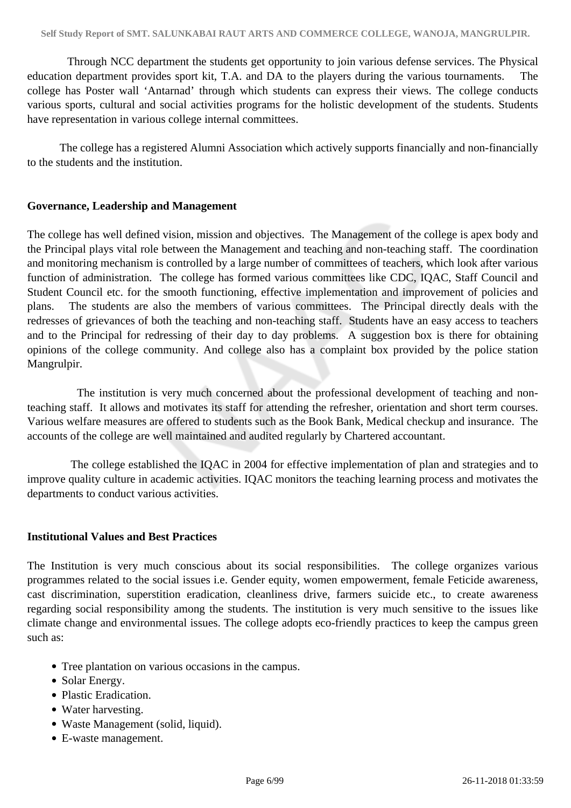Through NCC department the students get opportunity to join various defense services. The Physical education department provides sport kit, T.A. and DA to the players during the various tournaments. The college has Poster wall 'Antarnad' through which students can express their views. The college conducts various sports, cultural and social activities programs for the holistic development of the students. Students have representation in various college internal committees.

 The college has a registered Alumni Association which actively supports financially and non-financially to the students and the institution.

### **Governance, Leadership and Management**

The college has well defined vision, mission and objectives. The Management of the college is apex body and the Principal plays vital role between the Management and teaching and non-teaching staff. The coordination and monitoring mechanism is controlled by a large number of committees of teachers, which look after various function of administration. The college has formed various committees like CDC, IQAC, Staff Council and Student Council etc. for the smooth functioning, effective implementation and improvement of policies and plans. The students are also the members of various committees. The Principal directly deals with the redresses of grievances of both the teaching and non-teaching staff. Students have an easy access to teachers and to the Principal for redressing of their day to day problems. A suggestion box is there for obtaining opinions of the college community. And college also has a complaint box provided by the police station Mangrulpir.

 The institution is very much concerned about the professional development of teaching and nonteaching staff. It allows and motivates its staff for attending the refresher, orientation and short term courses. Various welfare measures are offered to students such as the Book Bank, Medical checkup and insurance. The accounts of the college are well maintained and audited regularly by Chartered accountant.

 The college established the IQAC in 2004 for effective implementation of plan and strategies and to improve quality culture in academic activities. IQAC monitors the teaching learning process and motivates the departments to conduct various activities.

### **Institutional Values and Best Practices**

The Institution is very much conscious about its social responsibilities. The college organizes various programmes related to the social issues i.e. Gender equity, women empowerment, female Feticide awareness, cast discrimination, superstition eradication, cleanliness drive, farmers suicide etc., to create awareness regarding social responsibility among the students. The institution is very much sensitive to the issues like climate change and environmental issues. The college adopts eco-friendly practices to keep the campus green such as:

- Tree plantation on various occasions in the campus.
- Solar Energy.
- Plastic Eradication.
- Water harvesting.
- Waste Management (solid, liquid).
- E-waste management.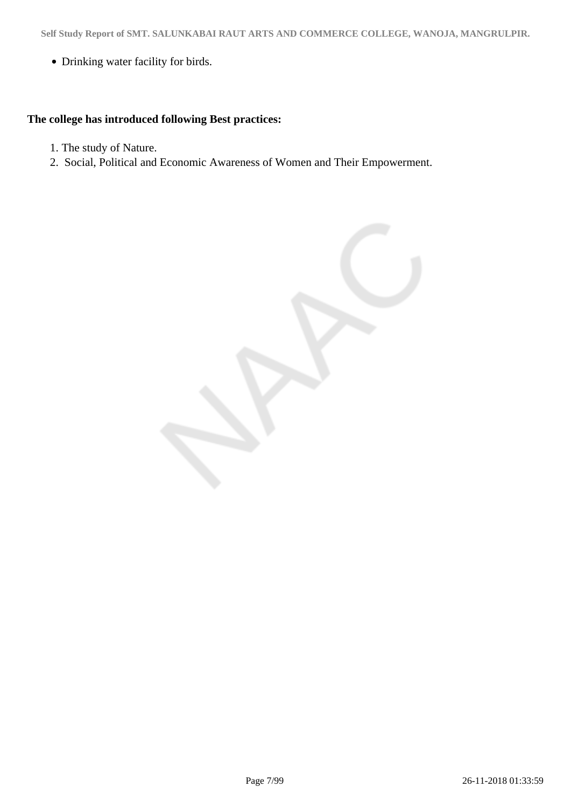Drinking water facility for birds.

### **The college has introduced following Best practices:**

- 1. The study of Nature.
- 2. Social, Political and Economic Awareness of Women and Their Empowerment.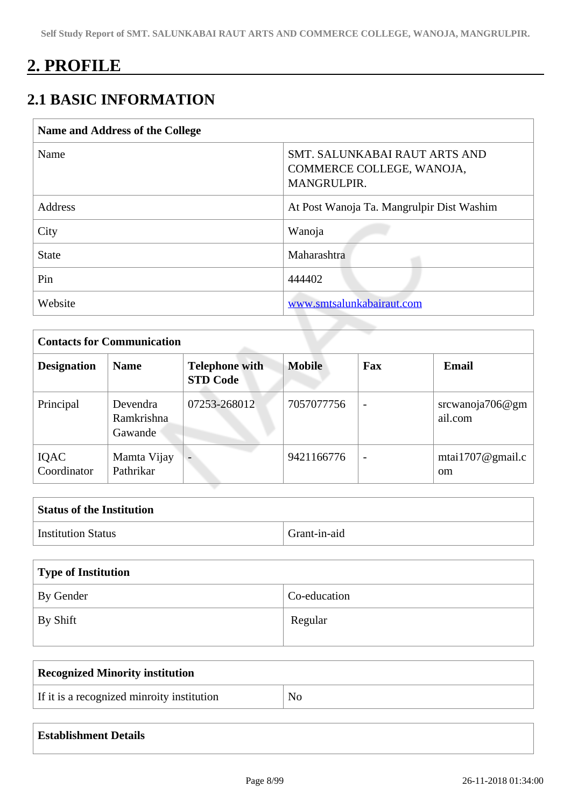## **2. PROFILE**

### **2.1 BASIC INFORMATION**

| Name and Address of the College |                                                                                  |  |
|---------------------------------|----------------------------------------------------------------------------------|--|
| Name                            | SMT. SALUNKABAI RAUT ARTS AND<br>COMMERCE COLLEGE, WANOJA,<br><b>MANGRULPIR.</b> |  |
| <b>Address</b>                  | At Post Wanoja Ta. Mangrulpir Dist Washim                                        |  |
| City                            | Wanoja                                                                           |  |
| <b>State</b>                    | Maharashtra                                                                      |  |
| Pin                             | 444402                                                                           |  |
| Website                         | www.smtsalunkabairaut.com                                                        |  |

|                            | <b>Contacts for Communication</b> |                                          |               |                          |                                       |  |
|----------------------------|-----------------------------------|------------------------------------------|---------------|--------------------------|---------------------------------------|--|
| <b>Designation</b>         | <b>Name</b>                       | <b>Telephone with</b><br><b>STD Code</b> | <b>Mobile</b> | Fax                      | <b>Email</b>                          |  |
| Principal                  | Devendra<br>Ramkrishna<br>Gawande | 07253-268012                             | 7057077756    | $\overline{\phantom{a}}$ | srcwanoja706 $@gm$<br>ail.com         |  |
| <b>IQAC</b><br>Coordinator | Mamta Vijay<br>Pathrikar          | $\overline{\phantom{0}}$                 | 9421166776    | $\overline{\phantom{0}}$ | mtai $1707$ @gmail.c<br><sub>om</sub> |  |

| <b>Status of the Institution</b> |              |  |
|----------------------------------|--------------|--|
| <b>Institution Status</b>        | Grant-in-aid |  |

| Type of Institution   |              |  |
|-----------------------|--------------|--|
| By Gender             | Co-education |  |
| $\mathsf{I}$ By Shift | Regular      |  |

| <b>Recognized Minority institution</b>     |    |
|--------------------------------------------|----|
| If it is a recognized minroity institution | No |

| <b>Establishment Details</b> |  |  |  |
|------------------------------|--|--|--|
|------------------------------|--|--|--|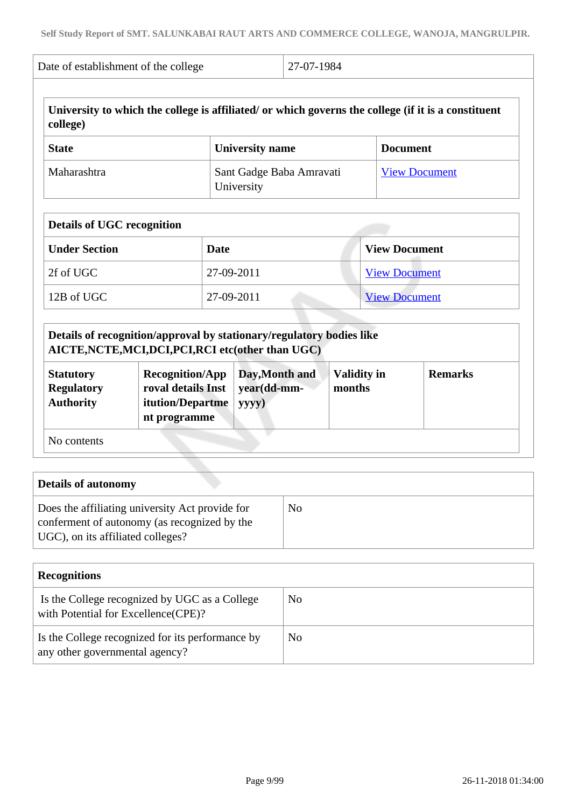| Date of establishment of the college | 27-07-1984                                                                                          |                      |
|--------------------------------------|-----------------------------------------------------------------------------------------------------|----------------------|
| college)                             | University to which the college is affiliated/ or which governs the college (if it is a constituent |                      |
| <b>State</b>                         | University name                                                                                     | <b>Document</b>      |
| Maharashtra                          | Sant Gadge Baba Amravati<br>University                                                              | <b>View Document</b> |

| <b>Details of UGC recognition</b> |            |                      |  |
|-----------------------------------|------------|----------------------|--|
| <b>Under Section</b>              | Date       | <b>View Document</b> |  |
| 2f of UGC                         | 27-09-2011 | <b>View Document</b> |  |
| 12B of UGC                        | 27-09-2011 | <b>View Document</b> |  |

| Details of recognition/approval by stationary/regulatory bodies like<br>AICTE, NCTE, MCI, DCI, PCI, RCI etc(other than UGC) |                                                                                  |                                        |                              |                |  |
|-----------------------------------------------------------------------------------------------------------------------------|----------------------------------------------------------------------------------|----------------------------------------|------------------------------|----------------|--|
| <b>Statutory</b><br><b>Regulatory</b><br><b>Authority</b>                                                                   | <b>Recognition/App</b><br>roval details Inst<br>itution/Departme<br>nt programme | Day, Month and<br>year(dd-mm-<br>yyyy) | <b>Validity in</b><br>months | <b>Remarks</b> |  |
| No contents                                                                                                                 |                                                                                  |                                        |                              |                |  |

| <b>Details of autonomy</b>                                                                                                           |    |
|--------------------------------------------------------------------------------------------------------------------------------------|----|
| Does the affiliating university Act provide for<br>conferment of autonomy (as recognized by the<br>UGC), on its affiliated colleges? | No |

| <b>Recognitions</b>                                                                  |    |
|--------------------------------------------------------------------------------------|----|
| Is the College recognized by UGC as a College<br>with Potential for Excellence(CPE)? | No |
| Is the College recognized for its performance by<br>any other governmental agency?   | No |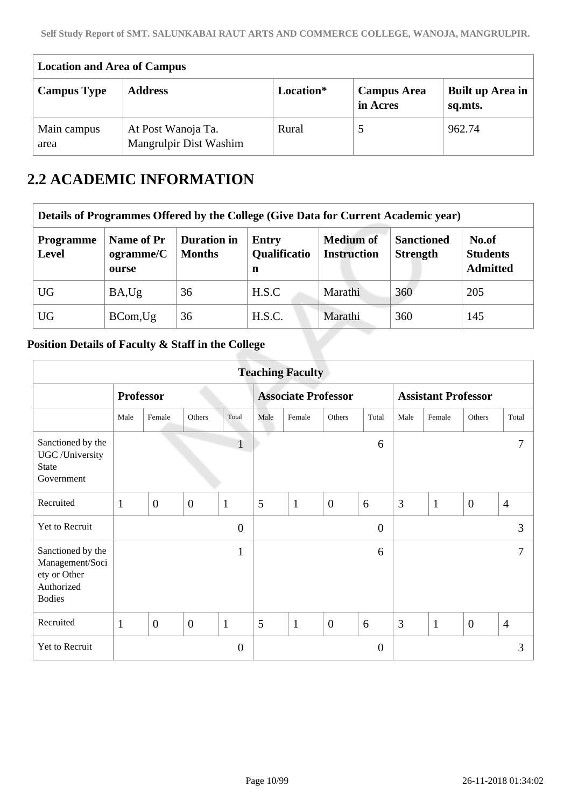| <b>Location and Area of Campus</b> |                                              |           |                                |                             |  |
|------------------------------------|----------------------------------------------|-----------|--------------------------------|-----------------------------|--|
| <b>Campus Type</b>                 | <b>Address</b>                               | Location* | <b>Campus Area</b><br>in Acres | Built up Area in<br>sq.mts. |  |
| Main campus<br>area                | At Post Wanoja Ta.<br>Mangrulpir Dist Washim | Rural     |                                | 962.74                      |  |

### **2.2 ACADEMIC INFORMATION**

| Details of Programmes Offered by the College (Give Data for Current Academic year) |                                  |                                     |                                          |                                        |                                      |                                             |  |  |  |
|------------------------------------------------------------------------------------|----------------------------------|-------------------------------------|------------------------------------------|----------------------------------------|--------------------------------------|---------------------------------------------|--|--|--|
| <b>Programme</b><br><b>Level</b>                                                   | Name of Pr<br>ogramme/C<br>ourse | <b>Duration</b> in<br><b>Months</b> | <b>Entry</b><br><b>Qualificatio</b><br>n | <b>Medium of</b><br><b>Instruction</b> | <b>Sanctioned</b><br><b>Strength</b> | No.of<br><b>Students</b><br><b>Admitted</b> |  |  |  |
| <b>UG</b>                                                                          | BA,Ug                            | 36                                  | H.S.C                                    | Marathi                                | 360                                  | 205                                         |  |  |  |
| <b>UG</b>                                                                          | BCom, Ug                         | 36                                  | H.S.C.                                   | Marathi                                | 360                                  | 145                                         |  |  |  |

### **Position Details of Faculty & Staff in the College**

|                                                                                     |                  |                |                |                |      | <b>Teaching Faculty</b> |                            |                |      |                            |                |                |
|-------------------------------------------------------------------------------------|------------------|----------------|----------------|----------------|------|-------------------------|----------------------------|----------------|------|----------------------------|----------------|----------------|
|                                                                                     | <b>Professor</b> |                |                |                |      |                         | <b>Associate Professor</b> |                |      | <b>Assistant Professor</b> |                |                |
|                                                                                     | Male             | Female         | Others         | Total          | Male | Female                  | Others                     | Total          | Male | Female                     | Others         | Total          |
| Sanctioned by the<br>UGC /University<br><b>State</b><br>Government                  |                  |                |                | $\mathbf{1}$   | ٠    |                         |                            | 6              |      |                            |                | 7              |
| Recruited                                                                           | $\mathbf{1}$     | $\mathbf{0}$   | $\theta$       | $\mathbf{1}$   | 5    | $\mathbf{1}$            | $\overline{0}$             | 6              | 3    | $\mathbf{1}$               | $\overline{0}$ | $\overline{4}$ |
| Yet to Recruit                                                                      |                  |                |                | $\overline{0}$ |      |                         |                            | $\overline{0}$ |      |                            |                | 3              |
| Sanctioned by the<br>Management/Soci<br>ety or Other<br>Authorized<br><b>Bodies</b> |                  |                |                | 1              |      |                         |                            | 6              |      |                            |                | $\tau$         |
| Recruited                                                                           | $\mathbf{1}$     | $\overline{0}$ | $\overline{0}$ | $\mathbf{1}$   | 5    | $\mathbf{1}$            | $\overline{0}$             | 6              | 3    | $\mathbf{1}$               | $\overline{0}$ | $\overline{4}$ |
| Yet to Recruit                                                                      |                  |                |                | $\theta$       |      |                         |                            | $\overline{0}$ |      |                            |                | 3              |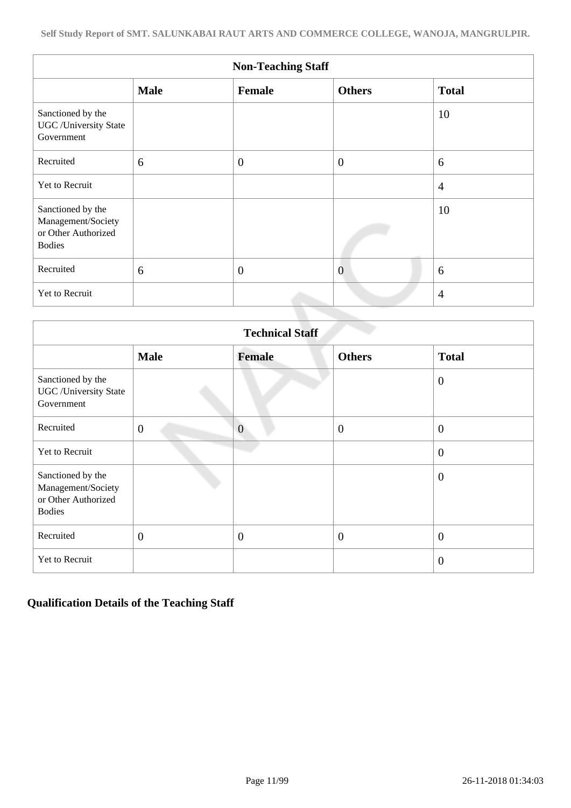| <b>Non-Teaching Staff</b>                                                       |             |                  |                  |                |  |  |  |  |  |
|---------------------------------------------------------------------------------|-------------|------------------|------------------|----------------|--|--|--|--|--|
|                                                                                 | <b>Male</b> | Female           | <b>Others</b>    | <b>Total</b>   |  |  |  |  |  |
| Sanctioned by the<br><b>UGC</b> / University State<br>Government                |             |                  |                  | 10             |  |  |  |  |  |
| Recruited                                                                       | 6           | $\overline{0}$   | $\boldsymbol{0}$ | 6              |  |  |  |  |  |
| Yet to Recruit                                                                  |             |                  |                  | $\overline{4}$ |  |  |  |  |  |
| Sanctioned by the<br>Management/Society<br>or Other Authorized<br><b>Bodies</b> |             |                  |                  | 10             |  |  |  |  |  |
| Recruited                                                                       | 6           | $\boldsymbol{0}$ | $\overline{0}$   | 6              |  |  |  |  |  |
| Yet to Recruit                                                                  |             |                  |                  | $\overline{4}$ |  |  |  |  |  |

| <b>Technical Staff</b>                                                          |                |                |                  |                  |  |  |  |  |  |
|---------------------------------------------------------------------------------|----------------|----------------|------------------|------------------|--|--|--|--|--|
|                                                                                 | <b>Male</b>    | Female         | <b>Others</b>    | <b>Total</b>     |  |  |  |  |  |
| Sanctioned by the<br><b>UGC</b> / University State<br>Government                |                |                |                  | $\theta$         |  |  |  |  |  |
| Recruited                                                                       | $\overline{0}$ | $\overline{0}$ | $\boldsymbol{0}$ | $\boldsymbol{0}$ |  |  |  |  |  |
| Yet to Recruit                                                                  |                |                |                  | $\boldsymbol{0}$ |  |  |  |  |  |
| Sanctioned by the<br>Management/Society<br>or Other Authorized<br><b>Bodies</b> |                |                |                  | $\theta$         |  |  |  |  |  |
| Recruited                                                                       | $\theta$       | $\overline{0}$ | $\overline{0}$   | $\boldsymbol{0}$ |  |  |  |  |  |
| Yet to Recruit                                                                  |                |                |                  | $\overline{0}$   |  |  |  |  |  |

### **Qualification Details of the Teaching Staff**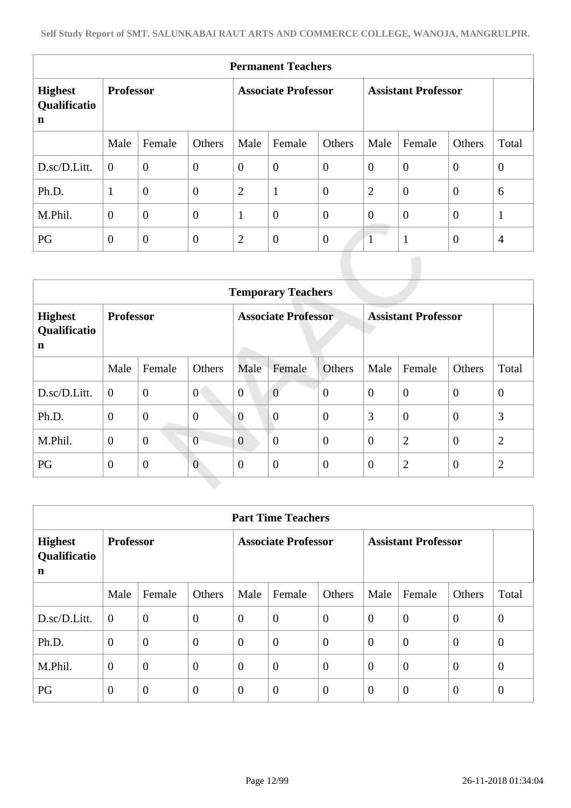|                                               | <b>Permanent Teachers</b> |                |                            |                |                  |                            |                |                |                |                |  |  |
|-----------------------------------------------|---------------------------|----------------|----------------------------|----------------|------------------|----------------------------|----------------|----------------|----------------|----------------|--|--|
| <b>Highest</b><br>Qualificatio<br>$\mathbf n$ | <b>Professor</b>          |                | <b>Associate Professor</b> |                |                  | <b>Assistant Professor</b> |                |                |                |                |  |  |
|                                               | Male                      | Female         | Others                     | Male           | Female           | Others                     | Male           | Female         | Others         | Total          |  |  |
| D.sc/D.Litt.                                  | $\theta$                  | $\overline{0}$ | $\mathbf{0}$               | $\overline{0}$ | $\boldsymbol{0}$ | $\overline{0}$             | $\theta$       | $\overline{0}$ | $\mathbf{0}$   | $\mathbf{0}$   |  |  |
| Ph.D.                                         | $\mathbf{1}$              | $\overline{0}$ | $\boldsymbol{0}$           | $\overline{2}$ | $\mathbf{1}$     | $\overline{0}$             | $\overline{2}$ | $\overline{0}$ | $\mathbf{0}$   | 6              |  |  |
| M.Phil.                                       | $\overline{0}$            | $\overline{0}$ | $\boldsymbol{0}$           | $\mathbf{1}$   | $\boldsymbol{0}$ | $\overline{0}$             | $\overline{0}$ | $\overline{0}$ | $\overline{0}$ | $\mathbf{1}$   |  |  |
| PG                                            | $\overline{0}$            | $\overline{0}$ | $\boldsymbol{0}$           | $\overline{2}$ | $\boldsymbol{0}$ | $\overline{0}$             | $\mathbf{1}$   | $\mathbf{1}$   | $\overline{0}$ | $\overline{4}$ |  |  |
|                                               |                           |                |                            |                |                  |                            |                |                |                |                |  |  |

|                                     | <b>Temporary Teachers</b> |                |                            |                |                |                            |                |                |                |                |  |  |
|-------------------------------------|---------------------------|----------------|----------------------------|----------------|----------------|----------------------------|----------------|----------------|----------------|----------------|--|--|
| <b>Highest</b><br>Qualificatio<br>n | <b>Professor</b>          |                | <b>Associate Professor</b> |                |                | <b>Assistant Professor</b> |                |                |                |                |  |  |
|                                     | Male                      | Female         | Others                     | Male           | Female         | Others                     | Male           | Female         | Others         | Total          |  |  |
| D.sc/D.Litt.                        | $\overline{0}$            | $\overline{0}$ | $\overline{0}$             | $\overline{0}$ | $\overline{0}$ | $\overline{0}$             | $\overline{0}$ | $\overline{0}$ | $\theta$       | $\theta$       |  |  |
| Ph.D.                               | $\overline{0}$            | $\overline{0}$ | $\overline{0}$             | $\overline{0}$ | $\overline{0}$ | $\overline{0}$             | 3              | $\overline{0}$ | $\theta$       | 3              |  |  |
| M.Phil.                             | $\theta$                  | $\overline{0}$ | $\overline{0}$             | $\overline{0}$ | $\overline{0}$ | $\mathbf{0}$               | $\theta$       | $\overline{2}$ | $\overline{0}$ | $\overline{2}$ |  |  |
| PG                                  | $\overline{0}$            | $\overline{0}$ | $\overline{0}$             | $\theta$       | $\overline{0}$ | $\boldsymbol{0}$           | $\theta$       | $\overline{2}$ | $\theta$       | $\overline{2}$ |  |  |

|                                     | <b>Part Time Teachers</b> |                  |                            |                |                |                            |                |                  |                |                |  |  |
|-------------------------------------|---------------------------|------------------|----------------------------|----------------|----------------|----------------------------|----------------|------------------|----------------|----------------|--|--|
| <b>Highest</b><br>Qualificatio<br>n | <b>Professor</b>          |                  | <b>Associate Professor</b> |                |                | <b>Assistant Professor</b> |                |                  |                |                |  |  |
|                                     | Male                      | Female           | Others                     | Male           | Female         | Others                     | Male           | Female           | Others         | Total          |  |  |
| D.sc/D.Litt.                        | $\overline{0}$            | $\boldsymbol{0}$ | $\overline{0}$             | $\overline{0}$ | $\overline{0}$ | $\theta$                   | $\theta$       | $\boldsymbol{0}$ | $\overline{0}$ | $\overline{0}$ |  |  |
| Ph.D.                               | $\overline{0}$            | $\overline{0}$   | $\overline{0}$             | $\theta$       | $\overline{0}$ | $\overline{0}$             | $\theta$       | $\overline{0}$   | $\overline{0}$ | $\overline{0}$ |  |  |
| M.Phil.                             | $\theta$                  | $\overline{0}$   | $\overline{0}$             | $\theta$       | $\overline{0}$ | $\overline{0}$             | $\theta$       | $\overline{0}$   | $\overline{0}$ | $\overline{0}$ |  |  |
| PG                                  | $\overline{0}$            | $\overline{0}$   | $\overline{0}$             | $\theta$       | $\overline{0}$ | $\overline{0}$             | $\overline{0}$ | $\overline{0}$   | $\theta$       | $\theta$       |  |  |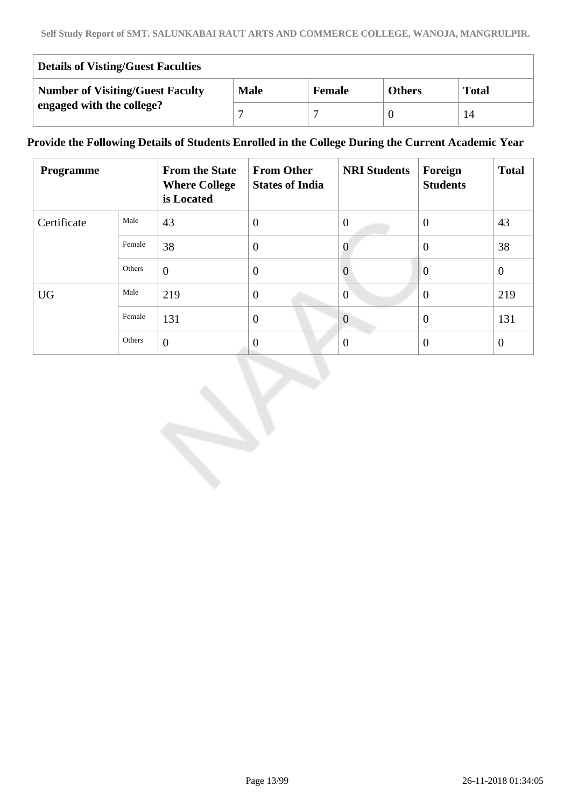| <b>Details of Visting/Guest Faculties</b> |             |               |               |              |  |  |  |  |
|-------------------------------------------|-------------|---------------|---------------|--------------|--|--|--|--|
| <b>Number of Visiting/Guest Faculty</b>   | <b>Male</b> | <b>Female</b> | <b>Others</b> | <b>Total</b> |  |  |  |  |
| engaged with the college?                 |             |               |               |              |  |  |  |  |

### **Provide the Following Details of Students Enrolled in the College During the Current Academic Year**

| <b>Programme</b> |        | <b>From the State</b><br><b>Where College</b><br>is Located | <b>From Other</b><br><b>States of India</b> | <b>NRI Students</b> | Foreign<br><b>Students</b> | <b>Total</b>   |
|------------------|--------|-------------------------------------------------------------|---------------------------------------------|---------------------|----------------------------|----------------|
| Certificate      | Male   | 43                                                          | $\overline{0}$                              | $\theta$            | $\overline{0}$             | 43             |
|                  | Female | 38                                                          | $\overline{0}$                              | $\theta$            | $\overline{0}$             | 38             |
|                  | Others | $\theta$                                                    | $\overline{0}$                              | $\theta$            | $\overline{0}$             | $\overline{0}$ |
| <b>UG</b>        | Male   | 219                                                         | $\overline{0}$                              | $\theta$            | $\theta$                   | 219            |
|                  | Female | 131                                                         | $\overline{0}$                              | $\overline{0}$      | $\theta$                   | 131            |
|                  | Others | $\overline{0}$                                              | $\boldsymbol{0}$                            | $\Omega$            | $\theta$                   | $\overline{0}$ |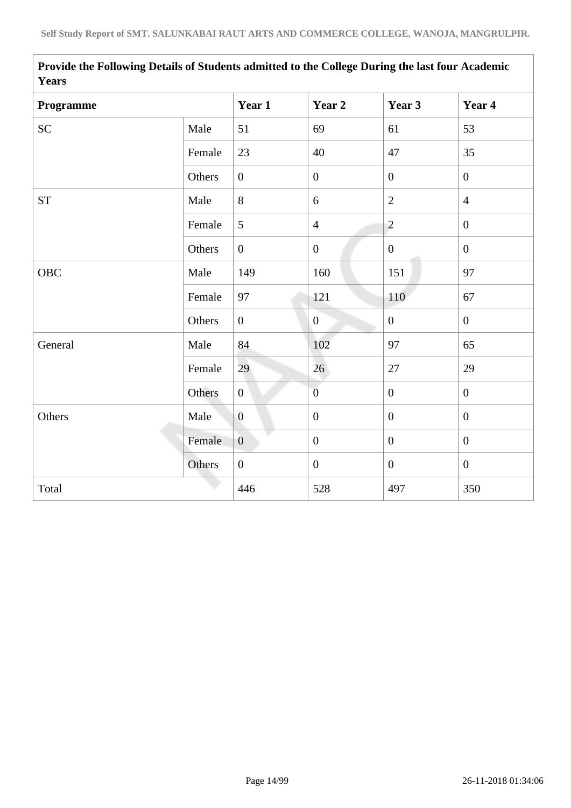|        | Year 1           | Year 2           | Year 3           | Year 4           |
|--------|------------------|------------------|------------------|------------------|
| Male   | 51               | 69               | 61               | 53               |
| Female | 23               | 40               | 47               | 35               |
| Others | $\overline{0}$   | $\overline{0}$   | $\overline{0}$   | $\mathbf{0}$     |
| Male   | 8                | 6                | $\overline{2}$   | $\overline{4}$   |
| Female | 5                | $\overline{4}$   | $\overline{2}$   | $\mathbf{0}$     |
| Others | $\overline{0}$   | $\overline{0}$   | $\overline{0}$   | $\mathbf{0}$     |
| Male   | 149              | 160              | 151              | 97               |
| Female | 97               | 121              | 110              | 67               |
| Others | $\boldsymbol{0}$ | $\boldsymbol{0}$ | $\boldsymbol{0}$ | $\mathbf{0}$     |
| Male   | 84               | 102              | 97               | 65               |
| Female | 29               | 26               | 27               | 29               |
| Others | $\mathbf{0}$     | $\overline{0}$   | $\boldsymbol{0}$ | $\boldsymbol{0}$ |
| Male   | $\boldsymbol{0}$ | $\boldsymbol{0}$ | $\mathbf{0}$     | $\mathbf{0}$     |
| Female | $\overline{0}$   | $\boldsymbol{0}$ | $\overline{0}$   | $\mathbf{0}$     |
| Others | $\boldsymbol{0}$ | $\boldsymbol{0}$ | $\boldsymbol{0}$ | $\mathbf{0}$     |
|        | 446              | 528              | 497              | 350              |
|        |                  |                  |                  |                  |

**Provide the Following Details of Students admitted to the College During the last four Academic Years**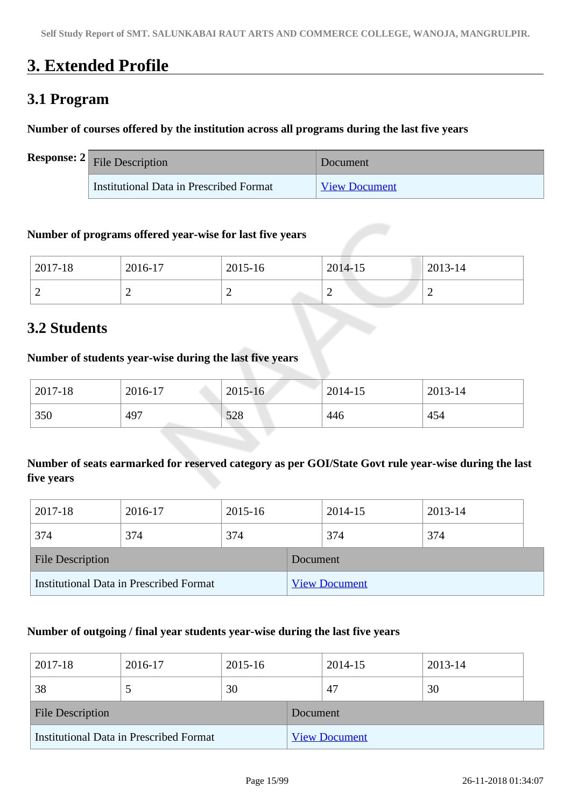## **3. Extended Profile**

### **3.1 Program**

### **Number of courses offered by the institution across all programs during the last five years**

| <b>Response:</b> $2 \big $ File Description | Document             |
|---------------------------------------------|----------------------|
| Institutional Data in Prescribed Format     | <b>View Document</b> |

### **Number of programs offered year-wise for last five years**

| 2017-18 | 2016-17 | 2015-16 | 2014-15 | 2013-14 |
|---------|---------|---------|---------|---------|
| ∽       |         | ∽       | ∼       | _       |

### **3.2 Students**

### **Number of students year-wise during the last five years**

| 2017-18 | 2016-17                           | $2015 - 16$ | 2014-15 | 2013-14 |
|---------|-----------------------------------|-------------|---------|---------|
| 350     | 497<br><b>Service Controllers</b> | 528         | 446     | 454     |

### **Number of seats earmarked for reserved category as per GOI/State Govt rule year-wise during the last five years**

| 2017-18                                 | 2016-17 | 2015-16  |                      | 2014-15 | 2013-14 |  |
|-----------------------------------------|---------|----------|----------------------|---------|---------|--|
| 374                                     | 374     | 374      |                      | 374     | 374     |  |
| <b>File Description</b>                 |         | Document |                      |         |         |  |
| Institutional Data in Prescribed Format |         |          | <b>View Document</b> |         |         |  |

### **Number of outgoing / final year students year-wise during the last five years**

| 2017-18                                 | 2016-17 | 2015-16  |                      | 2014-15 | 2013-14 |  |
|-----------------------------------------|---------|----------|----------------------|---------|---------|--|
| 38                                      |         | 30       |                      | 47      | 30      |  |
| <b>File Description</b>                 |         | Document |                      |         |         |  |
| Institutional Data in Prescribed Format |         |          | <b>View Document</b> |         |         |  |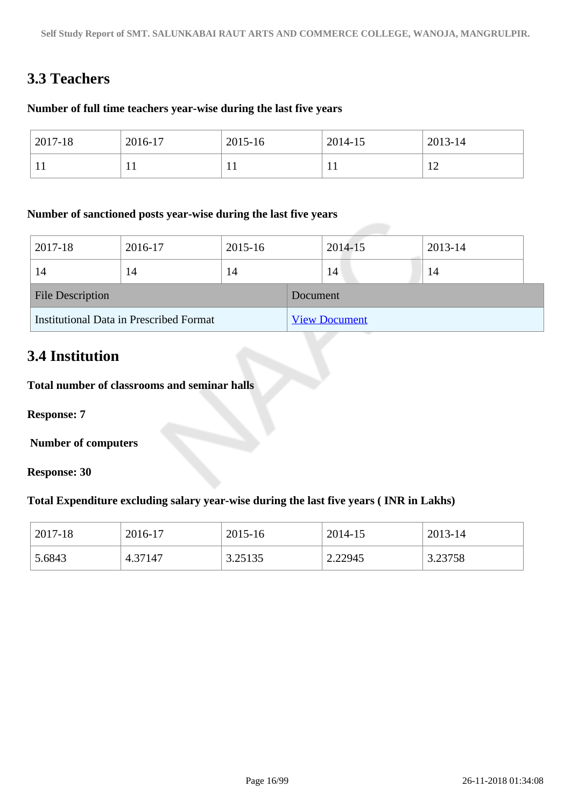### **3.3 Teachers**

### **Number of full time teachers year-wise during the last five years**

| $2017 - 18$  | 2016-17 | 2015-16      | 2014-15   | 2013-14  |
|--------------|---------|--------------|-----------|----------|
| $\mathbf{1}$ | . .     | $\mathbf{1}$ | <b>TT</b> | 1 ຕ<br>∸ |

### **Number of sanctioned posts year-wise during the last five years**

| 2017-18                                 | 2016-17 | 2015-16  |                      | 2014-15 | 2013-14 |  |
|-----------------------------------------|---------|----------|----------------------|---------|---------|--|
| 14                                      | 14      | 14       |                      | 14      | 14      |  |
| <b>File Description</b>                 |         | Document |                      |         |         |  |
| Institutional Data in Prescribed Format |         |          | <b>View Document</b> |         |         |  |

### **3.4 Institution**

**Total number of classrooms and seminar halls**

**Response: 7**

 **Number of computers**

**Response: 30**

### **Total Expenditure excluding salary year-wise during the last five years ( INR in Lakhs)**

| 2017-18 | 2016-17 | 2015-16 | 2014-15 | 2013-14 |
|---------|---------|---------|---------|---------|
| 5.6843  | 4.37147 | 3.25135 | 2.22945 | 3.23758 |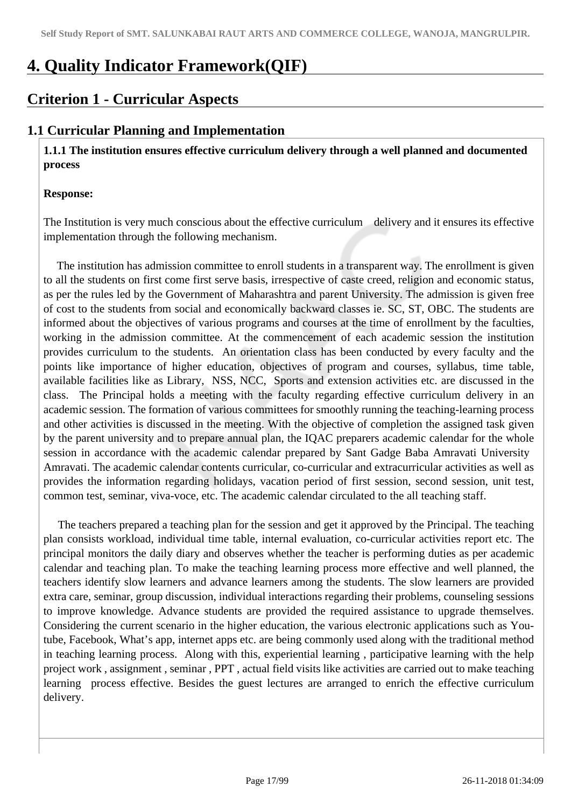## **4. Quality Indicator Framework(QIF)**

### **Criterion 1 - Curricular Aspects**

### **1.1 Curricular Planning and Implementation**

 **1.1.1 The institution ensures effective curriculum delivery through a well planned and documented process** 

### **Response:**

The Institution is very much conscious about the effective curriculum delivery and it ensures its effective implementation through the following mechanism.

 The institution has admission committee to enroll students in a transparent way. The enrollment is given to all the students on first come first serve basis, irrespective of caste creed, religion and economic status, as per the rules led by the Government of Maharashtra and parent University. The admission is given free of cost to the students from social and economically backward classes ie. SC, ST, OBC. The students are informed about the objectives of various programs and courses at the time of enrollment by the faculties, working in the admission committee. At the commencement of each academic session the institution provides curriculum to the students. An orientation class has been conducted by every faculty and the points like importance of higher education, objectives of program and courses, syllabus, time table, available facilities like as Library, NSS, NCC, Sports and extension activities etc. are discussed in the class. The Principal holds a meeting with the faculty regarding effective curriculum delivery in an academic session. The formation of various committees for smoothly running the teaching-learning process and other activities is discussed in the meeting. With the objective of completion the assigned task given by the parent university and to prepare annual plan, the IQAC preparers academic calendar for the whole session in accordance with the academic calendar prepared by Sant Gadge Baba Amravati University Amravati. The academic calendar contents curricular, co-curricular and extracurricular activities as well as provides the information regarding holidays, vacation period of first session, second session, unit test, common test, seminar, viva-voce, etc. The academic calendar circulated to the all teaching staff.

 The teachers prepared a teaching plan for the session and get it approved by the Principal. The teaching plan consists workload, individual time table, internal evaluation, co-curricular activities report etc. The principal monitors the daily diary and observes whether the teacher is performing duties as per academic calendar and teaching plan. To make the teaching learning process more effective and well planned, the teachers identify slow learners and advance learners among the students. The slow learners are provided extra care, seminar, group discussion, individual interactions regarding their problems, counseling sessions to improve knowledge. Advance students are provided the required assistance to upgrade themselves. Considering the current scenario in the higher education, the various electronic applications such as Youtube, Facebook, What's app, internet apps etc. are being commonly used along with the traditional method in teaching learning process. Along with this, experiential learning , participative learning with the help project work , assignment , seminar , PPT , actual field visits like activities are carried out to make teaching learning process effective. Besides the guest lectures are arranged to enrich the effective curriculum delivery.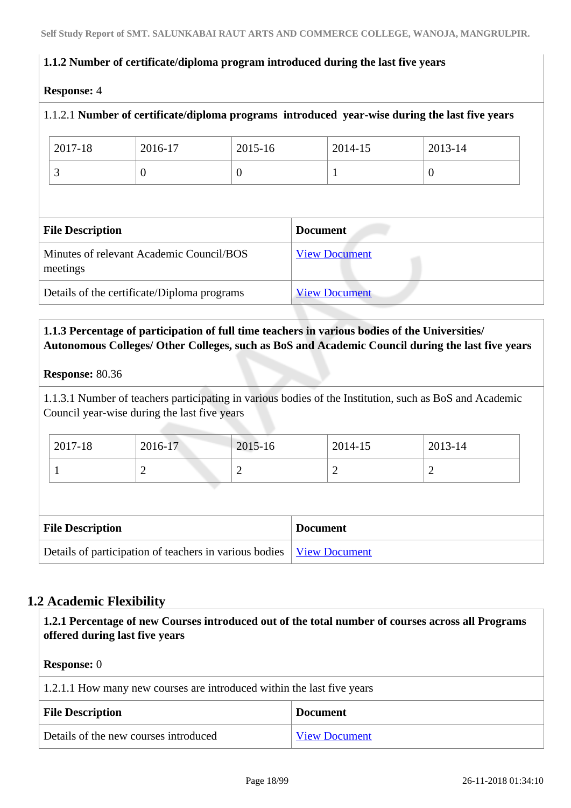### **1.1.2 Number of certificate/diploma program introduced during the last five years**

### **Response:** 4

# 1.1.2.1 **Number of certificate/diploma programs introduced year-wise during the last five years** 2017-18 2016-17 2015-16 2014-15 2013-14  $\begin{array}{c|c|c|c|c|c} \hline 3 & 0 & 1 \end{array}$ **File Description Document** Minutes of relevant Academic Council/BOS meetings [View Document](https://assessmentonline.naac.gov.in/storage/app/hei/SSR/101863/1.1.2_1533020954_2046.pdf) Details of the certificate/Diploma programs [View Document](https://assessmentonline.naac.gov.in/storage/app/hei/SSR/101863/1.1.2_1534832957_2046.xlsx)

### **1.1.3 Percentage of participation of full time teachers in various bodies of the Universities/ Autonomous Colleges/ Other Colleges, such as BoS and Academic Council during the last five years**

### **Response:** 80.36

1.1.3.1 Number of teachers participating in various bodies of the Institution, such as BoS and Academic Council year-wise during the last five years

| 2017-18 | 2016-17 | 2015-16 | 2014-15 | 2013-14 |
|---------|---------|---------|---------|---------|
|         |         | ∽       |         | -       |

| <b>File Description</b>                                                | <b>Document</b> |
|------------------------------------------------------------------------|-----------------|
| Details of participation of teachers in various bodies   View Document |                 |

### **1.2 Academic Flexibility**

| 1.2.1 Percentage of new Courses introduced out of the total number of courses across all Programs<br>offered during last five years |                                                                        |  |  |  |
|-------------------------------------------------------------------------------------------------------------------------------------|------------------------------------------------------------------------|--|--|--|
| <b>Response:</b> 0                                                                                                                  |                                                                        |  |  |  |
|                                                                                                                                     | 1.2.1.1 How many new courses are introduced within the last five years |  |  |  |
| <b>File Description</b><br><b>Document</b>                                                                                          |                                                                        |  |  |  |
| Details of the new courses introduced<br><b>View Document</b>                                                                       |                                                                        |  |  |  |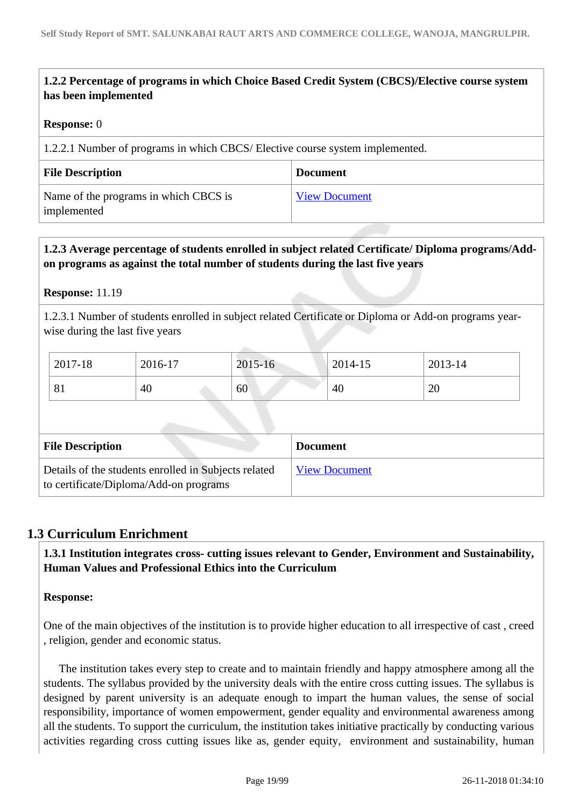### **1.2.2 Percentage of programs in which Choice Based Credit System (CBCS)/Elective course system has been implemented**

### **Response:** 0

1.2.2.1 Number of programs in which CBCS/ Elective course system implemented.

| <b>File Description</b>                              | <b>Document</b>      |
|------------------------------------------------------|----------------------|
| Name of the programs in which CBCS is<br>implemented | <b>View Document</b> |

### **1.2.3 Average percentage of students enrolled in subject related Certificate/ Diploma programs/Addon programs as against the total number of students during the last five years**

### **Response:** 11.19

1.2.3.1 Number of students enrolled in subject related Certificate or Diploma or Add-on programs yearwise during the last five years

| 2017-18                  | 2016-17 | 2015-16 | 2014-15 | 2013-14 |
|--------------------------|---------|---------|---------|---------|
| $\mathbf{O}$<br>$\Omega$ | 40      | 60      | 40      | 20      |

| <b>File Description</b>                                                                        | <b>Document</b>      |
|------------------------------------------------------------------------------------------------|----------------------|
| Details of the students enrolled in Subjects related<br>to certificate/Diploma/Add-on programs | <b>View Document</b> |

### **1.3 Curriculum Enrichment**

 **1.3.1 Institution integrates cross- cutting issues relevant to Gender, Environment and Sustainability, Human Values and Professional Ethics into the Curriculum**

### **Response:**

One of the main objectives of the institution is to provide higher education to all irrespective of cast , creed , religion, gender and economic status.

 The institution takes every step to create and to maintain friendly and happy atmosphere among all the students. The syllabus provided by the university deals with the entire cross cutting issues. The syllabus is designed by parent university is an adequate enough to impart the human values, the sense of social responsibility, importance of women empowerment, gender equality and environmental awareness among all the students. To support the curriculum, the institution takes initiative practically by conducting various activities regarding cross cutting issues like as, gender equity, environment and sustainability, human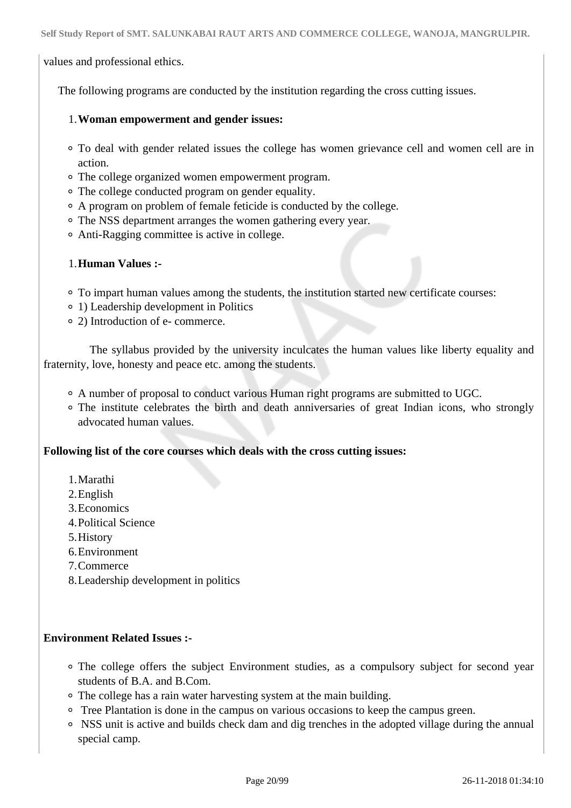values and professional ethics.

The following programs are conducted by the institution regarding the cross cutting issues.

#### 1.**Woman empowerment and gender issues:**

- To deal with gender related issues the college has women grievance cell and women cell are in action.
- The college organized women empowerment program.
- The college conducted program on gender equality.
- A program on problem of female feticide is conducted by the college.
- The NSS department arranges the women gathering every year.
- Anti-Ragging committee is active in college.

### 1.**Human Values :-**

- To impart human values among the students, the institution started new certificate courses:
- 1) Leadership development in Politics
- 2) Introduction of e- commerce.

 The syllabus provided by the university inculcates the human values like liberty equality and fraternity, love, honesty and peace etc. among the students.

- A number of proposal to conduct various Human right programs are submitted to UGC.
- The institute celebrates the birth and death anniversaries of great Indian icons, who strongly advocated human values.

### **Following list of the core courses which deals with the cross cutting issues:**

- 1.Marathi
- 2.English
- 3.Economics
- 4.Political Science
- 5.History
- 6.Environment
- 7.Commerce
- 8.Leadership development in politics

### **Environment Related Issues :-**

- The college offers the subject Environment studies, as a compulsory subject for second year students of B.A. and B.Com.
- The college has a rain water harvesting system at the main building.
- Tree Plantation is done in the campus on various occasions to keep the campus green.
- NSS unit is active and builds check dam and dig trenches in the adopted village during the annual special camp.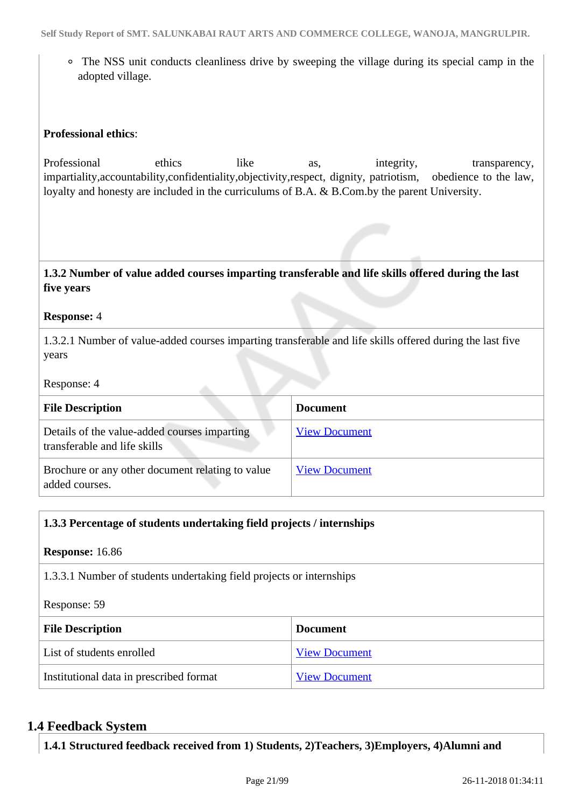The NSS unit conducts cleanliness drive by sweeping the village during its special camp in the adopted village.

### **Professional ethics**:

Professional ethics like as, integrity, transparency, impartiality,accountability,confidentiality,objectivity,respect, dignity, patriotism, obedience to the law, loyalty and honesty are included in the curriculums of B.A. & B.Com.by the parent University.

 **1.3.2 Number of value added courses imparting transferable and life skills offered during the last five years**

#### **Response:** 4

1.3.2.1 Number of value-added courses imparting transferable and life skills offered during the last five years

Response: 4

| <b>File Description</b>                                                      | <b>Document</b>      |
|------------------------------------------------------------------------------|----------------------|
| Details of the value-added courses imparting<br>transferable and life skills | <b>View Document</b> |
| Brochure or any other document relating to value<br>added courses.           | <b>View Document</b> |

| 1.3.3 Percentage of students undertaking field projects / internships |                      |  |  |  |  |
|-----------------------------------------------------------------------|----------------------|--|--|--|--|
| <b>Response:</b> 16.86                                                |                      |  |  |  |  |
| 1.3.3.1 Number of students undertaking field projects or internships  |                      |  |  |  |  |
| Response: 59                                                          |                      |  |  |  |  |
| <b>File Description</b>                                               | <b>Document</b>      |  |  |  |  |
| List of students enrolled                                             | <b>View Document</b> |  |  |  |  |
| Institutional data in prescribed format                               | <b>View Document</b> |  |  |  |  |

### **1.4 Feedback System**

**1.4.1 Structured feedback received from 1) Students, 2)Teachers, 3)Employers, 4)Alumni and**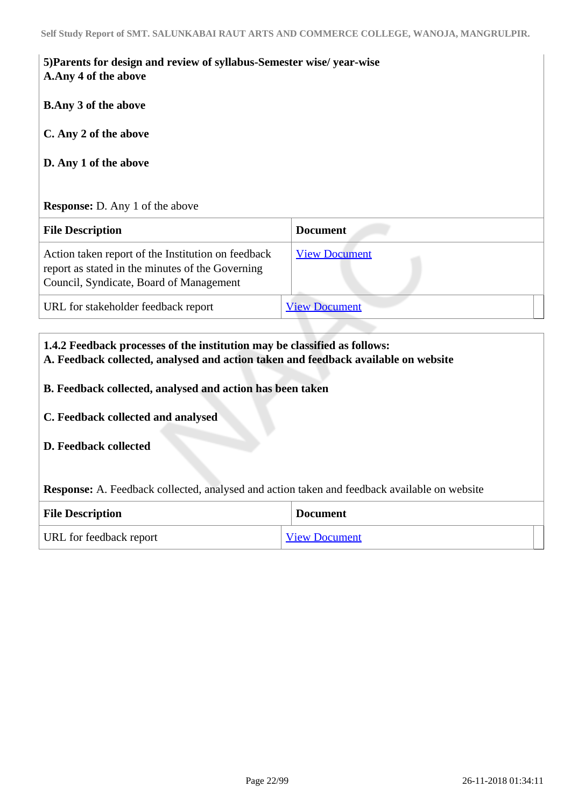| 5) Parents for design and review of syllabus-Semester wise/ year-wise |  |
|-----------------------------------------------------------------------|--|
| A.Any 4 of the above                                                  |  |

**B.Any 3 of the above**

**C. Any 2 of the above**

**D. Any 1 of the above**

### **Response:** D. Any 1 of the above

| <b>File Description</b>                                                                                                                           | <b>Document</b>      |
|---------------------------------------------------------------------------------------------------------------------------------------------------|----------------------|
| Action taken report of the Institution on feedback<br>report as stated in the minutes of the Governing<br>Council, Syndicate, Board of Management | <b>View Document</b> |
| URL for stakeholder feedback report                                                                                                               | <b>View Document</b> |

# **1.4.2 Feedback processes of the institution may be classified as follows: A. Feedback collected, analysed and action taken and feedback available on website B. Feedback collected, analysed and action has been taken C. Feedback collected and analysed D. Feedback collected Response:** A. Feedback collected, analysed and action taken and feedback available on website **File Description Document** URL for feedback report [View Document](http://www.smtsalunkabairaut.com/feedback/Analysis%20of%20feedback%20on%20syllabus%202017-18.pdf)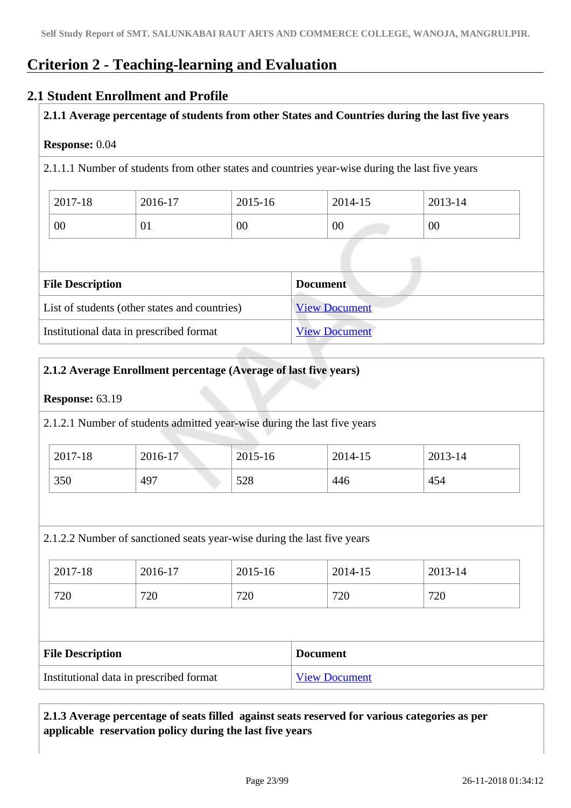### **Criterion 2 - Teaching-learning and Evaluation**

### **2.1 Student Enrollment and Profile**

### **2.1.1 Average percentage of students from other States and Countries during the last five years**

### **Response:** 0.04

2.1.1.1 Number of students from other states and countries year-wise during the last five years

| 2017-18 | 2016-17 | 2015-16 | 2014-15 | 2013-14 |
|---------|---------|---------|---------|---------|
| 00      | 01      | 00      | 00      | 00      |

| <b>File Description</b>                       | <b>Document</b>      |  |  |  |
|-----------------------------------------------|----------------------|--|--|--|
| List of students (other states and countries) | <b>View Document</b> |  |  |  |
| Institutional data in prescribed format       | <b>View Document</b> |  |  |  |

### **2.1.2 Average Enrollment percentage (Average of last five years)**

### **Response:** 63.19

2.1.2.1 Number of students admitted year-wise during the last five years

| 2017-18 | 2016-17 | 2015-16 | 2014-15 | 2013-14 |
|---------|---------|---------|---------|---------|
| 350     | 497     | 528     | 446     | 454     |

2.1.2.2 Number of sanctioned seats year-wise during the last five years

| 2017-18 | 2016-17 | 2015-16 | 2014-15 | 2013-14 |
|---------|---------|---------|---------|---------|
| 720     | 720     | 720     | 720     | 720     |

| <b>File Description</b>                 | <b>Document</b>      |
|-----------------------------------------|----------------------|
| Institutional data in prescribed format | <b>View Document</b> |

### **2.1.3 Average percentage of seats filled against seats reserved for various categories as per applicable reservation policy during the last five years**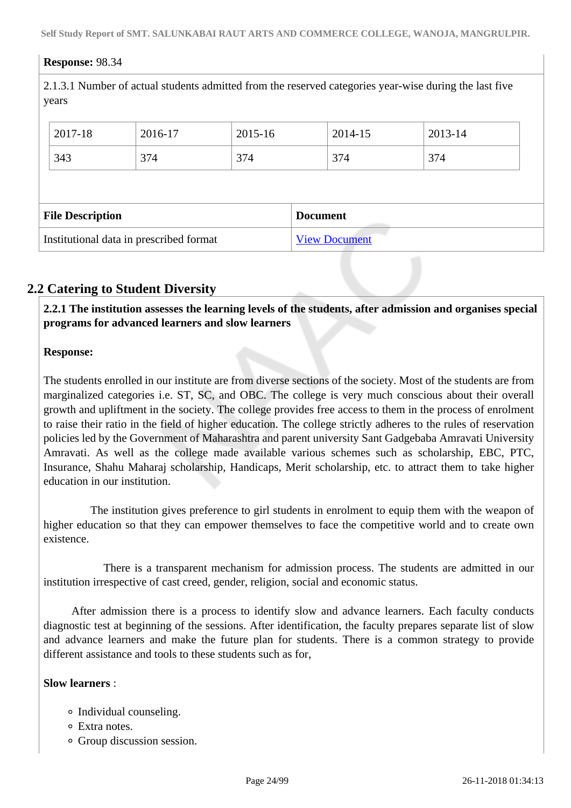### **Response:** 98.34

2.1.3.1 Number of actual students admitted from the reserved categories year-wise during the last five years

|                         | 2017-18 | 2016-17 | 2015-16 |                 | 2014-15 | 2013-14 |  |  |
|-------------------------|---------|---------|---------|-----------------|---------|---------|--|--|
|                         | 343     | 374     | 374     |                 | 374     | 374     |  |  |
|                         |         |         |         |                 |         |         |  |  |
| <b>File Description</b> |         |         |         |                 |         |         |  |  |
|                         |         |         |         | <b>Document</b> |         |         |  |  |

### **2.2 Catering to Student Diversity**

 **2.2.1 The institution assesses the learning levels of the students, after admission and organises special programs for advanced learners and slow learners**

### **Response:**

The students enrolled in our institute are from diverse sections of the society. Most of the students are from marginalized categories i.e. ST, SC, and OBC. The college is very much conscious about their overall growth and upliftment in the society. The college provides free access to them in the process of enrolment to raise their ratio in the field of higher education. The college strictly adheres to the rules of reservation policies led by the Government of Maharashtra and parent university Sant Gadgebaba Amravati University Amravati. As well as the college made available various schemes such as scholarship, EBC, PTC, Insurance, Shahu Maharaj scholarship, Handicaps, Merit scholarship, etc. to attract them to take higher education in our institution.

 The institution gives preference to girl students in enrolment to equip them with the weapon of higher education so that they can empower themselves to face the competitive world and to create own existence.

 There is a transparent mechanism for admission process. The students are admitted in our institution irrespective of cast creed, gender, religion, social and economic status.

 After admission there is a process to identify slow and advance learners. Each faculty conducts diagnostic test at beginning of the sessions. After identification, the faculty prepares separate list of slow and advance learners and make the future plan for students. There is a common strategy to provide different assistance and tools to these students such as for,

### **Slow learners** :

- Individual counseling.
- Extra notes.
- Group discussion session.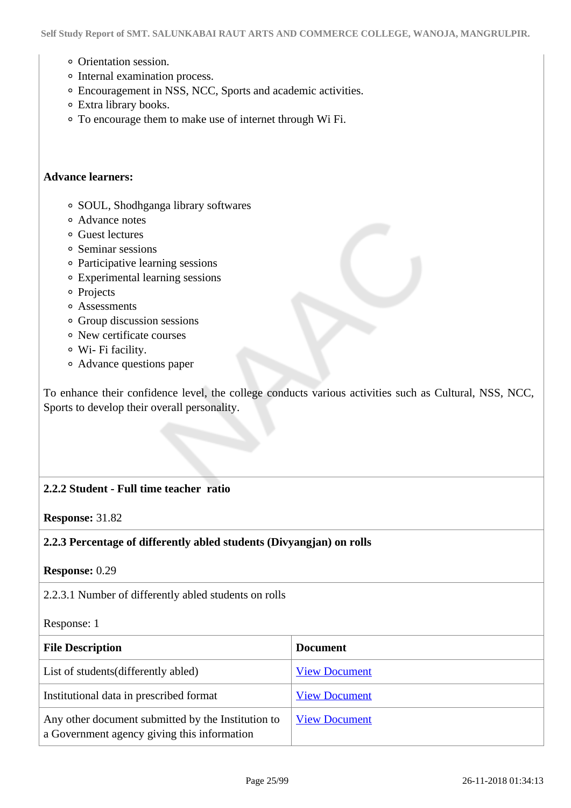- Orientation session.
- Internal examination process.
- Encouragement in NSS, NCC, Sports and academic activities.
- Extra library books.
- To encourage them to make use of internet through Wi Fi.

#### **Advance learners:**

- SOUL, Shodhganga library softwares
- Advance notes
- Guest lectures
- Seminar sessions
- Participative learning sessions
- Experimental learning sessions
- o Projects
- Assessments
- Group discussion sessions
- New certificate courses
- Wi- Fi facility.
- Advance questions paper

To enhance their confidence level, the college conducts various activities such as Cultural, NSS, NCC, Sports to develop their overall personality.

### **2.2.2 Student - Full time teacher ratio**

**Response:** 31.82

### **2.2.3 Percentage of differently abled students (Divyangjan) on rolls**

**Response:** 0.29

2.2.3.1 Number of differently abled students on rolls

#### Response: 1

| <b>File Description</b>                                                                           | <b>Document</b>      |
|---------------------------------------------------------------------------------------------------|----------------------|
| List of students (differently abled)                                                              | <b>View Document</b> |
| Institutional data in prescribed format                                                           | <b>View Document</b> |
| Any other document submitted by the Institution to<br>a Government agency giving this information | <b>View Document</b> |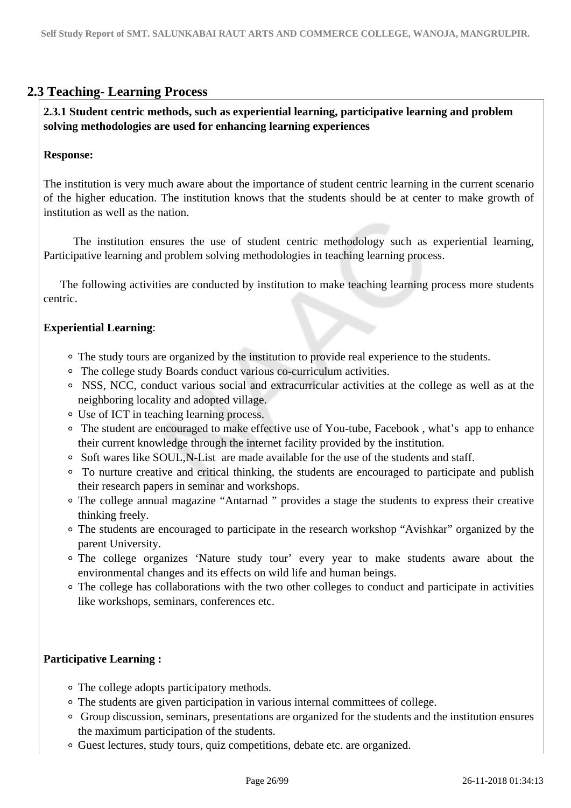### **2.3 Teaching- Learning Process**

 **2.3.1 Student centric methods, such as experiential learning, participative learning and problem solving methodologies are used for enhancing learning experiences**

### **Response:**

The institution is very much aware about the importance of student centric learning in the current scenario of the higher education. The institution knows that the students should be at center to make growth of institution as well as the nation.

 The institution ensures the use of student centric methodology such as experiential learning, Participative learning and problem solving methodologies in teaching learning process.

 The following activities are conducted by institution to make teaching learning process more students centric.

### **Experiential Learning**:

- The study tours are organized by the institution to provide real experience to the students.
- The college study Boards conduct various co-curriculum activities.
- NSS, NCC, conduct various social and extracurricular activities at the college as well as at the neighboring locality and adopted village.
- Use of ICT in teaching learning process.
- The student are encouraged to make effective use of You-tube, Facebook , what's app to enhance their current knowledge through the internet facility provided by the institution.
- Soft wares like SOUL,N-List are made available for the use of the students and staff.
- To nurture creative and critical thinking, the students are encouraged to participate and publish their research papers in seminar and workshops.
- The college annual magazine "Antarnad " provides a stage the students to express their creative thinking freely.
- The students are encouraged to participate in the research workshop "Avishkar" organized by the parent University.
- The college organizes 'Nature study tour' every year to make students aware about the environmental changes and its effects on wild life and human beings.
- The college has collaborations with the two other colleges to conduct and participate in activities like workshops, seminars, conferences etc.

### **Participative Learning :**

- The college adopts participatory methods.
- The students are given participation in various internal committees of college.
- Group discussion, seminars, presentations are organized for the students and the institution ensures the maximum participation of the students.
- Guest lectures, study tours, quiz competitions, debate etc. are organized.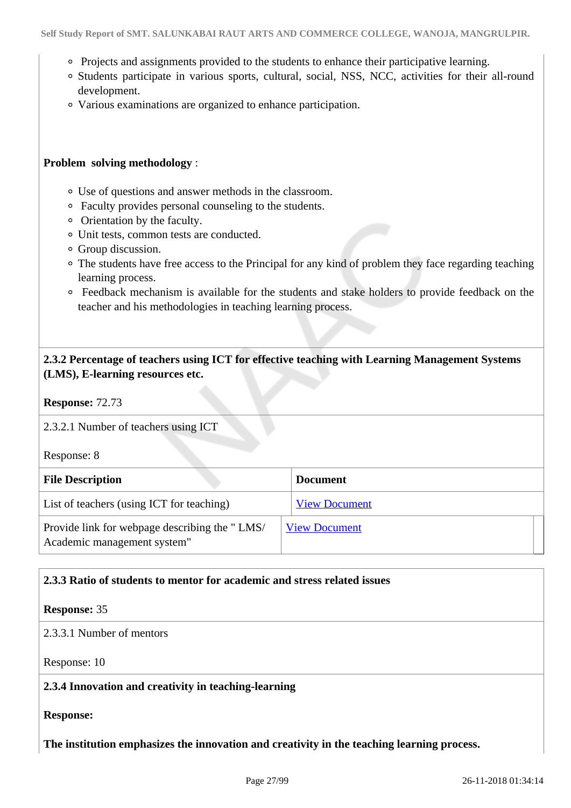- Projects and assignments provided to the students to enhance their participative learning.
- Students participate in various sports, cultural, social, NSS, NCC, activities for their all-round development.
- Various examinations are organized to enhance participation.

### **Problem solving methodology** :

- Use of questions and answer methods in the classroom.
- Faculty provides personal counseling to the students.
- Orientation by the faculty.
- Unit tests, common tests are conducted.
- Group discussion.
- The students have free access to the Principal for any kind of problem they face regarding teaching learning process.
- Feedback mechanism is available for the students and stake holders to provide feedback on the teacher and his methodologies in teaching learning process.

### **2.3.2 Percentage of teachers using ICT for effective teaching with Learning Management Systems (LMS), E-learning resources etc.**

**Response:** 72.73

2.3.2.1 Number of teachers using ICT

Response: 8

| <b>File Description</b>                                                      | <b>Document</b>      |  |
|------------------------------------------------------------------------------|----------------------|--|
| List of teachers (using ICT for teaching)                                    | <b>View Document</b> |  |
| Provide link for webpage describing the "LMS/<br>Academic management system" | <b>View Document</b> |  |

### **2.3.3 Ratio of students to mentor for academic and stress related issues**

#### **Response:** 35

2.3.3.1 Number of mentors

Response: 10

### **2.3.4 Innovation and creativity in teaching-learning**

**Response:** 

**The institution emphasizes the innovation and creativity in the teaching learning process.**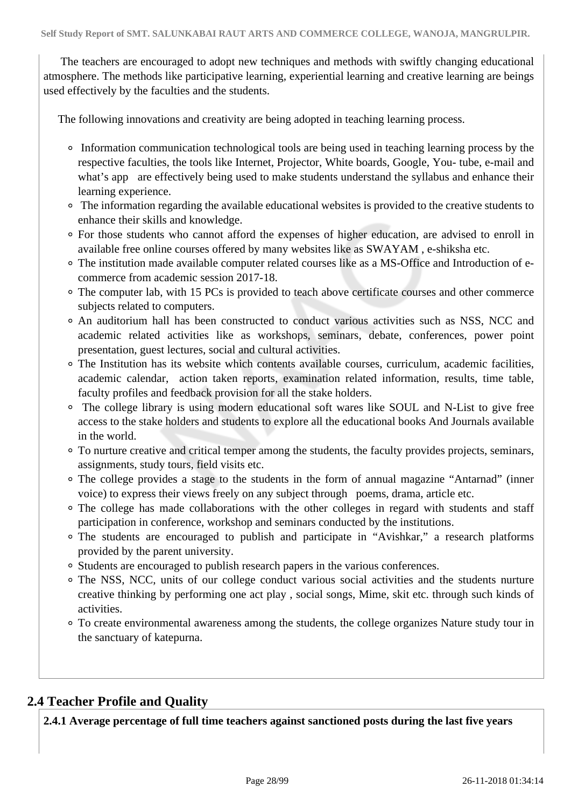The teachers are encouraged to adopt new techniques and methods with swiftly changing educational atmosphere. The methods like participative learning, experiential learning and creative learning are beings used effectively by the faculties and the students.

The following innovations and creativity are being adopted in teaching learning process.

- Information communication technological tools are being used in teaching learning process by the respective faculties, the tools like Internet, Projector, White boards, Google, You- tube, e-mail and what's app are effectively being used to make students understand the syllabus and enhance their learning experience.
- The information regarding the available educational websites is provided to the creative students to enhance their skills and knowledge.
- For those students who cannot afford the expenses of higher education, are advised to enroll in available free online courses offered by many websites like as SWAYAM , e-shiksha etc.
- The institution made available computer related courses like as a MS-Office and Introduction of ecommerce from academic session 2017-18.
- The computer lab, with 15 PCs is provided to teach above certificate courses and other commerce subjects related to computers.
- An auditorium hall has been constructed to conduct various activities such as NSS, NCC and academic related activities like as workshops, seminars, debate, conferences, power point presentation, guest lectures, social and cultural activities.
- The Institution has its website which contents available courses, curriculum, academic facilities, academic calendar, action taken reports, examination related information, results, time table, faculty profiles and feedback provision for all the stake holders.
- The college library is using modern educational soft wares like SOUL and N-List to give free access to the stake holders and students to explore all the educational books And Journals available in the world.
- To nurture creative and critical temper among the students, the faculty provides projects, seminars, assignments, study tours, field visits etc.
- The college provides a stage to the students in the form of annual magazine "Antarnad" (inner voice) to express their views freely on any subject through poems, drama, article etc.
- The college has made collaborations with the other colleges in regard with students and staff participation in conference, workshop and seminars conducted by the institutions.
- The students are encouraged to publish and participate in "Avishkar," a research platforms provided by the parent university.
- Students are encouraged to publish research papers in the various conferences.
- The NSS, NCC, units of our college conduct various social activities and the students nurture creative thinking by performing one act play , social songs, Mime, skit etc. through such kinds of activities.
- To create environmental awareness among the students, the college organizes Nature study tour in the sanctuary of katepurna.

### **2.4 Teacher Profile and Quality**

**2.4.1 Average percentage of full time teachers against sanctioned posts during the last five years**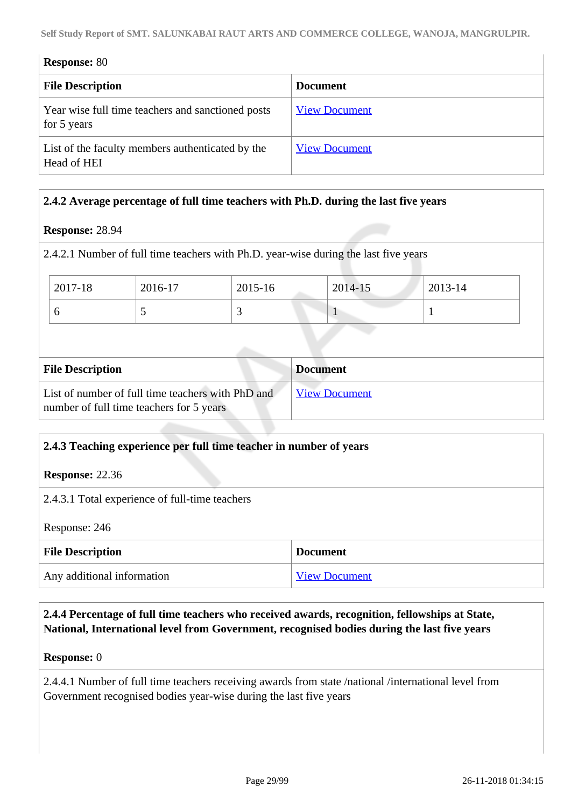| <b>Response: 80</b>                                              |                      |  |  |  |
|------------------------------------------------------------------|----------------------|--|--|--|
| <b>File Description</b>                                          | <b>Document</b>      |  |  |  |
| Year wise full time teachers and sanctioned posts<br>for 5 years | <b>View Document</b> |  |  |  |
| List of the faculty members authenticated by the<br>Head of HEI  | <b>View Document</b> |  |  |  |

### **2.4.2 Average percentage of full time teachers with Ph.D. during the last five years**

### **Response:** 28.94

2.4.2.1 Number of full time teachers with Ph.D. year-wise during the last five years

| 2017-18 | 2016-17                  | 2015-16                  | 2014-15 | 2013-14 |
|---------|--------------------------|--------------------------|---------|---------|
|         | $\overline{\phantom{0}}$ | $\overline{\phantom{0}}$ |         |         |

| <b>File Description</b>                                                                       | <b>Document</b>      |
|-----------------------------------------------------------------------------------------------|----------------------|
| List of number of full time teachers with PhD and<br>number of full time teachers for 5 years | <b>View Document</b> |

### **2.4.3 Teaching experience per full time teacher in number of years**

**Response:** 22.36

2.4.3.1 Total experience of full-time teachers

Response: 246

| <b>File Description</b>    | <b>Document</b>      |
|----------------------------|----------------------|
| Any additional information | <b>View Document</b> |

 **2.4.4 Percentage of full time teachers who received awards, recognition, fellowships at State, National, International level from Government, recognised bodies during the last five years**

### **Response:** 0

2.4.4.1 Number of full time teachers receiving awards from state /national /international level from Government recognised bodies year-wise during the last five years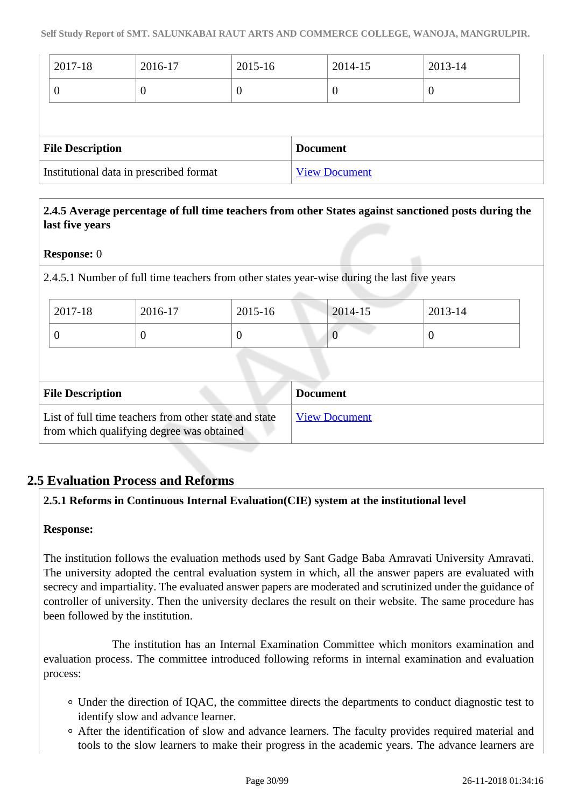| 2017-18                 | 2016-17 | 2015-16 |                 | 2014-15          | 2013-14 |  |
|-------------------------|---------|---------|-----------------|------------------|---------|--|
| 0                       | U       | O       |                 | $\boldsymbol{0}$ | v       |  |
|                         |         |         |                 |                  |         |  |
|                         |         |         |                 |                  |         |  |
| <b>File Description</b> |         |         | <b>Document</b> |                  |         |  |

### **2.4.5 Average percentage of full time teachers from other States against sanctioned posts during the last five years**

### **Response:** 0

2.4.5.1 Number of full time teachers from other states year-wise during the last five years

| 2017-18 | 2016-17 | $2015 - 16$ | 2014-15 | 2013-14 |
|---------|---------|-------------|---------|---------|
| ν       |         | ν           | U       |         |

| <b>File Description</b>                                                                            | <b>Document</b>      |
|----------------------------------------------------------------------------------------------------|----------------------|
| List of full time teachers from other state and state<br>from which qualifying degree was obtained | <b>View Document</b> |

### **2.5 Evaluation Process and Reforms**

### **2.5.1 Reforms in Continuous Internal Evaluation(CIE) system at the institutional level**

### **Response:**

The institution follows the evaluation methods used by Sant Gadge Baba Amravati University Amravati. The university adopted the central evaluation system in which, all the answer papers are evaluated with secrecy and impartiality. The evaluated answer papers are moderated and scrutinized under the guidance of controller of university. Then the university declares the result on their website. The same procedure has been followed by the institution.

 The institution has an Internal Examination Committee which monitors examination and evaluation process. The committee introduced following reforms in internal examination and evaluation process:

- Under the direction of IQAC, the committee directs the departments to conduct diagnostic test to identify slow and advance learner.
- After the identification of slow and advance learners. The faculty provides required material and tools to the slow learners to make their progress in the academic years. The advance learners are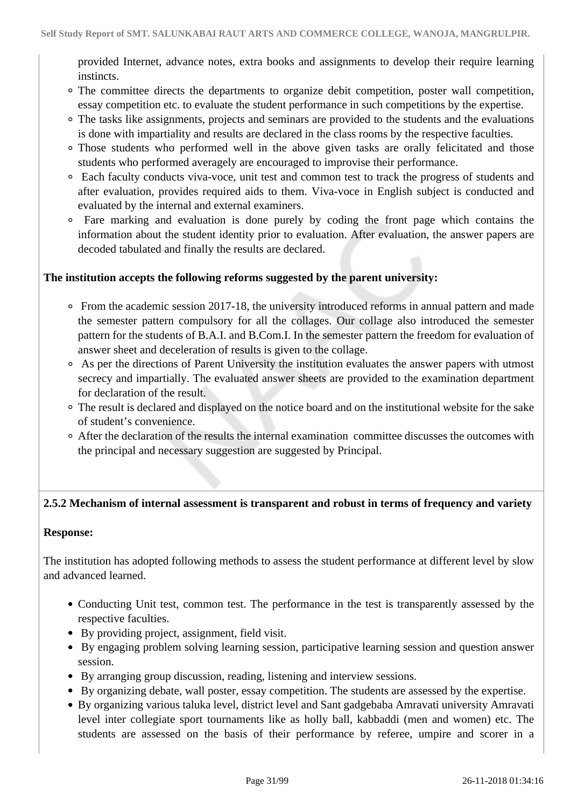provided Internet, advance notes, extra books and assignments to develop their require learning instincts.

- The committee directs the departments to organize debit competition, poster wall competition, essay competition etc. to evaluate the student performance in such competitions by the expertise.
- The tasks like assignments, projects and seminars are provided to the students and the evaluations is done with impartiality and results are declared in the class rooms by the respective faculties.
- Those students who performed well in the above given tasks are orally felicitated and those students who performed averagely are encouraged to improvise their performance.
- Each faculty conducts viva-voce, unit test and common test to track the progress of students and after evaluation, provides required aids to them. Viva-voce in English subject is conducted and evaluated by the internal and external examiners.
- Fare marking and evaluation is done purely by coding the front page which contains the information about the student identity prior to evaluation. After evaluation, the answer papers are decoded tabulated and finally the results are declared.

### **The institution accepts the following reforms suggested by the parent university:**

- $\circ$  From the academic session 2017-18, the university introduced reforms in annual pattern and made the semester pattern compulsory for all the collages. Our collage also introduced the semester pattern for the students of B.A.I. and B.Com.I. In the semester pattern the freedom for evaluation of answer sheet and deceleration of results is given to the collage.
- As per the directions of Parent University the institution evaluates the answer papers with utmost secrecy and impartially. The evaluated answer sheets are provided to the examination department for declaration of the result.
- The result is declared and displayed on the notice board and on the institutional website for the sake of student's convenience.
- After the declaration of the results the internal examination committee discusses the outcomes with the principal and necessary suggestion are suggested by Principal.

### **2.5.2 Mechanism of internal assessment is transparent and robust in terms of frequency and variety**

### **Response:**

The institution has adopted following methods to assess the student performance at different level by slow and advanced learned.

- Conducting Unit test, common test. The performance in the test is transparently assessed by the respective faculties.
- By providing project, assignment, field visit.
- By engaging problem solving learning session, participative learning session and question answer session.
- By arranging group discussion, reading, listening and interview sessions.
- By organizing debate, wall poster, essay competition. The students are assessed by the expertise.
- By organizing various taluka level, district level and Sant gadgebaba Amravati university Amravati level inter collegiate sport tournaments like as holly ball, kabbaddi (men and women) etc. The students are assessed on the basis of their performance by referee, umpire and scorer in a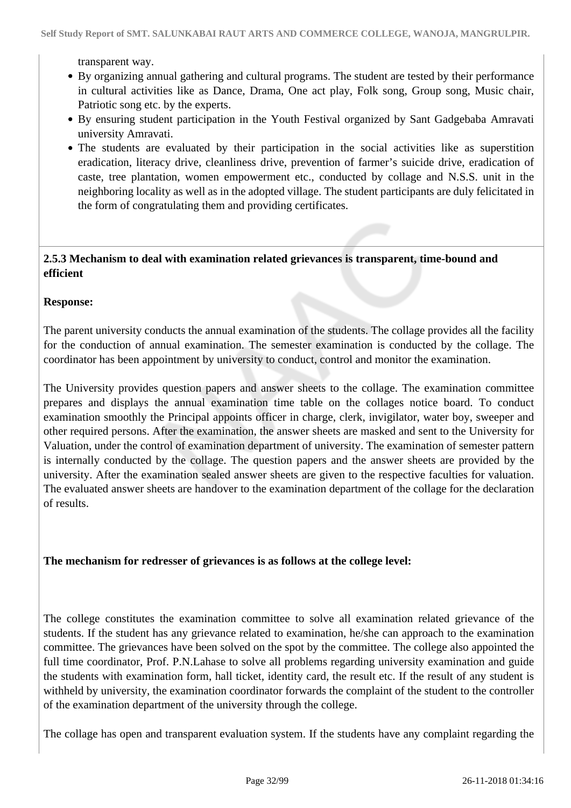transparent way.

- By organizing annual gathering and cultural programs. The student are tested by their performance in cultural activities like as Dance, Drama, One act play, Folk song, Group song, Music chair, Patriotic song etc. by the experts.
- By ensuring student participation in the Youth Festival organized by Sant Gadgebaba Amravati university Amravati.
- The students are evaluated by their participation in the social activities like as superstition eradication, literacy drive, cleanliness drive, prevention of farmer's suicide drive, eradication of caste, tree plantation, women empowerment etc., conducted by collage and N.S.S. unit in the neighboring locality as well as in the adopted village. The student participants are duly felicitated in the form of congratulating them and providing certificates.

### **2.5.3 Mechanism to deal with examination related grievances is transparent, time-bound and efficient**

### **Response:**

The parent university conducts the annual examination of the students. The collage provides all the facility for the conduction of annual examination. The semester examination is conducted by the collage. The coordinator has been appointment by university to conduct, control and monitor the examination.

The University provides question papers and answer sheets to the collage. The examination committee prepares and displays the annual examination time table on the collages notice board. To conduct examination smoothly the Principal appoints officer in charge, clerk, invigilator, water boy, sweeper and other required persons. After the examination, the answer sheets are masked and sent to the University for Valuation, under the control of examination department of university. The examination of semester pattern is internally conducted by the collage. The question papers and the answer sheets are provided by the university. After the examination sealed answer sheets are given to the respective faculties for valuation. The evaluated answer sheets are handover to the examination department of the collage for the declaration of results.

### **The mechanism for redresser of grievances is as follows at the college level:**

The college constitutes the examination committee to solve all examination related grievance of the students. If the student has any grievance related to examination, he/she can approach to the examination committee. The grievances have been solved on the spot by the committee. The college also appointed the full time coordinator, Prof. P.N.Lahase to solve all problems regarding university examination and guide the students with examination form, hall ticket, identity card, the result etc. If the result of any student is withheld by university, the examination coordinator forwards the complaint of the student to the controller of the examination department of the university through the college.

The collage has open and transparent evaluation system. If the students have any complaint regarding the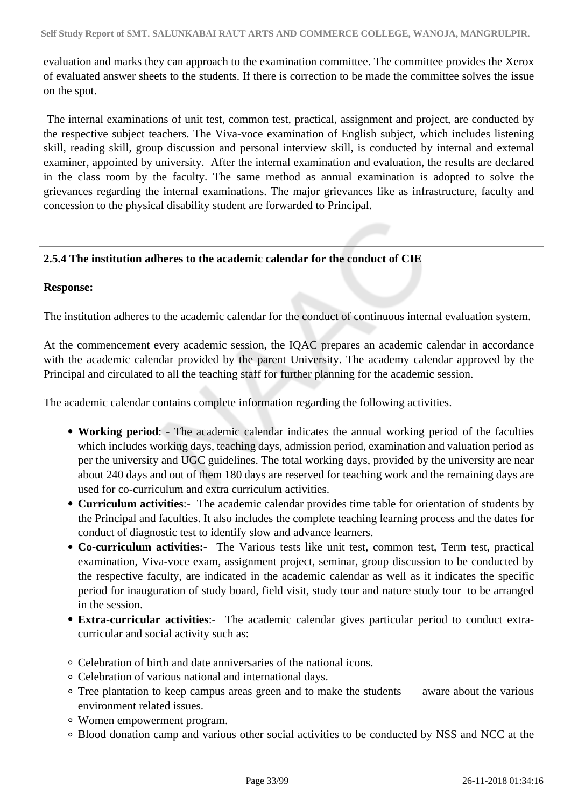evaluation and marks they can approach to the examination committee. The committee provides the Xerox of evaluated answer sheets to the students. If there is correction to be made the committee solves the issue on the spot.

 The internal examinations of unit test, common test, practical, assignment and project, are conducted by the respective subject teachers. The Viva-voce examination of English subject, which includes listening skill, reading skill, group discussion and personal interview skill, is conducted by internal and external examiner, appointed by university. After the internal examination and evaluation, the results are declared in the class room by the faculty. The same method as annual examination is adopted to solve the grievances regarding the internal examinations. The major grievances like as infrastructure, faculty and concession to the physical disability student are forwarded to Principal.

### **2.5.4 The institution adheres to the academic calendar for the conduct of CIE**

### **Response:**

The institution adheres to the academic calendar for the conduct of continuous internal evaluation system.

At the commencement every academic session, the IQAC prepares an academic calendar in accordance with the academic calendar provided by the parent University. The academy calendar approved by the Principal and circulated to all the teaching staff for further planning for the academic session.

The academic calendar contains complete information regarding the following activities.

- **Working period**: The academic calendar indicates the annual working period of the faculties which includes working days, teaching days, admission period, examination and valuation period as per the university and UGC guidelines. The total working days, provided by the university are near about 240 days and out of them 180 days are reserved for teaching work and the remaining days are used for co-curriculum and extra curriculum activities.
- **Curriculum activities**:- The academic calendar provides time table for orientation of students by the Principal and faculties. It also includes the complete teaching learning process and the dates for conduct of diagnostic test to identify slow and advance learners.
- **Co-curriculum activities:-** The Various tests like unit test, common test, Term test, practical examination, Viva-voce exam, assignment project, seminar, group discussion to be conducted by the respective faculty, are indicated in the academic calendar as well as it indicates the specific period for inauguration of study board, field visit, study tour and nature study tour to be arranged in the session.
- **Extra-curricular activities**:- The academic calendar gives particular period to conduct extracurricular and social activity such as:
- Celebration of birth and date anniversaries of the national icons.
- Celebration of various national and international days.
- Tree plantation to keep campus areas green and to make the students aware about the various environment related issues.
- Women empowerment program.
- Blood donation camp and various other social activities to be conducted by NSS and NCC at the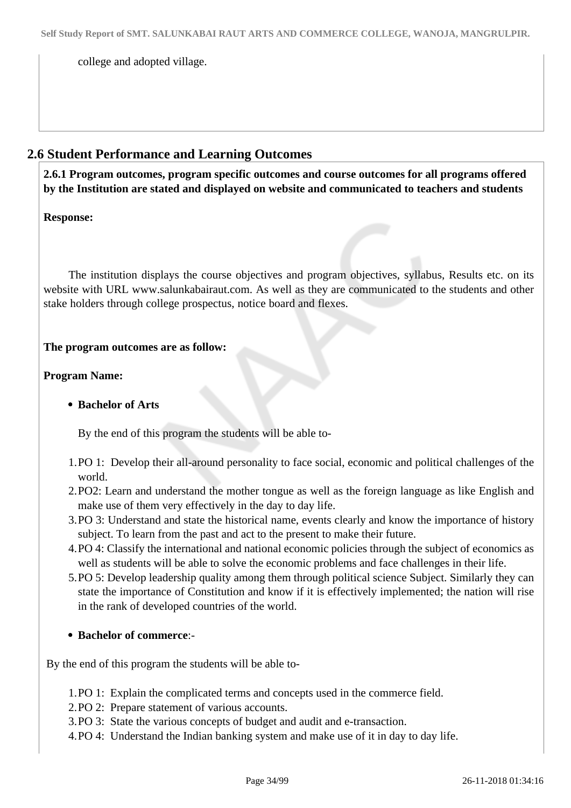college and adopted village.

### **2.6 Student Performance and Learning Outcomes**

 **2.6.1 Program outcomes, program specific outcomes and course outcomes for all programs offered by the Institution are stated and displayed on website and communicated to teachers and students**

### **Response:**

 The institution displays the course objectives and program objectives, syllabus, Results etc. on its website with URL www.salunkabairaut.com. As well as they are communicated to the students and other stake holders through college prospectus, notice board and flexes.

### **The program outcomes are as follow:**

### **Program Name:**

### **Bachelor of Arts**

By the end of this program the students will be able to-

- 1.PO 1: Develop their all-around personality to face social, economic and political challenges of the world.
- 2.PO2: Learn and understand the mother tongue as well as the foreign language as like English and make use of them very effectively in the day to day life.
- 3.PO 3: Understand and state the historical name, events clearly and know the importance of history subject. To learn from the past and act to the present to make their future.
- 4.PO 4: Classify the international and national economic policies through the subject of economics as well as students will be able to solve the economic problems and face challenges in their life.
- 5.PO 5: Develop leadership quality among them through political science Subject. Similarly they can state the importance of Constitution and know if it is effectively implemented; the nation will rise in the rank of developed countries of the world.
- **Bachelor of commerce**:-

By the end of this program the students will be able to-

- 1.PO 1: Explain the complicated terms and concepts used in the commerce field.
- 2.PO 2: Prepare statement of various accounts.
- 3.PO 3: State the various concepts of budget and audit and e-transaction.
- 4.PO 4: Understand the Indian banking system and make use of it in day to day life.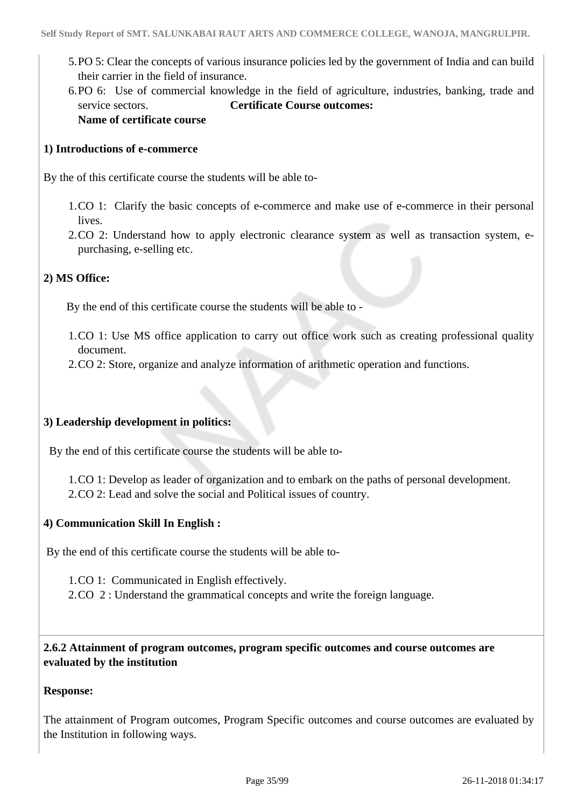- 5.PO 5: Clear the concepts of various insurance policies led by the government of India and can build their carrier in the field of insurance.
- 6.PO 6: Use of commercial knowledge in the field of agriculture, industries, banking, trade and service sectors. **Certificate Course outcomes: Name of certificate course**

### **1) Introductions of e-commerce**

By the of this certificate course the students will be able to-

- 1.CO 1: Clarify the basic concepts of e-commerce and make use of e-commerce in their personal lives.
- 2.CO 2: Understand how to apply electronic clearance system as well as transaction system, epurchasing, e-selling etc.

### **2) MS Office:**

By the end of this certificate course the students will be able to -

- 1.CO 1: Use MS office application to carry out office work such as creating professional quality document.
- 2.CO 2: Store, organize and analyze information of arithmetic operation and functions.

### **3) Leadership development in politics:**

By the end of this certificate course the students will be able to-

1.CO 1: Develop as leader of organization and to embark on the paths of personal development. 2.CO 2: Lead and solve the social and Political issues of country.

### **4) Communication Skill In English :**

By the end of this certificate course the students will be able to-

1.CO 1: Communicated in English effectively.

2.CO 2 : Understand the grammatical concepts and write the foreign language.

 **2.6.2 Attainment of program outcomes, program specific outcomes and course outcomes are evaluated by the institution**

#### **Response:**

The attainment of Program outcomes, Program Specific outcomes and course outcomes are evaluated by the Institution in following ways.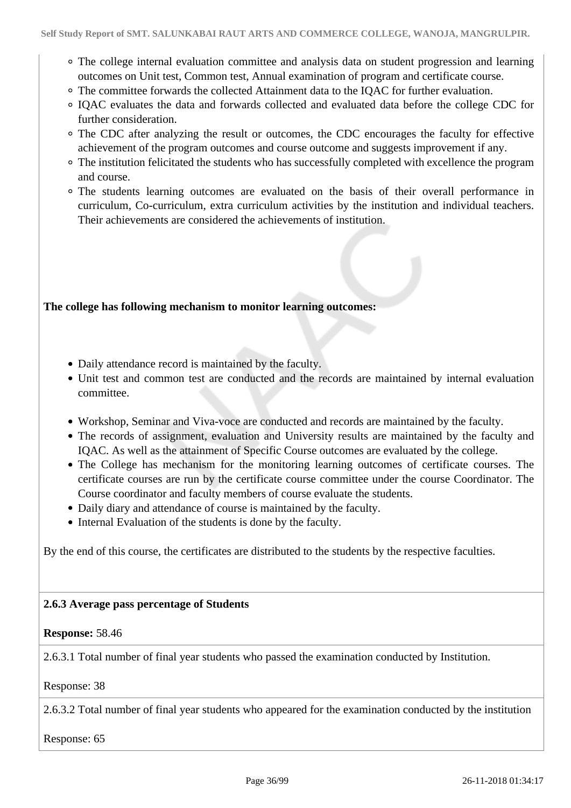- The college internal evaluation committee and analysis data on student progression and learning outcomes on Unit test, Common test, Annual examination of program and certificate course.
- The committee forwards the collected Attainment data to the IQAC for further evaluation.
- IQAC evaluates the data and forwards collected and evaluated data before the college CDC for further consideration.
- The CDC after analyzing the result or outcomes, the CDC encourages the faculty for effective achievement of the program outcomes and course outcome and suggests improvement if any.
- The institution felicitated the students who has successfully completed with excellence the program and course.
- The students learning outcomes are evaluated on the basis of their overall performance in curriculum, Co-curriculum, extra curriculum activities by the institution and individual teachers. Their achievements are considered the achievements of institution.

### **The college has following mechanism to monitor learning outcomes:**

- Daily attendance record is maintained by the faculty.
- Unit test and common test are conducted and the records are maintained by internal evaluation committee.
- Workshop, Seminar and Viva-voce are conducted and records are maintained by the faculty.
- The records of assignment, evaluation and University results are maintained by the faculty and IQAC. As well as the attainment of Specific Course outcomes are evaluated by the college.
- The College has mechanism for the monitoring learning outcomes of certificate courses. The certificate courses are run by the certificate course committee under the course Coordinator. The Course coordinator and faculty members of course evaluate the students.
- Daily diary and attendance of course is maintained by the faculty.
- Internal Evaluation of the students is done by the faculty.

By the end of this course, the certificates are distributed to the students by the respective faculties.

### **2.6.3 Average pass percentage of Students**

### **Response:** 58.46

2.6.3.1 Total number of final year students who passed the examination conducted by Institution.

### Response: 38

2.6.3.2 Total number of final year students who appeared for the examination conducted by the institution

Response: 65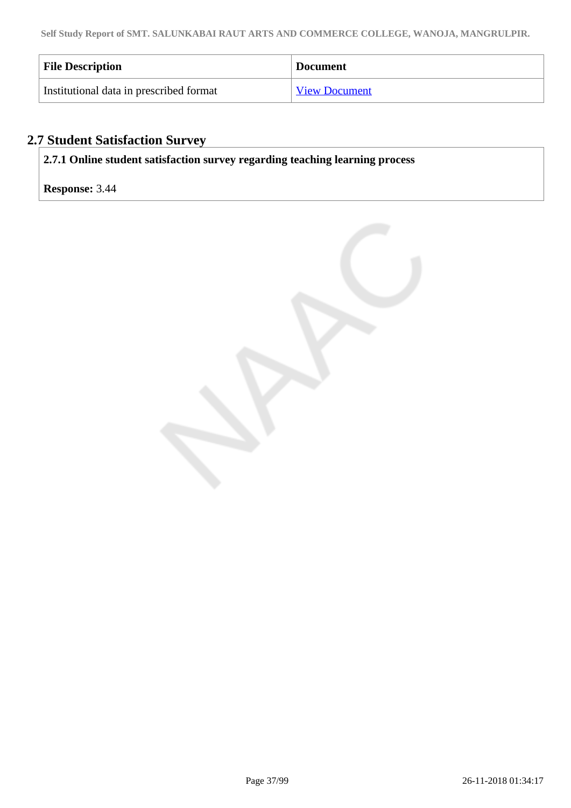| <b>File Description</b>                 | <b>Document</b>      |
|-----------------------------------------|----------------------|
| Institutional data in prescribed format | <b>View Document</b> |

# **2.7 Student Satisfaction Survey**

**2.7.1 Online student satisfaction survey regarding teaching learning process**

# **Response:** 3.44

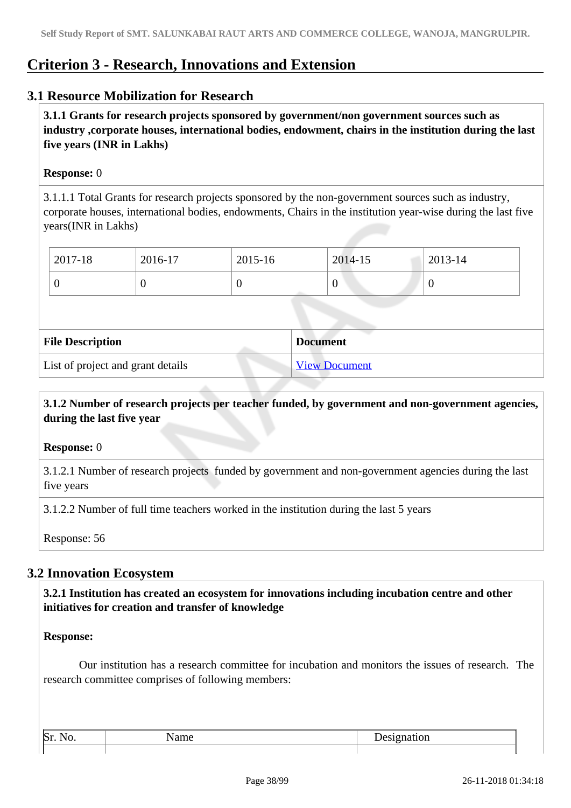# **Criterion 3 - Research, Innovations and Extension**

# **3.1 Resource Mobilization for Research**

 **3.1.1 Grants for research projects sponsored by government/non government sources such as industry ,corporate houses, international bodies, endowment, chairs in the institution during the last five years (INR in Lakhs)** 

## **Response:** 0

3.1.1.1 Total Grants for research projects sponsored by the non-government sources such as industry, corporate houses, international bodies, endowments, Chairs in the institution year-wise during the last five years(INR in Lakhs)

| 2017-18 | 2016-17 | 2015-16 | 2014-15 | 2013-14 |
|---------|---------|---------|---------|---------|
|         |         | ν       | U       |         |

| <b>File Description</b>           | <b>Document</b>      |
|-----------------------------------|----------------------|
| List of project and grant details | <b>View Document</b> |

# **3.1.2 Number of research projects per teacher funded, by government and non-government agencies, during the last five year**

## **Response:** 0

3.1.2.1 Number of research projects funded by government and non-government agencies during the last five years

3.1.2.2 Number of full time teachers worked in the institution during the last 5 years

Response: 56

# **3.2 Innovation Ecosystem**

 **3.2.1 Institution has created an ecosystem for innovations including incubation centre and other initiatives for creation and transfer of knowledge**

## **Response:**

 Our institution has a research committee for incubation and monitors the issues of research. The research committee comprises of following members:

| $\mathbb{R}$ |  |
|--------------|--|
|              |  |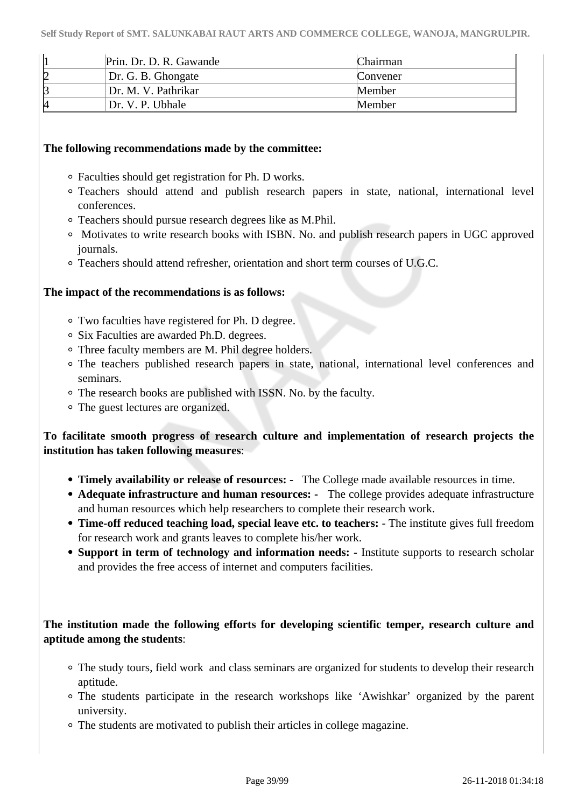|   | Prin. Dr. D. R. Gawande | Chairman |
|---|-------------------------|----------|
|   | Dr. G. B. Ghomgate      | Convener |
|   | Dr. M. V. Pathrikar     | Member   |
| И | Dr. V. P. Ubhale        | Member   |

## **The following recommendations made by the committee:**

- Faculties should get registration for Ph. D works.
- Teachers should attend and publish research papers in state, national, international level conferences.
- Teachers should pursue research degrees like as M.Phil.
- Motivates to write research books with ISBN. No. and publish research papers in UGC approved journals.
- Teachers should attend refresher, orientation and short term courses of U.G.C.

## **The impact of the recommendations is as follows:**

- Two faculties have registered for Ph. D degree.
- Six Faculties are awarded Ph.D. degrees.
- Three faculty members are M. Phil degree holders.
- The teachers published research papers in state, national, international level conferences and seminars.
- The research books are published with ISSN. No. by the faculty.
- The guest lectures are organized.

# **To facilitate smooth progress of research culture and implementation of research projects the institution has taken following measures**:

- **Timely availability or release of resources:** The College made available resources in time.
- **Adequate infrastructure and human resources:** The college provides adequate infrastructure and human resources which help researchers to complete their research work.
- **Time-off reduced teaching load, special leave etc. to teachers:**  The institute gives full freedom for research work and grants leaves to complete his/her work.
- **Support in term of technology and information needs:** Institute supports to research scholar and provides the free access of internet and computers facilities.

# **The institution made the following efforts for developing scientific temper, research culture and aptitude among the students**:

- The study tours, field work and class seminars are organized for students to develop their research aptitude.
- The students participate in the research workshops like 'Awishkar' organized by the parent university.
- The students are motivated to publish their articles in college magazine.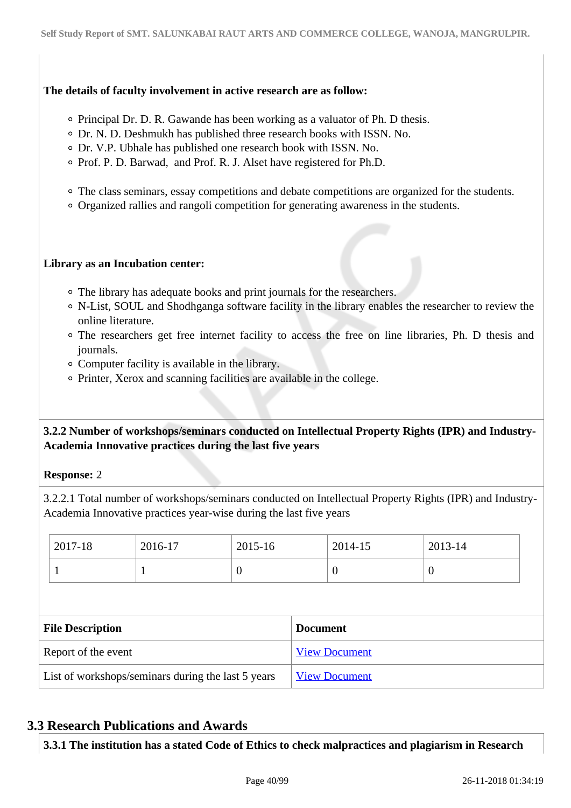## **The details of faculty involvement in active research are as follow:**

- Principal Dr. D. R. Gawande has been working as a valuator of Ph. D thesis.
- Dr. N. D. Deshmukh has published three research books with ISSN. No.
- Dr. V.P. Ubhale has published one research book with ISSN. No.
- Prof. P. D. Barwad, and Prof. R. J. Alset have registered for Ph.D.
- The class seminars, essay competitions and debate competitions are organized for the students.
- Organized rallies and rangoli competition for generating awareness in the students.

## **Library as an Incubation center:**

- The library has adequate books and print journals for the researchers.
- N-List, SOUL and Shodhganga software facility in the library enables the researcher to review the online literature.
- The researchers get free internet facility to access the free on line libraries, Ph. D thesis and journals.
- Computer facility is available in the library.
- Printer, Xerox and scanning facilities are available in the college.

# **3.2.2 Number of workshops/seminars conducted on Intellectual Property Rights (IPR) and Industry-Academia Innovative practices during the last five years**

## **Response:** 2

3.2.2.1 Total number of workshops/seminars conducted on Intellectual Property Rights (IPR) and Industry-Academia Innovative practices year-wise during the last five years

|                                                    | 2017-18 | 2016-17              | 2015-16              |  | 2014-15  | 2013-14          |  |
|----------------------------------------------------|---------|----------------------|----------------------|--|----------|------------------|--|
|                                                    |         | л                    | $\theta$             |  | $\theta$ | $\boldsymbol{0}$ |  |
|                                                    |         |                      |                      |  |          |                  |  |
| <b>File Description</b><br><b>Document</b>         |         |                      |                      |  |          |                  |  |
| Report of the event                                |         | <b>View Document</b> |                      |  |          |                  |  |
| List of workshops/seminars during the last 5 years |         |                      | <b>View Document</b> |  |          |                  |  |

# **3.3 Research Publications and Awards**

**3.3.1 The institution has a stated Code of Ethics to check malpractices and plagiarism in Research**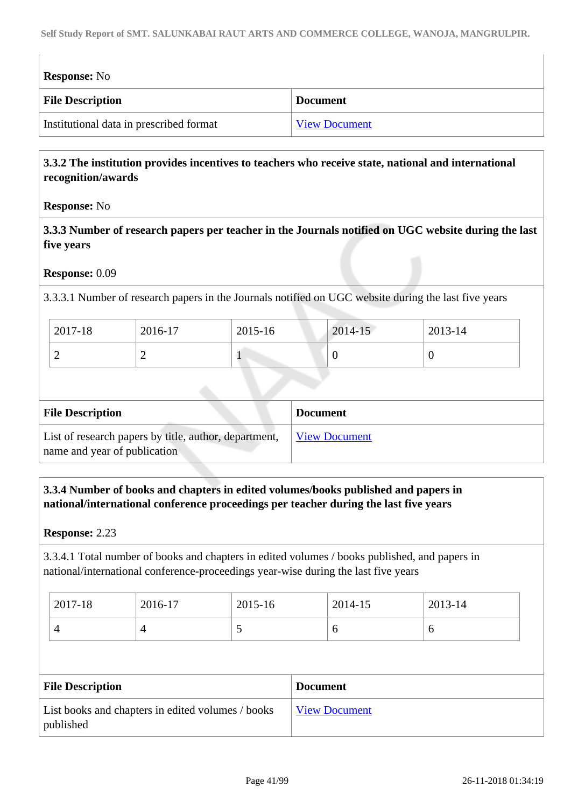| <b>Response:</b> No                     |                      |
|-----------------------------------------|----------------------|
| <b>File Description</b>                 | <b>Document</b>      |
| Institutional data in prescribed format | <b>View Document</b> |

# **3.3.2 The institution provides incentives to teachers who receive state, national and international recognition/awards**

## **Response:** No

 **3.3.3 Number of research papers per teacher in the Journals notified on UGC website during the last five years**

## **Response:** 0.09

3.3.3.1 Number of research papers in the Journals notified on UGC website during the last five years

| 2017-18 | 2016-17 | 2015-16 | 2014-15 | 2013-14 |
|---------|---------|---------|---------|---------|
| ∼       | -       |         |         | ν       |

| <b>File Description</b>                                                               | <b>Document</b>      |
|---------------------------------------------------------------------------------------|----------------------|
| List of research papers by title, author, department,<br>name and year of publication | <b>View Document</b> |

# **3.3.4 Number of books and chapters in edited volumes/books published and papers in national/international conference proceedings per teacher during the last five years**

**Response:** 2.23

3.3.4.1 Total number of books and chapters in edited volumes / books published, and papers in national/international conference-proceedings year-wise during the last five years

| 2017-18 | 2016-17 | 2015-16  | 2014-15 | 2013-14 |
|---------|---------|----------|---------|---------|
| $\sim$  |         | <b>~</b> |         | ◡       |

| <b>File Description</b>                                        | <b>Document</b> |
|----------------------------------------------------------------|-----------------|
| List books and chapters in edited volumes / books<br>published | View Document   |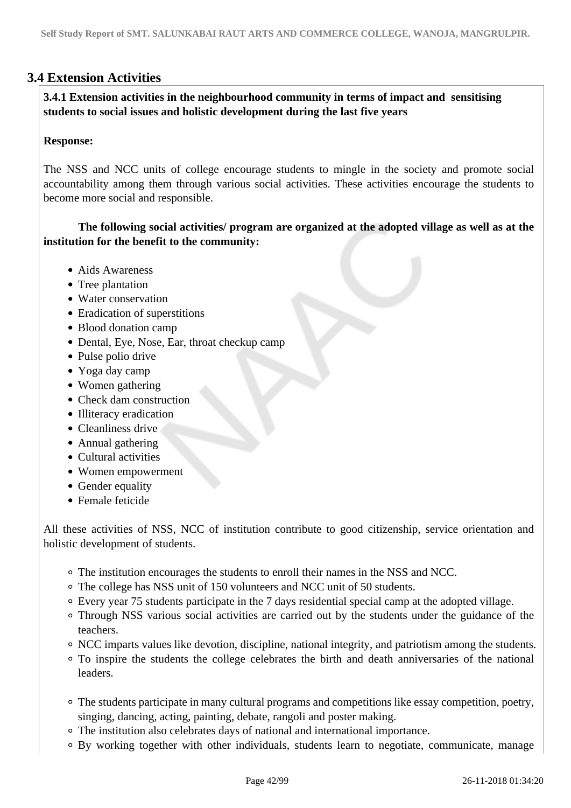# **3.4 Extension Activities**

 **3.4.1 Extension activities in the neighbourhood community in terms of impact and sensitising students to social issues and holistic development during the last five years**

## **Response:**

The NSS and NCC units of college encourage students to mingle in the society and promote social accountability among them through various social activities. These activities encourage the students to become more social and responsible.

# **The following social activities/ program are organized at the adopted village as well as at the institution for the benefit to the community:**

- Aids Awareness
- Tree plantation
- Water conservation
- Eradication of superstitions
- Blood donation camp
- Dental, Eye, Nose, Ear, throat checkup camp
- Pulse polio drive
- Yoga day camp
- Women gathering
- Check dam construction
- Illiteracy eradication
- Cleanliness drive
- Annual gathering
- Cultural activities
- Women empowerment
- Gender equality
- Female feticide

All these activities of NSS, NCC of institution contribute to good citizenship, service orientation and holistic development of students.

- The institution encourages the students to enroll their names in the NSS and NCC.
- The college has NSS unit of 150 volunteers and NCC unit of 50 students.
- Every year 75 students participate in the 7 days residential special camp at the adopted village.
- Through NSS various social activities are carried out by the students under the guidance of the teachers.
- NCC imparts values like devotion, discipline, national integrity, and patriotism among the students.
- To inspire the students the college celebrates the birth and death anniversaries of the national leaders.
- The students participate in many cultural programs and competitions like essay competition, poetry, singing, dancing, acting, painting, debate, rangoli and poster making.
- The institution also celebrates days of national and international importance.
- By working together with other individuals, students learn to negotiate, communicate, manage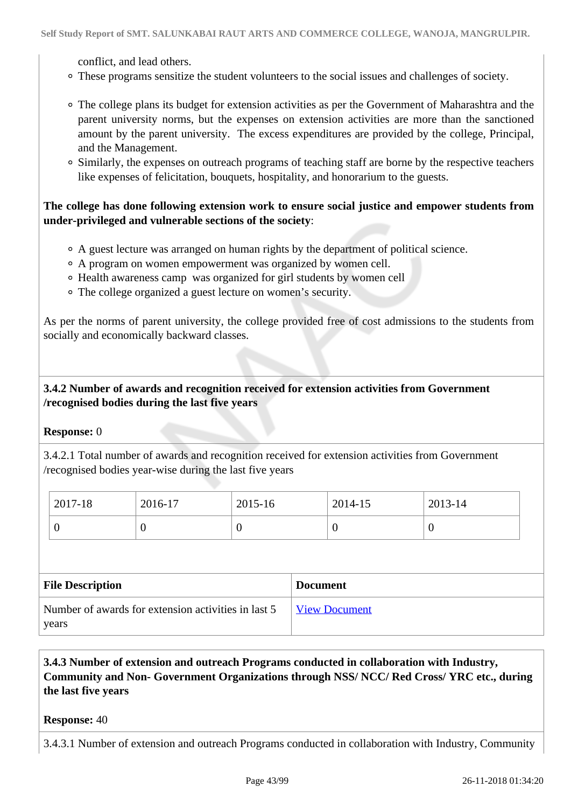conflict, and lead others.

- These programs sensitize the student volunteers to the social issues and challenges of society.
- The college plans its budget for extension activities as per the Government of Maharashtra and the parent university norms, but the expenses on extension activities are more than the sanctioned amount by the parent university. The excess expenditures are provided by the college, Principal, and the Management.
- Similarly, the expenses on outreach programs of teaching staff are borne by the respective teachers like expenses of felicitation, bouquets, hospitality, and honorarium to the guests.

# **The college has done following extension work to ensure social justice and empower students from under-privileged and vulnerable sections of the society**:

- A guest lecture was arranged on human rights by the department of political science.
- A program on women empowerment was organized by women cell.
- Health awareness camp was organized for girl students by women cell
- The college organized a guest lecture on women's security.

As per the norms of parent university, the college provided free of cost admissions to the students from socially and economically backward classes.

# **3.4.2 Number of awards and recognition received for extension activities from Government /recognised bodies during the last five years**

## **Response:** 0

3.4.2.1 Total number of awards and recognition received for extension activities from Government /recognised bodies year-wise during the last five years

| $12017 - 18$ | 2016-17 | 2015-16 | 2014-15 | 2013-14 |
|--------------|---------|---------|---------|---------|
|              |         | ν       | U       |         |

| <b>File Description</b>                                      | <b>Document</b> |
|--------------------------------------------------------------|-----------------|
| Number of awards for extension activities in last 5<br>years | View Document   |

# **3.4.3 Number of extension and outreach Programs conducted in collaboration with Industry, Community and Non- Government Organizations through NSS/ NCC/ Red Cross/ YRC etc., during the last five years**

## **Response:** 40

3.4.3.1 Number of extension and outreach Programs conducted in collaboration with Industry, Community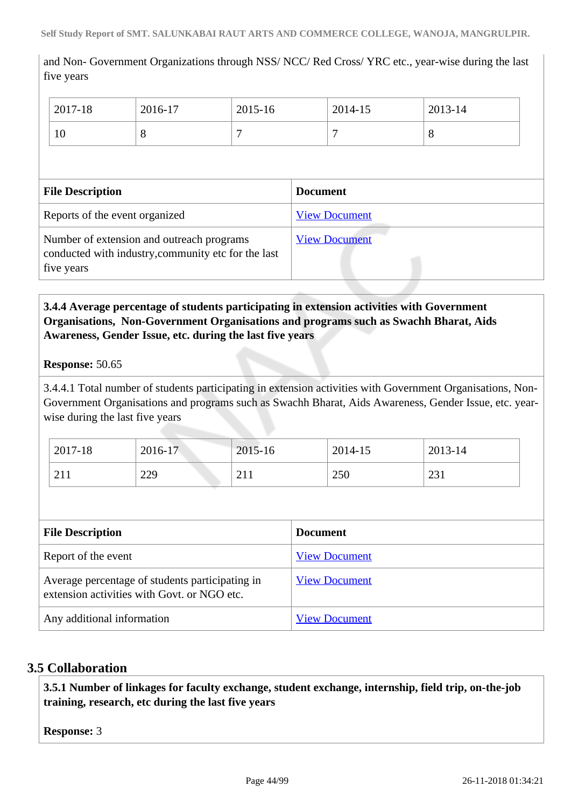and Non- Government Organizations through NSS/ NCC/ Red Cross/ YRC etc., year-wise during the last five years

| 2017-18 | 2016-17 | 2015-16 | 2014-15 | 2013-14 |
|---------|---------|---------|---------|---------|
| 10      | $\circ$ |         | -       | $\circ$ |

| <b>File Description</b>                                                                                        | <b>Document</b>      |
|----------------------------------------------------------------------------------------------------------------|----------------------|
| Reports of the event organized                                                                                 | <b>View Document</b> |
| Number of extension and outreach programs<br>conducted with industry, community etc for the last<br>five years | <b>View Document</b> |

# **3.4.4 Average percentage of students participating in extension activities with Government Organisations, Non-Government Organisations and programs such as Swachh Bharat, Aids Awareness, Gender Issue, etc. during the last five years**

## **Response:** 50.65

3.4.4.1 Total number of students participating in extension activities with Government Organisations, Non-Government Organisations and programs such as Swachh Bharat, Aids Awareness, Gender Issue, etc. yearwise during the last five years

| 2017-18 | 2016-17 | $2015 - 16$ | 2014-15 | 2013-14                |
|---------|---------|-------------|---------|------------------------|
| 211     | 229     | 211<br>211  | 250     | 231<br>$\sim$ 40 $\pm$ |

| <b>File Description</b>                                                                        | <b>Document</b>      |
|------------------------------------------------------------------------------------------------|----------------------|
| Report of the event                                                                            | <b>View Document</b> |
| Average percentage of students participating in<br>extension activities with Govt. or NGO etc. | <b>View Document</b> |
| Any additional information                                                                     | <b>View Document</b> |

# **3.5 Collaboration**

 **3.5.1 Number of linkages for faculty exchange, student exchange, internship, field trip, on-the-job training, research, etc during the last five years**

**Response:** 3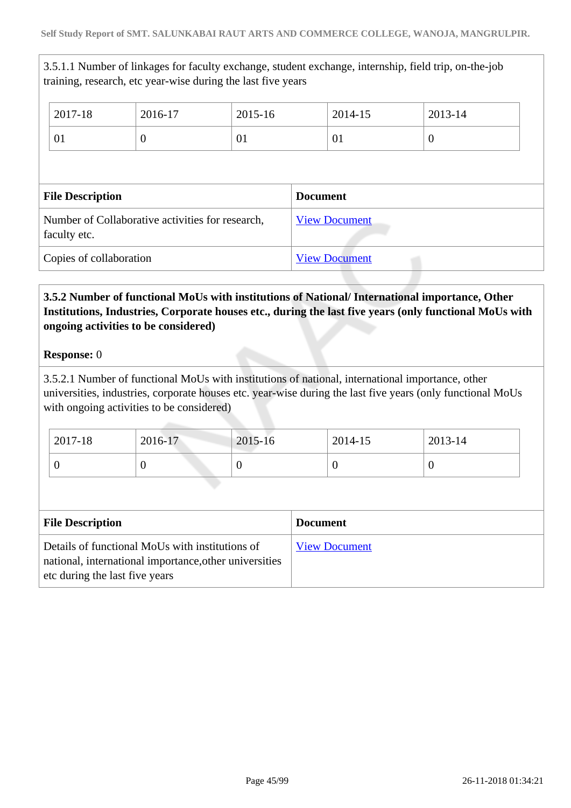3.5.1.1 Number of linkages for faculty exchange, student exchange, internship, field trip, on-the-job training, research, etc year-wise during the last five years

| 2017-18                                                          | 2016-17  | 2015-16 |                 | 2014-15              | 2013-14          |
|------------------------------------------------------------------|----------|---------|-----------------|----------------------|------------------|
| 01                                                               | $\theta$ | 01      |                 | 01                   | $\boldsymbol{0}$ |
|                                                                  |          |         |                 |                      |                  |
| <b>File Description</b>                                          |          |         | <b>Document</b> |                      |                  |
| Number of Collaborative activities for research,<br>faculty etc. |          |         |                 |                      |                  |
|                                                                  |          |         |                 | <b>View Document</b> |                  |

# **3.5.2 Number of functional MoUs with institutions of National/ International importance, Other Institutions, Industries, Corporate houses etc., during the last five years (only functional MoUs with ongoing activities to be considered)**

## **Response:** 0

3.5.2.1 Number of functional MoUs with institutions of national, international importance, other universities, industries, corporate houses etc. year-wise during the last five years (only functional MoUs with ongoing activities to be considered)

| $2017 - 18$ | 2016-17 | $2015 - 16$ | 2014-15 | 2013-14 |
|-------------|---------|-------------|---------|---------|
|             |         | U           |         |         |

| <b>File Description</b>                                                                                                                     | <b>Document</b>      |
|---------------------------------------------------------------------------------------------------------------------------------------------|----------------------|
| Details of functional MoUs with institutions of<br>national, international importance, other universities<br>etc during the last five years | <b>View Document</b> |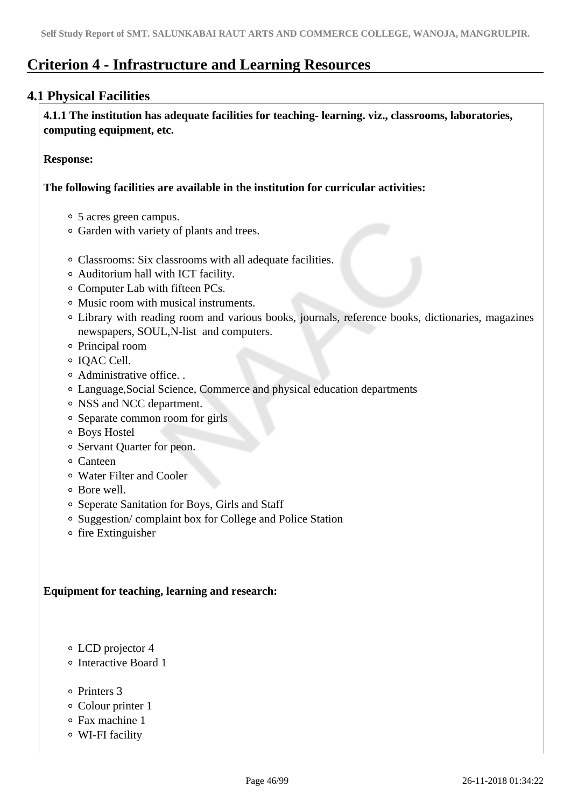# **Criterion 4 - Infrastructure and Learning Resources**

# **4.1 Physical Facilities**

 **4.1.1 The institution has adequate facilities for teaching- learning. viz., classrooms, laboratories, computing equipment, etc.**

**Response:** 

**The following facilities are available in the institution for curricular activities:**

- 5 acres green campus.
- Garden with variety of plants and trees.
- Classrooms: Six classrooms with all adequate facilities.
- Auditorium hall with ICT facility.
- Computer Lab with fifteen PCs.
- Music room with musical instruments.
- Library with reading room and various books, journals, reference books, dictionaries, magazines newspapers, SOUL,N-list and computers.
- Principal room
- IQAC Cell.
- Administrative office. .
- Language,Social Science, Commerce and physical education departments
- NSS and NCC department.
- Separate common room for girls
- Boys Hostel
- Servant Ouarter for peon.
- Canteen
- Water Filter and Cooler
- Bore well.
- Seperate Sanitation for Boys, Girls and Staff
- Suggestion/ complaint box for College and Police Station
- o fire Extinguisher

# **Equipment for teaching, learning and research:**

- LCD projector 4
- Interactive Board 1
- Printers 3
- Colour printer 1
- Fax machine 1
- WI-FI facility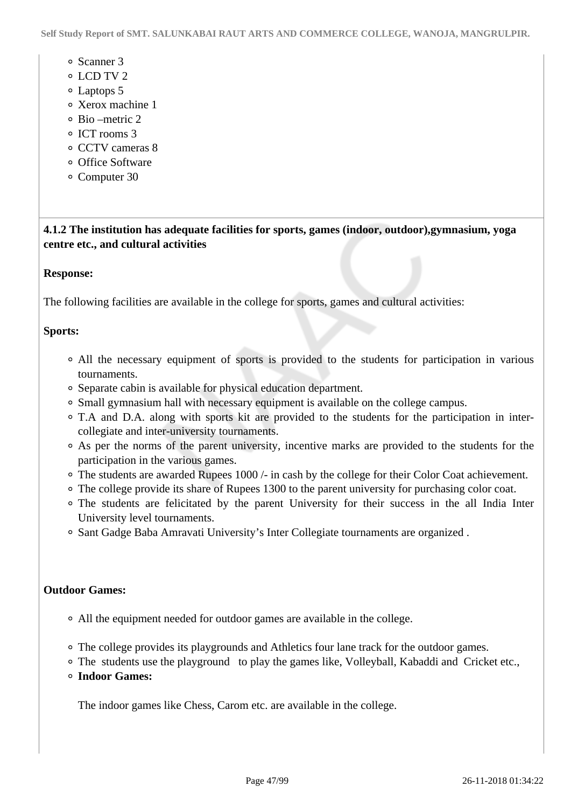- Scanner 3
- LCD TV 2
- Laptops 5
- Xerox machine 1
- Bio –metric 2
- o ICT rooms 3
- CCTV cameras 8
- o Office Software
- Computer 30

 **4.1.2 The institution has adequate facilities for sports, games (indoor, outdoor),gymnasium, yoga centre etc., and cultural activities**

## **Response:**

The following facilities are available in the college for sports, games and cultural activities:

## **Sports:**

- All the necessary equipment of sports is provided to the students for participation in various tournaments.
- Separate cabin is available for physical education department.
- Small gymnasium hall with necessary equipment is available on the college campus.
- T.A and D.A. along with sports kit are provided to the students for the participation in intercollegiate and inter-university tournaments.
- As per the norms of the parent university, incentive marks are provided to the students for the participation in the various games.
- The students are awarded Rupees 1000 /- in cash by the college for their Color Coat achievement.
- The college provide its share of Rupees 1300 to the parent university for purchasing color coat.
- The students are felicitated by the parent University for their success in the all India Inter University level tournaments.
- Sant Gadge Baba Amravati University's Inter Collegiate tournaments are organized .

## **Outdoor Games:**

- All the equipment needed for outdoor games are available in the college.
- The college provides its playgrounds and Athletics four lane track for the outdoor games.
- The students use the playground to play the games like, Volleyball, Kabaddi and Cricket etc.,
- **Indoor Games:**

The indoor games like Chess, Carom etc. are available in the college.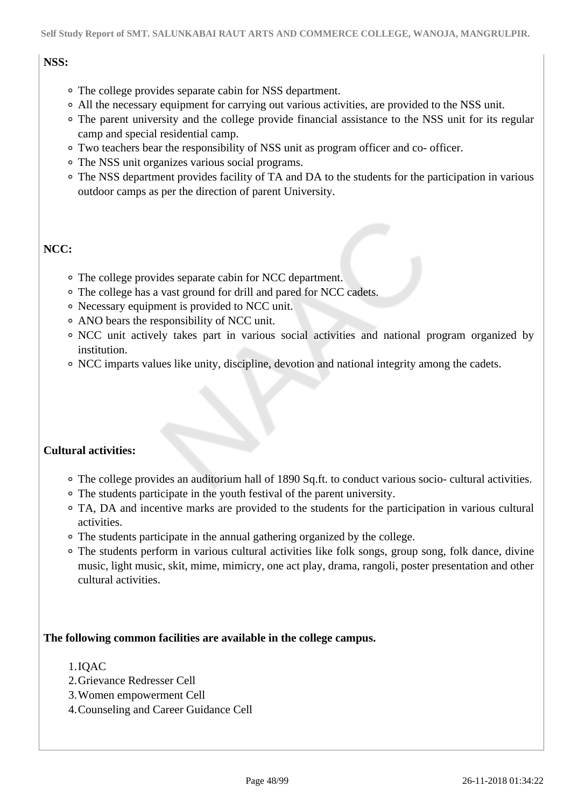# **NSS:**

- The college provides separate cabin for NSS department.
- All the necessary equipment for carrying out various activities, are provided to the NSS unit.
- The parent university and the college provide financial assistance to the NSS unit for its regular camp and special residential camp.
- Two teachers bear the responsibility of NSS unit as program officer and co- officer.
- The NSS unit organizes various social programs.
- The NSS department provides facility of TA and DA to the students for the participation in various outdoor camps as per the direction of parent University.

# **NCC:**

- The college provides separate cabin for NCC department.
- The college has a vast ground for drill and pared for NCC cadets.
- Necessary equipment is provided to NCC unit.
- ANO bears the responsibility of NCC unit.
- NCC unit actively takes part in various social activities and national program organized by institution.
- NCC imparts values like unity, discipline, devotion and national integrity among the cadets.

# **Cultural activities:**

- The college provides an auditorium hall of 1890 Sq.ft. to conduct various socio- cultural activities.
- The students participate in the youth festival of the parent university.
- TA, DA and incentive marks are provided to the students for the participation in various cultural activities.
- The students participate in the annual gathering organized by the college.
- The students perform in various cultural activities like folk songs, group song, folk dance, divine music, light music, skit, mime, mimicry, one act play, drama, rangoli, poster presentation and other cultural activities.

## **The following common facilities are available in the college campus.**

## 1.IQAC

- 2.Grievance Redresser Cell
- 3.Women empowerment Cell
- 4.Counseling and Career Guidance Cell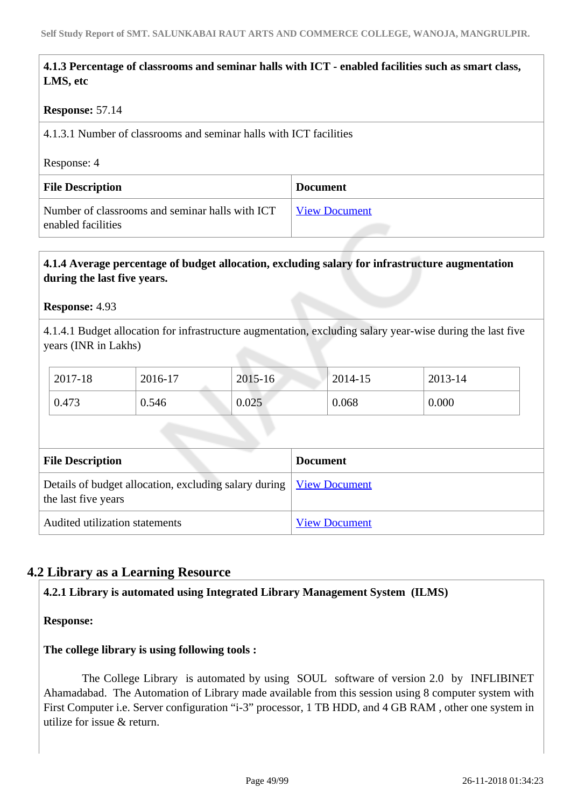# **4.1.3 Percentage of classrooms and seminar halls with ICT - enabled facilities such as smart class, LMS, etc**

## **Response:** 57.14

4.1.3.1 Number of classrooms and seminar halls with ICT facilities

Response: 4

| <b>File Description</b>                                               | <b>Document</b>      |
|-----------------------------------------------------------------------|----------------------|
| Number of classrooms and seminar halls with ICT<br>enabled facilities | <b>View Document</b> |

## **4.1.4 Average percentage of budget allocation, excluding salary for infrastructure augmentation during the last five years.**

## **Response:** 4.93

4.1.4.1 Budget allocation for infrastructure augmentation, excluding salary year-wise during the last five years (INR in Lakhs)

| 2017-18 | 2016-17 | $2015 - 16$ | 2014-15 | 2013-14 |
|---------|---------|-------------|---------|---------|
| 0.473   | 0.546   | 0.025       | 0.068   | 0.000   |

| <b>File Description</b>                                                                             | <b>Document</b>      |
|-----------------------------------------------------------------------------------------------------|----------------------|
| Details of budget allocation, excluding salary during   <u>View Document</u><br>the last five years |                      |
| Audited utilization statements                                                                      | <b>View Document</b> |

# **4.2 Library as a Learning Resource**

## **4.2.1 Library is automated using Integrated Library Management System (ILMS)**

**Response:** 

## **The college library is using following tools :**

The College Library is automated by using SOUL software of version 2.0 by INFLIBINET Ahamadabad. The Automation of Library made available from this session using 8 computer system with First Computer i.e. Server configuration "i-3" processor, 1 TB HDD, and 4 GB RAM , other one system in utilize for issue & return.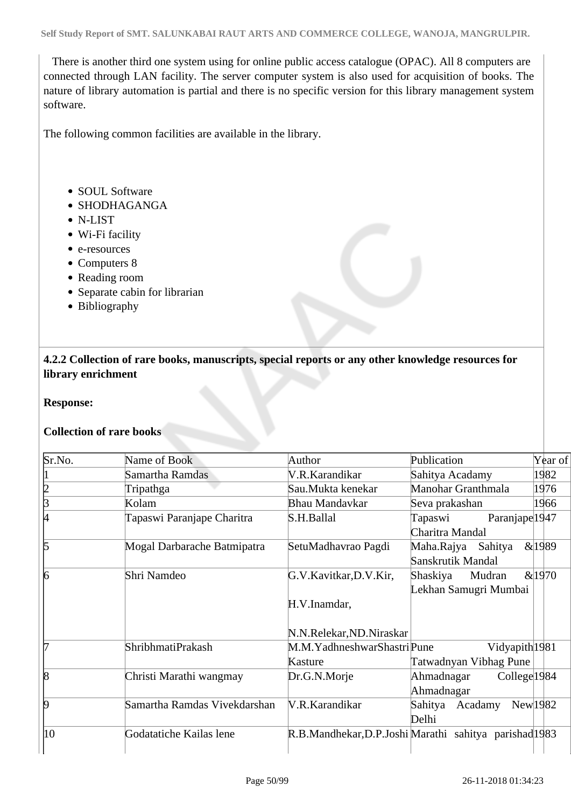There is another third one system using for online public access catalogue (OPAC). All 8 computers are connected through LAN facility. The server computer system is also used for acquisition of books. The nature of library automation is partial and there is no specific version for this library management system software.

The following common facilities are available in the library.

- SOUL Software
- SHODHAGANGA
- N-LIST
- Wi-Fi facility
- e-resources
- Computers 8
- Reading room
- Separate cabin for librarian
- Bibliography

 **4.2.2 Collection of rare books, manuscripts, special reports or any other knowledge resources for library enrichment**

#### **Response:**

## **Collection of rare books**

| Sr.No. | Name of Book                 | Author                                                 | Publication                                             | Year of                 |
|--------|------------------------------|--------------------------------------------------------|---------------------------------------------------------|-------------------------|
|        | Samartha Ramdas              | V.R.Karandikar                                         | Sahitya Acadamy                                         | 1982                    |
|        | Tripathga                    | Sau.Mukta kenekar                                      | Manohar Granthmala                                      | 1976                    |
| B      | Kolam                        | Bhau Mandavkar                                         | Seva prakashan                                          | 1966                    |
| 4      | Tapaswi Paranjape Charitra   | S.H.Ballal                                             | Paranjape <sup>1947</sup><br>Tapaswi<br>Charitra Mandal |                         |
| 15     | Mogal Darbarache Batmipatra  | SetuMadhavrao Pagdi                                    | Maha.Rajya Sahitya<br>Sanskrutik Mandal                 | &1989                   |
| 6      | Shri Namdeo                  | G.V.Kavitkar, D.V.Kir,<br>H.V.Inamdar,                 | Shaskiya<br>Mudran<br>Lekhan Samugri Mumbai             | &1970                   |
|        |                              | N.N.Relekar, ND.Niraskar                               |                                                         |                         |
|        | <b>ShribhmatiPrakash</b>     | M.M.YadhneshwarShastriPune<br>Kasture                  | Vidyapith <sup>1981</sup><br>Tatwadnyan Vibhag Pune     |                         |
| 18     | Christi Marathi wangmay      | Dr.G.N.Morje                                           | Ahmadnagar<br>Ahmadnagar                                | College <sup>1984</sup> |
| 19     | Samartha Ramdas Vivekdarshan | V.R.Karandikar                                         | Sahitya Acadamy<br>Delhi                                | New 1982                |
| 10     | Godatatiche Kailas lene      | R.B.Mandhekar, D.P.Joshi Marathi sahitya parishad 1983 |                                                         |                         |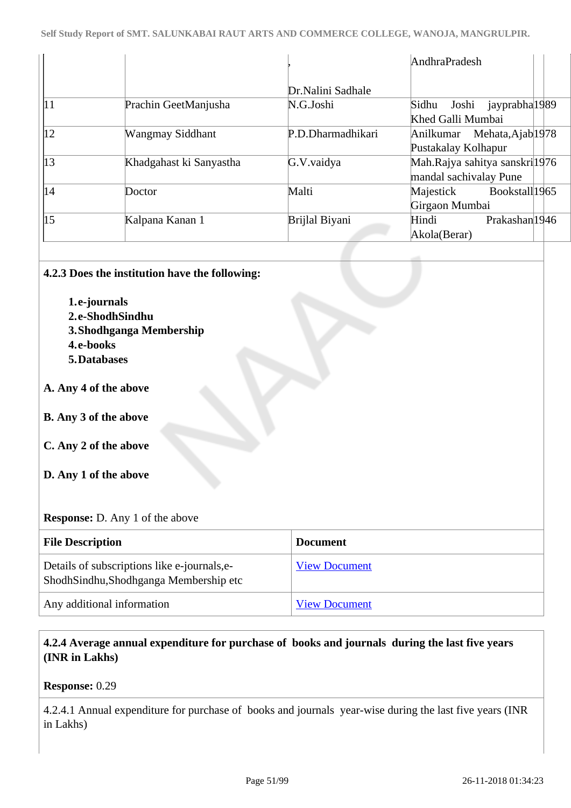|            |                         |                   | AndhraPradesh                          |
|------------|-------------------------|-------------------|----------------------------------------|
|            |                         | Dr.Nalini Sadhale |                                        |
| $\vert$ 1  | Prachin GeetManjusha    | N.G.Joshi         | Joshi jayprabha 1989<br>Sidhu          |
|            |                         |                   | Khed Galli Mumbai                      |
| 12         | <b>Wangmay Siddhant</b> | P.D.Dharmadhikari | Anilkumar Mehata, Ajab <sup>1978</sup> |
|            |                         |                   | Pustakalay Kolhapur                    |
| $\vert$ 13 | Khadgahast ki Sanyastha | G.V.vaidya        | Mah.Rajya sahitya sanskril1976         |
|            |                         |                   | mandal sachivalay Pune                 |
| 14         | Doctor                  | Malti             | Bookstall1965<br>Majestick             |
|            |                         |                   | Girgaon Mumbai                         |
| $\vert$ 15 | Kalpana Kanan 1         | Brijlal Biyani    | Prakashan <sup>1946</sup><br>Hindi     |
|            |                         |                   | Akola(Berar)                           |

## **4.2.3 Does the institution have the following:**

**1.e-journals 2.e-ShodhSindhu 3.Shodhganga Membership 4.e-books 5.Databases**

## **A. Any 4 of the above**

## **B. Any 3 of the above**

- **C. Any 2 of the above**
- **D. Any 1 of the above**

## **Response:** D. Any 1 of the above

| <b>File Description</b>                                                               | <b>Document</b>      |
|---------------------------------------------------------------------------------------|----------------------|
| Details of subscriptions like e-journals, e-<br>ShodhSindhu,Shodhganga Membership etc | <b>View Document</b> |
| Any additional information                                                            | <b>View Document</b> |

# **4.2.4 Average annual expenditure for purchase of books and journals during the last five years (INR in Lakhs)**

**Response:** 0.29

4.2.4.1 Annual expenditure for purchase of books and journals year-wise during the last five years (INR in Lakhs)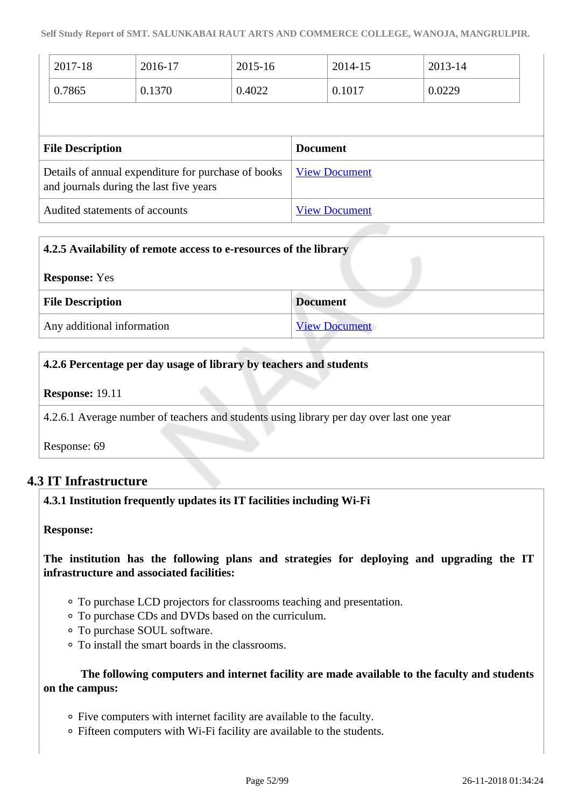| 2017-18                 | 2016-17                                                                                        | $2015 - 16$ |                 | 2014-15              | 2013-14 |  |
|-------------------------|------------------------------------------------------------------------------------------------|-------------|-----------------|----------------------|---------|--|
| 0.7865                  | 0.1370                                                                                         | 0.4022      |                 | 0.1017               | 0.0229  |  |
|                         |                                                                                                |             |                 |                      |         |  |
|                         |                                                                                                |             |                 |                      |         |  |
| <b>File Description</b> |                                                                                                |             | <b>Document</b> |                      |         |  |
|                         | Details of annual expenditure for purchase of books<br>and journals during the last five years |             |                 | <b>View Document</b> |         |  |

| 4.2.5 Availability of remote access to e-resources of the library |                      |  |  |
|-------------------------------------------------------------------|----------------------|--|--|
| <b>Response:</b> Yes                                              |                      |  |  |
| <b>File Description</b>                                           | <b>Document</b>      |  |  |
| Any additional information                                        | <b>View Document</b> |  |  |

# **4.2.6 Percentage per day usage of library by teachers and students**

**Response:** 19.11

4.2.6.1 Average number of teachers and students using library per day over last one year

Response: 69

# **4.3 IT Infrastructure**

## **4.3.1 Institution frequently updates its IT facilities including Wi-Fi**

**Response:** 

# **The institution has the following plans and strategies for deploying and upgrading the IT infrastructure and associated facilities:**

- To purchase LCD projectors for classrooms teaching and presentation.
- To purchase CDs and DVDs based on the curriculum.
- To purchase SOUL software.
- To install the smart boards in the classrooms.

## **The following computers and internet facility are made available to the faculty and students on the campus:**

- Five computers with internet facility are available to the faculty.
- Fifteen computers with Wi-Fi facility are available to the students.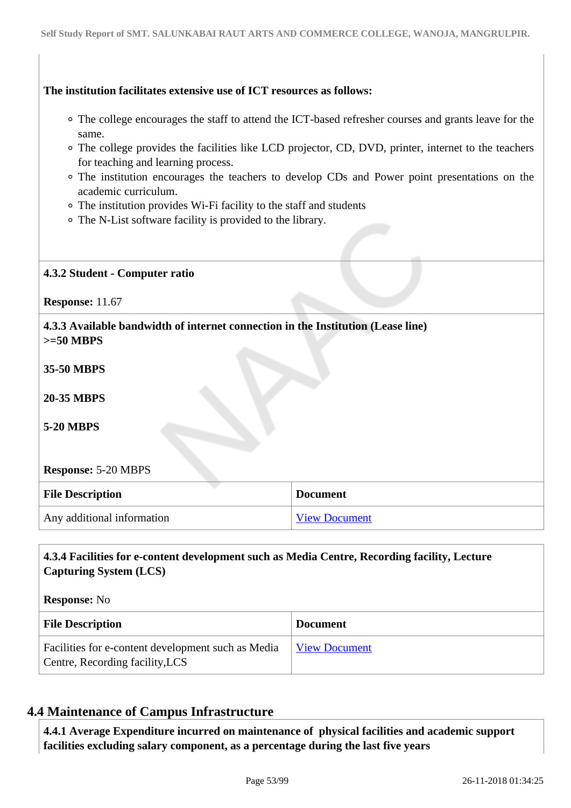## **The institution facilitates extensive use of ICT resources as follows:**

- The college encourages the staff to attend the ICT-based refresher courses and grants leave for the same.
- The college provides the facilities like LCD projector, CD, DVD, printer, internet to the teachers for teaching and learning process.
- The institution encourages the teachers to develop CDs and Power point presentations on the academic curriculum.
- The institution provides Wi-Fi facility to the staff and students
- The N-List software facility is provided to the library.

## **4.3.2 Student - Computer ratio**

**Response:** 11.67

 **4.3.3 Available bandwidth of internet connection in the Institution (Lease line) >=50 MBPS**

**35-50 MBPS**

**20-35 MBPS**

**5-20 MBPS**

## **Response:** 5-20 MBPS

| <b>File Description</b>    | <b>Document</b>      |
|----------------------------|----------------------|
| Any additional information | <b>View Document</b> |

## **4.3.4 Facilities for e-content development such as Media Centre, Recording facility, Lecture Capturing System (LCS)**

**Response:** No

| <b>File Description</b>                                                               | <b>Document</b>      |
|---------------------------------------------------------------------------------------|----------------------|
| Facilities for e-content development such as Media<br>Centre, Recording facility, LCS | <b>View Document</b> |

# **4.4 Maintenance of Campus Infrastructure**

 **4.4.1 Average Expenditure incurred on maintenance of physical facilities and academic support facilities excluding salary component, as a percentage during the last five years**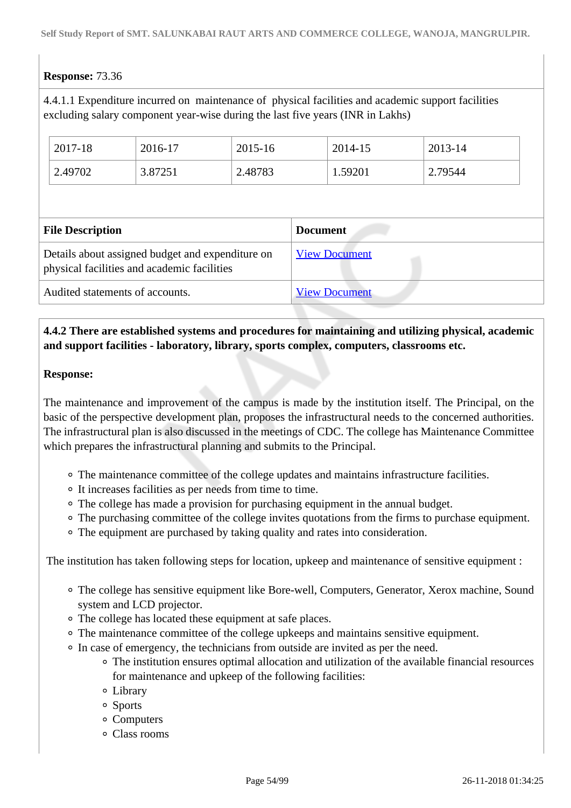# **Response:** 73.36

4.4.1.1 Expenditure incurred on maintenance of physical facilities and academic support facilities excluding salary component year-wise during the last five years (INR in Lakhs)

| 2017-18 | 2016-17 | 2015-16 | 2014-15 | 2013-14 |
|---------|---------|---------|---------|---------|
| 2.49702 | 3.87251 | 2.48783 | 1.59201 | 2.79544 |

| <b>File Description</b>                                                                         | <b>Document</b>      |
|-------------------------------------------------------------------------------------------------|----------------------|
| Details about assigned budget and expenditure on<br>physical facilities and academic facilities | <b>View Document</b> |
| Audited statements of accounts.                                                                 | <b>View Document</b> |

# **4.4.2 There are established systems and procedures for maintaining and utilizing physical, academic and support facilities - laboratory, library, sports complex, computers, classrooms etc.**

## **Response:**

The maintenance and improvement of the campus is made by the institution itself. The Principal, on the basic of the perspective development plan, proposes the infrastructural needs to the concerned authorities. The infrastructural plan is also discussed in the meetings of CDC. The college has Maintenance Committee which prepares the infrastructural planning and submits to the Principal.

- The maintenance committee of the college updates and maintains infrastructure facilities.
- It increases facilities as per needs from time to time.
- The college has made a provision for purchasing equipment in the annual budget.
- The purchasing committee of the college invites quotations from the firms to purchase equipment.
- The equipment are purchased by taking quality and rates into consideration.

The institution has taken following steps for location, upkeep and maintenance of sensitive equipment :

- The college has sensitive equipment like Bore-well, Computers, Generator, Xerox machine, Sound system and LCD projector.
- The college has located these equipment at safe places.
- The maintenance committee of the college upkeeps and maintains sensitive equipment.
- In case of emergency, the technicians from outside are invited as per the need.
	- The institution ensures optimal allocation and utilization of the available financial resources for maintenance and upkeep of the following facilities:
	- Library
	- Sports
	- Computers
	- Class rooms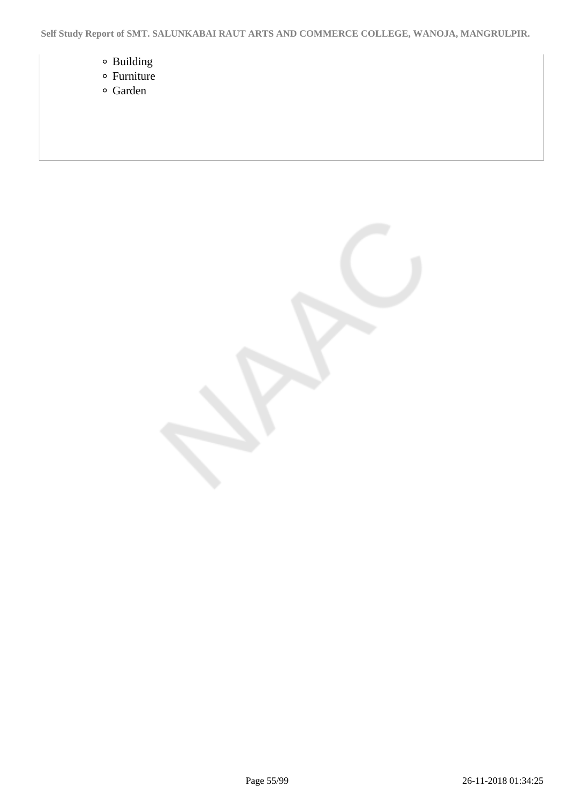- Building
- Furniture
- Garden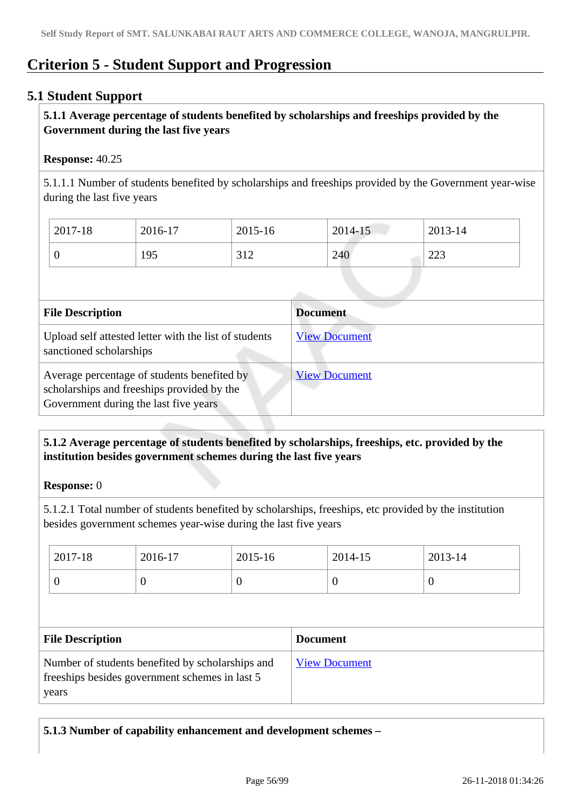# **Criterion 5 - Student Support and Progression**

# **5.1 Student Support**

# **5.1.1 Average percentage of students benefited by scholarships and freeships provided by the Government during the last five years**

## **Response:** 40.25

5.1.1.1 Number of students benefited by scholarships and freeships provided by the Government year-wise during the last five years

| 2017-18 | 2016-17 | 2015-16    | 2014-15 | 2013-14       |
|---------|---------|------------|---------|---------------|
|         | 195     | 312<br>ے د | 240     | ററാ<br>ل کرکے |

| <b>File Description</b>                                                                                                            | <b>Document</b>      |
|------------------------------------------------------------------------------------------------------------------------------------|----------------------|
| Upload self attested letter with the list of students<br>sanctioned scholarships                                                   | <b>View Document</b> |
| Average percentage of students benefited by<br>scholarships and freeships provided by the<br>Government during the last five years | <b>View Document</b> |

# **5.1.2 Average percentage of students benefited by scholarships, freeships, etc. provided by the institution besides government schemes during the last five years**

## **Response:** 0

5.1.2.1 Total number of students benefited by scholarships, freeships, etc provided by the institution besides government schemes year-wise during the last five years

|   | U<br>ν |
|---|--------|
| 0 |        |

| <b>File Description</b>                                                                                      | <b>Document</b>      |
|--------------------------------------------------------------------------------------------------------------|----------------------|
| Number of students benefited by scholarships and<br>free ships besides government schemes in last 5<br>years | <b>View Document</b> |

**5.1.3 Number of capability enhancement and development schemes –**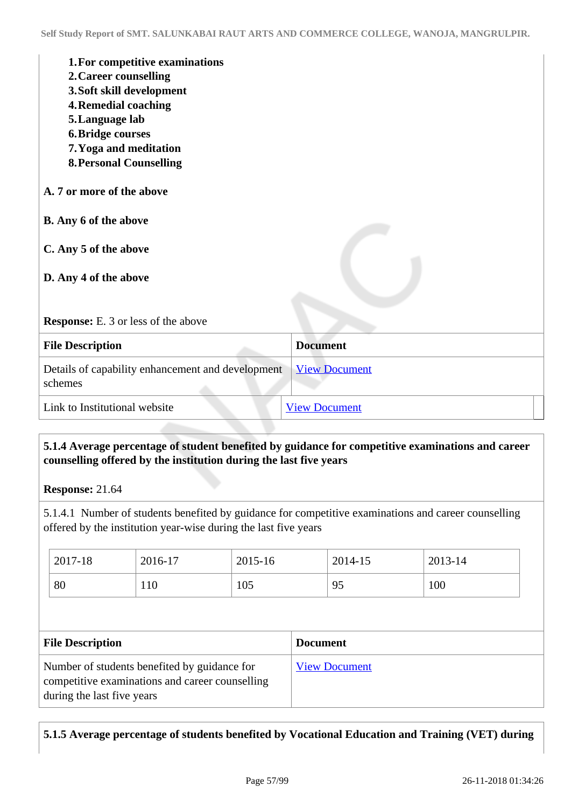| 1. For competitive examinations<br>2. Career counselling<br>3. Soft skill development<br><b>4. Remedial coaching</b><br>5. Language lab<br><b>6. Bridge courses</b><br>7. Yoga and meditation<br><b>8. Personal Counselling</b> |                      |
|---------------------------------------------------------------------------------------------------------------------------------------------------------------------------------------------------------------------------------|----------------------|
| A. 7 or more of the above                                                                                                                                                                                                       |                      |
| B. Any 6 of the above                                                                                                                                                                                                           |                      |
| C. Any 5 of the above                                                                                                                                                                                                           |                      |
| D. Any 4 of the above                                                                                                                                                                                                           |                      |
| <b>Response:</b> E. 3 or less of the above                                                                                                                                                                                      |                      |
| <b>File Description</b>                                                                                                                                                                                                         | <b>Document</b>      |
| Details of capability enhancement and development<br>schemes                                                                                                                                                                    | <b>View Document</b> |
| Link to Institutional website                                                                                                                                                                                                   | <b>View Document</b> |

# **5.1.4 Average percentage of student benefited by guidance for competitive examinations and career counselling offered by the institution during the last five years**

**Response:** 21.64

5.1.4.1 Number of students benefited by guidance for competitive examinations and career counselling offered by the institution year-wise during the last five years

| 2017-18 | 2016-17 | 2015-16 | 2014-15 | 2013-14 |
|---------|---------|---------|---------|---------|
| 80      | 110     | 105     | 95      | 100     |

| <b>File Description</b>                                                                                                       | <b>Document</b>      |
|-------------------------------------------------------------------------------------------------------------------------------|----------------------|
| Number of students benefited by guidance for<br>competitive examinations and career counselling<br>during the last five years | <b>View Document</b> |

# **5.1.5 Average percentage of students benefited by Vocational Education and Training (VET) during**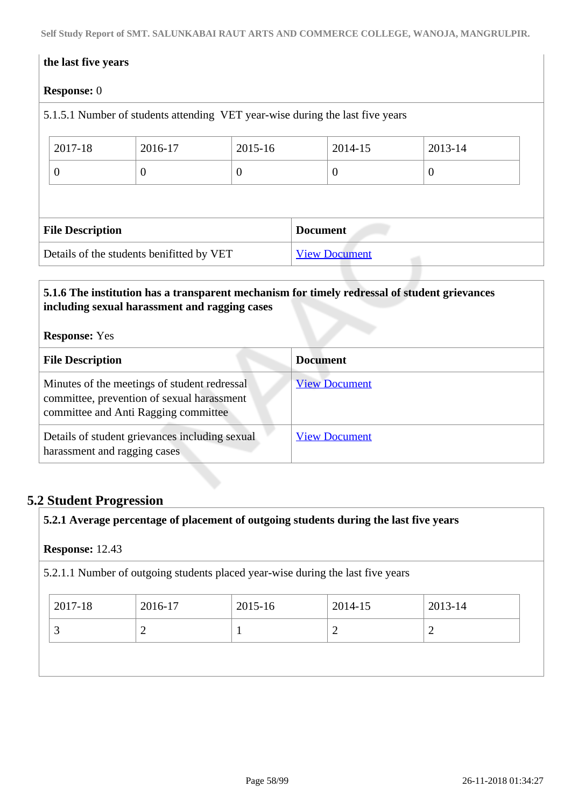**Self Study Report of SMT. SALUNKABAI RAUT ARTS AND COMMERCE COLLEGE, WANOJA, MANGRULPIR.**

# **the last five years Response:** 0 5.1.5.1 Number of students attending VET year-wise during the last five years 2017-18 2016-17 2015-16 2014-15 2013-14 0 0 0 0 0 **File Description Document** Details of the students benifitted by VET [View Document](https://assessmentonline.naac.gov.in/storage/app/hei/SSR/101863/5.1.5_1534409073_2046.xlsx)

# **5.1.6 The institution has a transparent mechanism for timely redressal of student grievances including sexual harassment and ragging cases**

# **Response:** Yes

| <b>File Description</b>                                                                                                            | <b>Document</b>      |
|------------------------------------------------------------------------------------------------------------------------------------|----------------------|
| Minutes of the meetings of student redressal<br>committee, prevention of sexual harassment<br>committee and Anti Ragging committee | <b>View Document</b> |
| Details of student grievances including sexual<br>harassment and ragging cases                                                     | <b>View Document</b> |

# **5.2 Student Progression**

**5.2.1 Average percentage of placement of outgoing students during the last five years**

## **Response:** 12.43

5.2.1.1 Number of outgoing students placed year-wise during the last five years

| 2017-18 | 2016-17 | 2015-16 | 2014-15 | 2013-14 |
|---------|---------|---------|---------|---------|
|         |         |         |         | ∼       |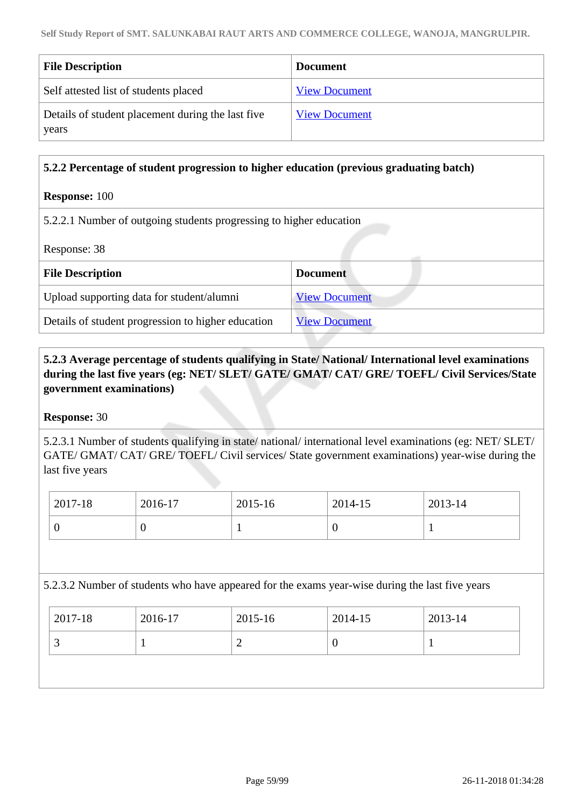| <b>File Description</b>                                    | <b>Document</b>      |
|------------------------------------------------------------|----------------------|
| Self attested list of students placed                      | <b>View Document</b> |
| Details of student placement during the last five<br>years | <b>View Document</b> |

## **5.2.2 Percentage of student progression to higher education (previous graduating batch)**

## **Response:** 100

5.2.2.1 Number of outgoing students progressing to higher education

Response: 38

| <b>File Description</b>                            | <b>Document</b>      |
|----------------------------------------------------|----------------------|
| Upload supporting data for student/alumni          | <b>View Document</b> |
| Details of student progression to higher education | <b>View Document</b> |

 **5.2.3 Average percentage of students qualifying in State/ National/ International level examinations during the last five years (eg: NET/ SLET/ GATE/ GMAT/ CAT/ GRE/ TOEFL/ Civil Services/State government examinations)**

## **Response:** 30

5.2.3.1 Number of students qualifying in state/ national/ international level examinations (eg: NET/ SLET/ GATE/ GMAT/ CAT/ GRE/ TOEFL/ Civil services/ State government examinations) year-wise during the last five years

| 2017-18 | 2016-17 | 2015-16 | 2014-15 | 2013-14 |
|---------|---------|---------|---------|---------|
|         |         |         | ν       |         |

5.2.3.2 Number of students who have appeared for the exams year-wise during the last five years

| 2017-18  | 2016-17 | 2015-16 | 2014-15 | 2013-14 |
|----------|---------|---------|---------|---------|
| <b>~</b> |         | -       | -6      |         |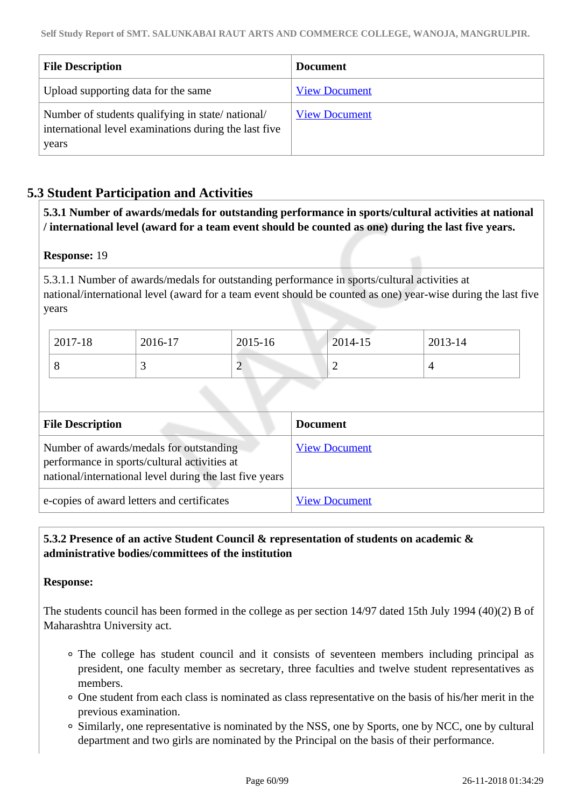| <b>File Description</b>                                                                                            | <b>Document</b>      |
|--------------------------------------------------------------------------------------------------------------------|----------------------|
| Upload supporting data for the same                                                                                | <b>View Document</b> |
| Number of students qualifying in state/national/<br>international level examinations during the last five<br>years | <b>View Document</b> |

# **5.3 Student Participation and Activities**

 **5.3.1 Number of awards/medals for outstanding performance in sports/cultural activities at national / international level (award for a team event should be counted as one) during the last five years.**

## **Response:** 19

5.3.1.1 Number of awards/medals for outstanding performance in sports/cultural activities at national/international level (award for a team event should be counted as one) year-wise during the last five years

| 2017-18 | 2016-17 | 2015-16 | 2014-15 | 2013-14 |
|---------|---------|---------|---------|---------|
|         | ت       | ⌒<br>∽  |         |         |

| <b>File Description</b>                                                                                                                            | <b>Document</b>      |
|----------------------------------------------------------------------------------------------------------------------------------------------------|----------------------|
| Number of awards/medals for outstanding<br>performance in sports/cultural activities at<br>national/international level during the last five years | <b>View Document</b> |
| e-copies of award letters and certificates                                                                                                         | <b>View Document</b> |

# **5.3.2 Presence of an active Student Council & representation of students on academic & administrative bodies/committees of the institution**

## **Response:**

The students council has been formed in the college as per section 14/97 dated 15th July 1994 (40)(2) B of Maharashtra University act.

- The college has student council and it consists of seventeen members including principal as president, one faculty member as secretary, three faculties and twelve student representatives as members.
- One student from each class is nominated as class representative on the basis of his/her merit in the previous examination.
- Similarly, one representative is nominated by the NSS, one by Sports, one by NCC, one by cultural department and two girls are nominated by the Principal on the basis of their performance.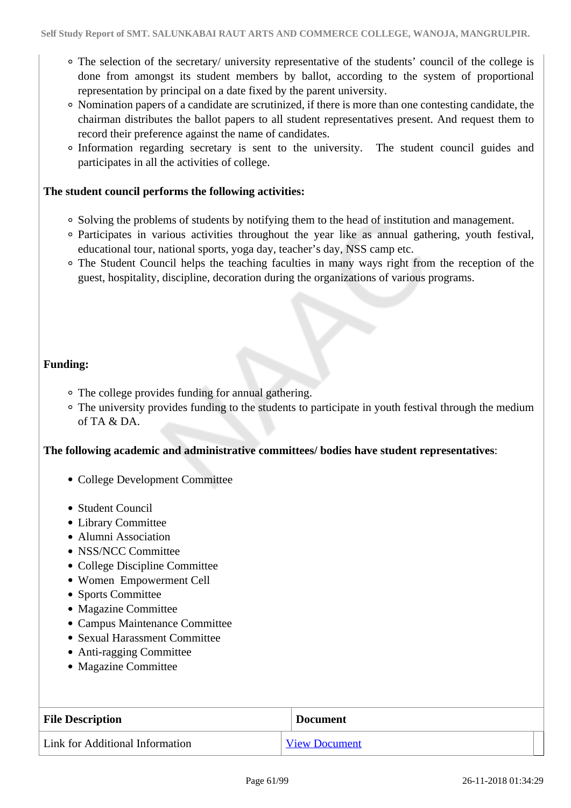- The selection of the secretary/ university representative of the students' council of the college is done from amongst its student members by ballot, according to the system of proportional representation by principal on a date fixed by the parent university.
- Nomination papers of a candidate are scrutinized, if there is more than one contesting candidate, the chairman distributes the ballot papers to all student representatives present. And request them to record their preference against the name of candidates.
- Information regarding secretary is sent to the university. The student council guides and participates in all the activities of college.

## **The student council performs the following activities:**

- Solving the problems of students by notifying them to the head of institution and management.
- Participates in various activities throughout the year like as annual gathering, youth festival, educational tour, national sports, yoga day, teacher's day, NSS camp etc.
- The Student Council helps the teaching faculties in many ways right from the reception of the guest, hospitality, discipline, decoration during the organizations of various programs.

## **Funding:**

- The college provides funding for annual gathering.
- The university provides funding to the students to participate in youth festival through the medium of  $TA \& DA$

## **The following academic and administrative committees/ bodies have student representatives**:

- College Development Committee
- Student Council
- Library Committee
- Alumni Association
- NSS/NCC Committee
- College Discipline Committee
- Women Empowerment Cell
- Sports Committee
- Magazine Committee
- Campus Maintenance Committee
- Sexual Harassment Committee
- Anti-ragging Committee
- Magazine Committee

| <b>File Description</b>         | <b>Document</b>      |
|---------------------------------|----------------------|
| Link for Additional Information | <b>View Document</b> |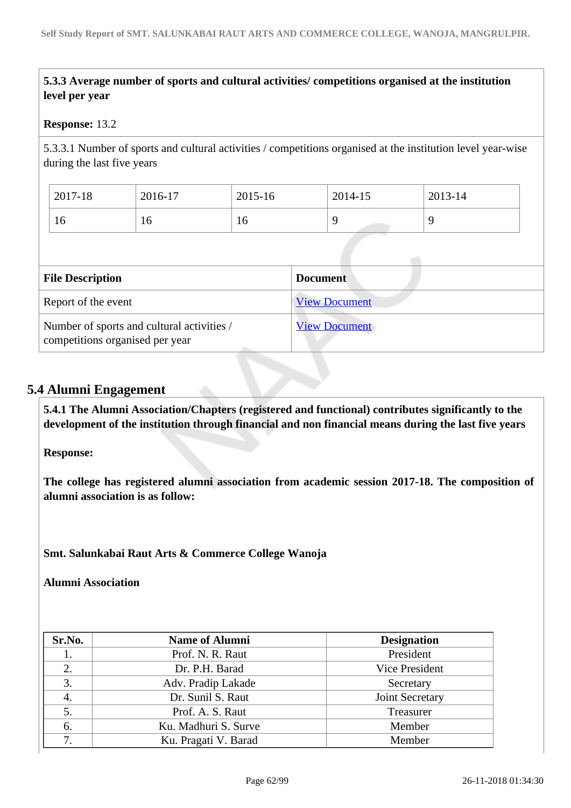# **5.3.3 Average number of sports and cultural activities/ competitions organised at the institution level per year**

## **Response:** 13.2

5.3.3.1 Number of sports and cultural activities / competitions organised at the institution level year-wise during the last five years

| 2017-18 | 2016-17 | $2015 - 16$ | 2014-15 | 2013-14 |
|---------|---------|-------------|---------|---------|
| ΙU      | 10      | 16          |         |         |

| <b>File Description</b>                                                       | <b>Document</b>      |
|-------------------------------------------------------------------------------|----------------------|
| Report of the event                                                           | <b>View Document</b> |
| Number of sports and cultural activities /<br>competitions organised per year | <b>View Document</b> |

## **5.4 Alumni Engagement**

 **5.4.1 The Alumni Association/Chapters (registered and functional) contributes significantly to the development of the institution through financial and non financial means during the last five years**

**Response:** 

**The college has registered alumni association from academic session 2017-18. The composition of alumni association is as follow:**

**Smt. Salunkabai Raut Arts & Commerce College Wanoja**

**Alumni Association**

| Sr.No. | <b>Name of Alumni</b> | <b>Designation</b> |
|--------|-----------------------|--------------------|
| 1.     | Prof. N. R. Raut      | President          |
| 2.     | Dr. P.H. Barad        | Vice President     |
| 3.     | Adv. Pradip Lakade    | Secretary          |
| 4.     | Dr. Sunil S. Raut     | Joint Secretary    |
| 5.     | Prof. A. S. Raut      | Treasurer          |
| 6.     | Ku. Madhuri S. Surve  | Member             |
| 7.     | Ku. Pragati V. Barad  | Member             |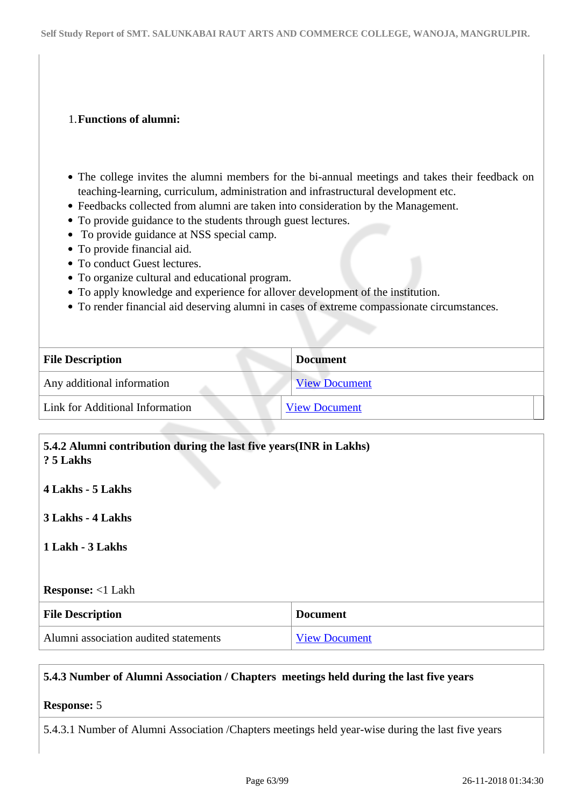## 1.**Functions of alumni:**

- The college invites the alumni members for the bi-annual meetings and takes their feedback on teaching-learning, curriculum, administration and infrastructural development etc.
- Feedbacks collected from alumni are taken into consideration by the Management.
- To provide guidance to the students through guest lectures.
- To provide guidance at NSS special camp.
- To provide financial aid.
- To conduct Guest lectures.
- To organize cultural and educational program.
- To apply knowledge and experience for allover development of the institution.
- To render financial aid deserving alumni in cases of extreme compassionate circumstances.

| <b>File Description</b>         | <b>Document</b>      |
|---------------------------------|----------------------|
| Any additional information      | <b>View Document</b> |
| Link for Additional Information | <b>View Document</b> |
|                                 |                      |

| 5.4.2 Alumni contribution during the last five years (INR in Lakhs)<br>? 5 Lakhs |                      |
|----------------------------------------------------------------------------------|----------------------|
| 4 Lakhs - 5 Lakhs                                                                |                      |
| 3 Lakhs - 4 Lakhs                                                                |                      |
| 1 Lakh - 3 Lakhs                                                                 |                      |
| <b>Response:</b> <1 Lakh                                                         |                      |
| <b>File Description</b>                                                          | <b>Document</b>      |
| Alumni association audited statements                                            | <b>View Document</b> |

## **5.4.3 Number of Alumni Association / Chapters meetings held during the last five years**

# **Response:** 5

5.4.3.1 Number of Alumni Association /Chapters meetings held year-wise during the last five years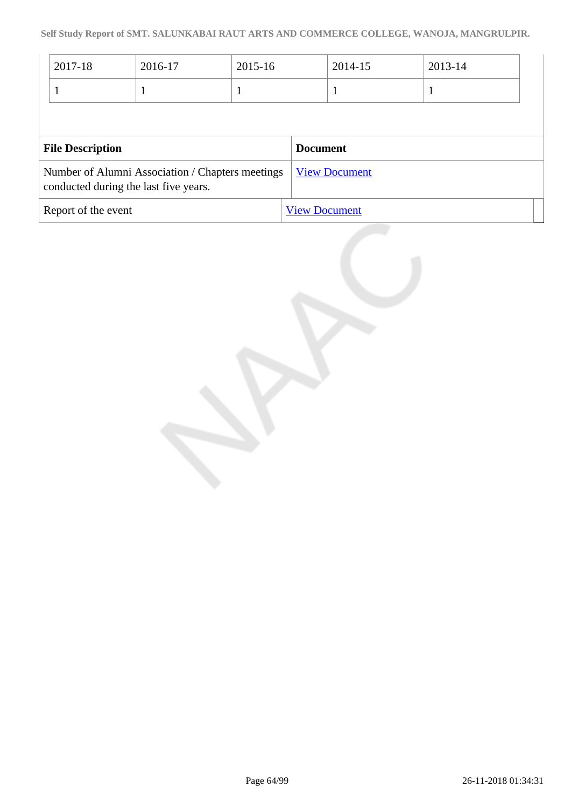| 2017-18                 | 2016-17                                                                                   | 2015-16 |                 | 2014-15              | 2013-14 |  |
|-------------------------|-------------------------------------------------------------------------------------------|---------|-----------------|----------------------|---------|--|
|                         |                                                                                           |         |                 |                      |         |  |
|                         |                                                                                           |         |                 |                      |         |  |
|                         |                                                                                           |         |                 |                      |         |  |
| <b>File Description</b> |                                                                                           |         | <b>Document</b> |                      |         |  |
|                         | Number of Alumni Association / Chapters meetings<br>conducted during the last five years. |         |                 | <b>View Document</b> |         |  |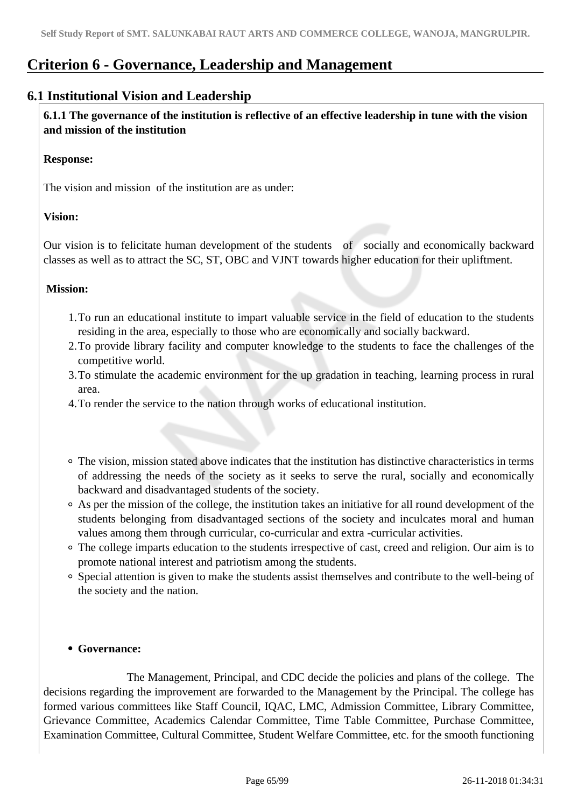# **Criterion 6 - Governance, Leadership and Management**

# **6.1 Institutional Vision and Leadership**

 **6.1.1 The governance of the institution is reflective of an effective leadership in tune with the vision and mission of the institution**

## **Response:**

The vision and mission of the institution are as under:

## **Vision:**

Our vision is to felicitate human development of the students of socially and economically backward classes as well as to attract the SC, ST, OBC and VJNT towards higher education for their upliftment.

## **Mission:**

- 1.To run an educational institute to impart valuable service in the field of education to the students residing in the area, especially to those who are economically and socially backward.
- 2.To provide library facility and computer knowledge to the students to face the challenges of the competitive world.
- 3.To stimulate the academic environment for the up gradation in teaching, learning process in rural area.
- 4.To render the service to the nation through works of educational institution.
- The vision, mission stated above indicates that the institution has distinctive characteristics in terms of addressing the needs of the society as it seeks to serve the rural, socially and economically backward and disadvantaged students of the society.
- As per the mission of the college, the institution takes an initiative for all round development of the students belonging from disadvantaged sections of the society and inculcates moral and human values among them through curricular, co-curricular and extra -curricular activities.
- The college imparts education to the students irrespective of cast, creed and religion. Our aim is to promote national interest and patriotism among the students.
- Special attention is given to make the students assist themselves and contribute to the well-being of the society and the nation.

## **Governance:**

 The Management, Principal, and CDC decide the policies and plans of the college. The decisions regarding the improvement are forwarded to the Management by the Principal. The college has formed various committees like Staff Council, IQAC, LMC, Admission Committee, Library Committee, Grievance Committee, Academics Calendar Committee, Time Table Committee, Purchase Committee, Examination Committee, Cultural Committee, Student Welfare Committee, etc. for the smooth functioning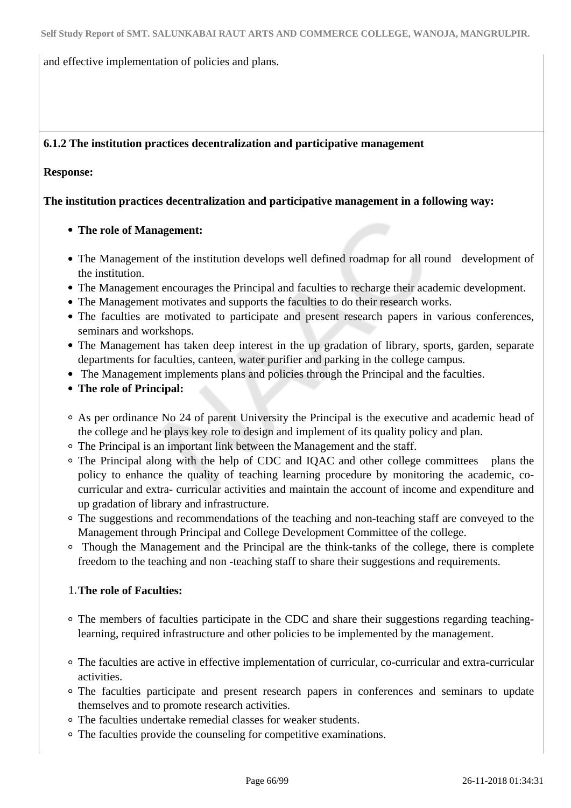and effective implementation of policies and plans.

# **6.1.2 The institution practices decentralization and participative management**

## **Response:**

**The institution practices decentralization and participative management in a following way:**

# **The role of Management:**

- The Management of the institution develops well defined roadmap for all round development of the institution.
- The Management encourages the Principal and faculties to recharge their academic development.
- The Management motivates and supports the faculties to do their research works.
- The faculties are motivated to participate and present research papers in various conferences, seminars and workshops.
- The Management has taken deep interest in the up gradation of library, sports, garden, separate departments for faculties, canteen, water purifier and parking in the college campus.
- The Management implements plans and policies through the Principal and the faculties.
- **The role of Principal:**
- As per ordinance No 24 of parent University the Principal is the executive and academic head of the college and he plays key role to design and implement of its quality policy and plan.
- The Principal is an important link between the Management and the staff.
- The Principal along with the help of CDC and IQAC and other college committees plans the policy to enhance the quality of teaching learning procedure by monitoring the academic, cocurricular and extra- curricular activities and maintain the account of income and expenditure and up gradation of library and infrastructure.
- The suggestions and recommendations of the teaching and non-teaching staff are conveyed to the Management through Principal and College Development Committee of the college.
- Though the Management and the Principal are the think-tanks of the college, there is complete freedom to the teaching and non -teaching staff to share their suggestions and requirements.

## 1.**The role of Faculties:**

- The members of faculties participate in the CDC and share their suggestions regarding teachinglearning, required infrastructure and other policies to be implemented by the management.
- The faculties are active in effective implementation of curricular, co-curricular and extra-curricular activities.
- The faculties participate and present research papers in conferences and seminars to update themselves and to promote research activities.
- The faculties undertake remedial classes for weaker students.
- The faculties provide the counseling for competitive examinations.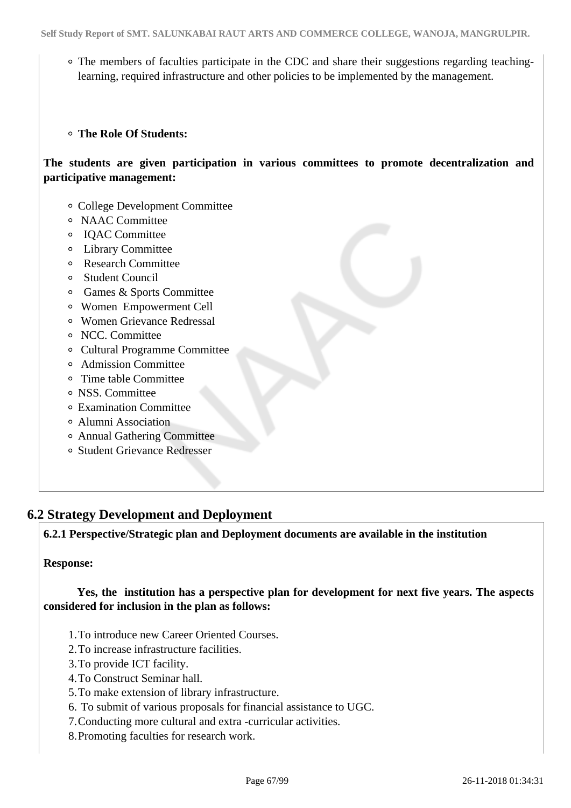The members of faculties participate in the CDC and share their suggestions regarding teachinglearning, required infrastructure and other policies to be implemented by the management.

## **The Role Of Students:**

**The students are given participation in various committees to promote decentralization and participative management:**

- College Development Committee
- NAAC Committee
- IQAC Committee
- Library Committee
- Research Committee
- Student Council
- Games & Sports Committee
- Women Empowerment Cell
- Women Grievance Redressal
- NCC. Committee
- Cultural Programme Committee
- Admission Committee
- Time table Committee
- NSS. Committee
- Examination Committee
- Alumni Association
- Annual Gathering Committee
- Student Grievance Redresser

# **6.2 Strategy Development and Deployment**

**6.2.1 Perspective/Strategic plan and Deployment documents are available in the institution**

## **Response:**

 **Yes, the institution has a perspective plan for development for next five years. The aspects considered for inclusion in the plan as follows:**

- 1.To introduce new Career Oriented Courses.
- 2.To increase infrastructure facilities.
- 3.To provide ICT facility.
- 4.To Construct Seminar hall.
- 5.To make extension of library infrastructure.
- 6. To submit of various proposals for financial assistance to UGC.
- 7.Conducting more cultural and extra -curricular activities.
- 8.Promoting faculties for research work.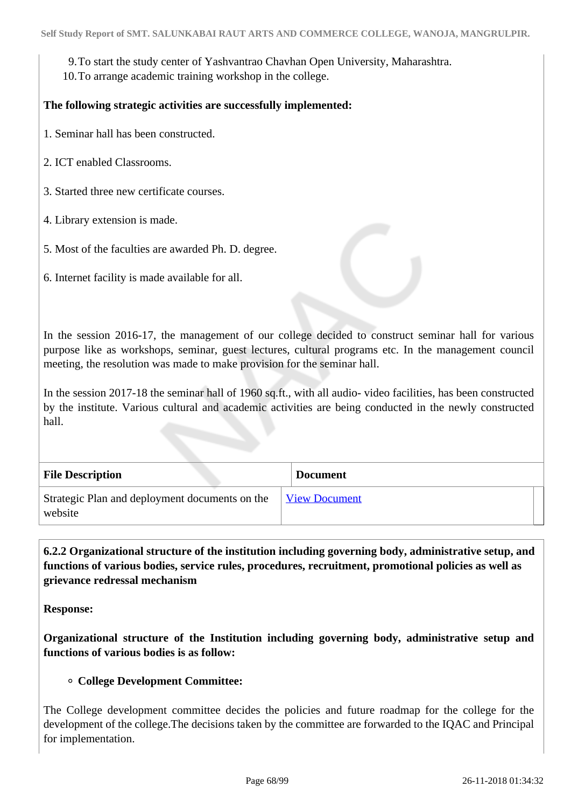9.To start the study center of Yashvantrao Chavhan Open University, Maharashtra.

10.To arrange academic training workshop in the college.

## **The following strategic activities are successfully implemented:**

1. Seminar hall has been constructed.

- 2. ICT enabled Classrooms.
- 3. Started three new certificate courses.
- 4. Library extension is made.
- 5. Most of the faculties are awarded Ph. D. degree.
- 6. Internet facility is made available for all.

In the session 2016-17, the management of our college decided to construct seminar hall for various purpose like as workshops, seminar, guest lectures, cultural programs etc. In the management council meeting, the resolution was made to make provision for the seminar hall.

In the session 2017-18 the seminar hall of 1960 sq.ft., with all audio- video facilities, has been constructed by the institute. Various cultural and academic activities are being conducted in the newly constructed hall.

| <b>File Description</b>                                   | <b>Document</b>      |
|-----------------------------------------------------------|----------------------|
| Strategic Plan and deployment documents on the<br>website | <b>View Document</b> |

 **6.2.2 Organizational structure of the institution including governing body, administrative setup, and functions of various bodies, service rules, procedures, recruitment, promotional policies as well as grievance redressal mechanism**

**Response:** 

**Organizational structure of the Institution including governing body, administrative setup and functions of various bodies is as follow:**

## **College Development Committee:**

The College development committee decides the policies and future roadmap for the college for the development of the college.The decisions taken by the committee are forwarded to the IQAC and Principal for implementation.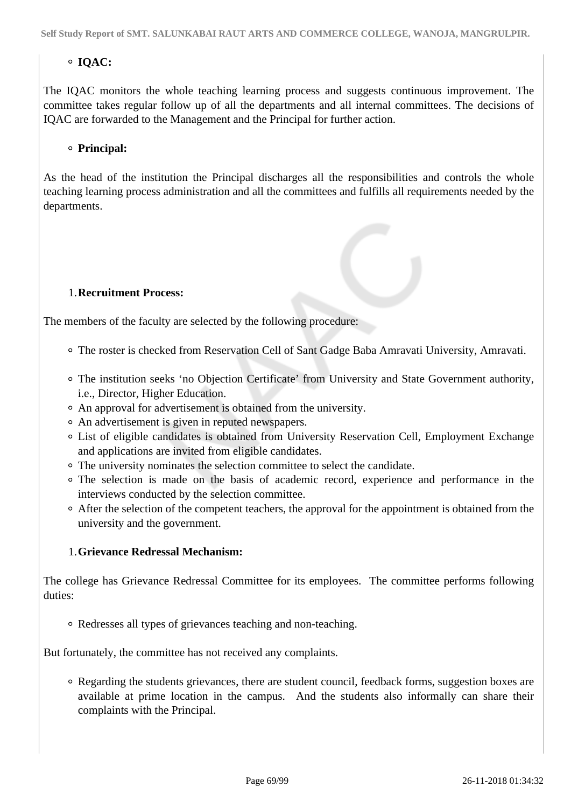# **IQAC:**

The IQAC monitors the whole teaching learning process and suggests continuous improvement. The committee takes regular follow up of all the departments and all internal committees. The decisions of IQAC are forwarded to the Management and the Principal for further action.

## **Principal:**

As the head of the institution the Principal discharges all the responsibilities and controls the whole teaching learning process administration and all the committees and fulfills all requirements needed by the departments.

## 1.**Recruitment Process:**

The members of the faculty are selected by the following procedure:

- The roster is checked from Reservation Cell of Sant Gadge Baba Amravati University, Amravati.
- The institution seeks 'no Objection Certificate' from University and State Government authority, i.e., Director, Higher Education.
- An approval for advertisement is obtained from the university.
- An advertisement is given in reputed newspapers.
- List of eligible candidates is obtained from University Reservation Cell, Employment Exchange and applications are invited from eligible candidates.
- The university nominates the selection committee to select the candidate.
- The selection is made on the basis of academic record, experience and performance in the interviews conducted by the selection committee.
- After the selection of the competent teachers, the approval for the appointment is obtained from the university and the government.

## 1.**Grievance Redressal Mechanism:**

The college has Grievance Redressal Committee for its employees. The committee performs following duties:

Redresses all types of grievances teaching and non-teaching.

But fortunately, the committee has not received any complaints.

Regarding the students grievances, there are student council, feedback forms, suggestion boxes are available at prime location in the campus. And the students also informally can share their complaints with the Principal.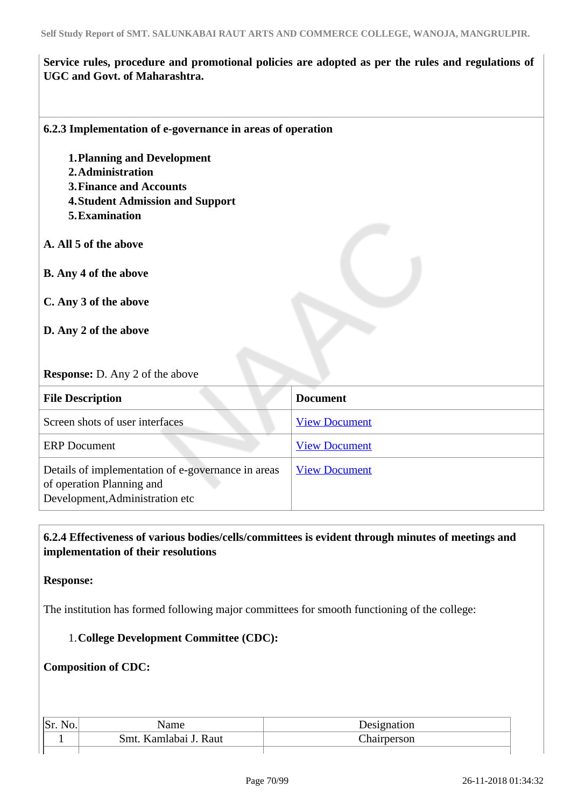# **Service rules, procedure and promotional policies are adopted as per the rules and regulations of UGC and Govt. of Maharashtra.**

## **6.2.3 Implementation of e-governance in areas of operation**

- **1.Planning and Development**
- **2.Administration**
- **3.Finance and Accounts**
- **4.Student Admission and Support**
- **5.Examination**
- **A. All 5 of the above**
- **B. Any 4 of the above**
- **C. Any 3 of the above**
- **D. Any 2 of the above**

# **Response:** D. Any 2 of the above

| <b>File Description</b>                                                                                            | <b>Document</b>      |
|--------------------------------------------------------------------------------------------------------------------|----------------------|
| Screen shots of user interfaces                                                                                    | <b>View Document</b> |
| <b>ERP</b> Document                                                                                                | <b>View Document</b> |
| Details of implementation of e-governance in areas<br>of operation Planning and<br>Development, Administration etc | <b>View Document</b> |

# **6.2.4 Effectiveness of various bodies/cells/committees is evident through minutes of meetings and implementation of their resolutions**

## **Response:**

The institution has formed following major committees for smooth functioning of the college:

## 1.**College Development Committee (CDC):**

## **Composition of CDC:**

| Sr. | Name                  | Designation |
|-----|-----------------------|-------------|
|     | Smt. Kamlabai J. Raut | Chairperson |
|     |                       |             |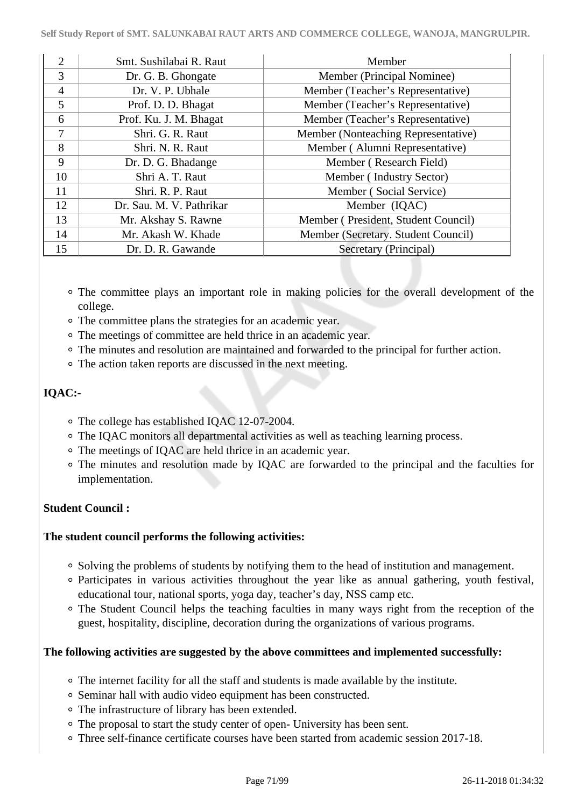| $\overline{2}$ | Smt. Sushilabai R. Raut  | Member                              |
|----------------|--------------------------|-------------------------------------|
| 3              | Dr. G. B. Ghongate       | Member (Principal Nominee)          |
| $\overline{4}$ | Dr. V. P. Ubhale         | Member (Teacher's Representative)   |
| 5              | Prof. D. D. Bhagat       | Member (Teacher's Representative)   |
| 6              | Prof. Ku. J. M. Bhagat   | Member (Teacher's Representative)   |
| 7              | Shri. G. R. Raut         | Member (Nonteaching Representative) |
| 8              | Shri. N. R. Raut         | Member (Alumni Representative)      |
| 9              | Dr. D. G. Bhadange       | Member (Research Field)             |
| 10             | Shri A. T. Raut          | Member (Industry Sector)            |
| 11             | Shri. R. P. Raut         | Member (Social Service)             |
| 12             | Dr. Sau. M. V. Pathrikar | Member (IQAC)                       |
| 13             | Mr. Akshay S. Rawne      | Member (President, Student Council) |
| 14             | Mr. Akash W. Khade       | Member (Secretary. Student Council) |
| 15             | Dr. D. R. Gawande        | Secretary (Principal)               |

- The committee plays an important role in making policies for the overall development of the college.
- The committee plans the strategies for an academic year.
- The meetings of committee are held thrice in an academic year.
- The minutes and resolution are maintained and forwarded to the principal for further action.
- The action taken reports are discussed in the next meeting.

# **IQAC:-**

- The college has established IQAC 12-07-2004.
- The IQAC monitors all departmental activities as well as teaching learning process.
- The meetings of IQAC are held thrice in an academic year.
- The minutes and resolution made by IQAC are forwarded to the principal and the faculties for implementation.

# **Student Council :**

## **The student council performs the following activities:**

- Solving the problems of students by notifying them to the head of institution and management.
- Participates in various activities throughout the year like as annual gathering, youth festival, educational tour, national sports, yoga day, teacher's day, NSS camp etc.
- The Student Council helps the teaching faculties in many ways right from the reception of the guest, hospitality, discipline, decoration during the organizations of various programs.

# **The following activities are suggested by the above committees and implemented successfully:**

- The internet facility for all the staff and students is made available by the institute.
- Seminar hall with audio video equipment has been constructed.
- The infrastructure of library has been extended.
- The proposal to start the study center of open- University has been sent.
- Three self-finance certificate courses have been started from academic session 2017-18.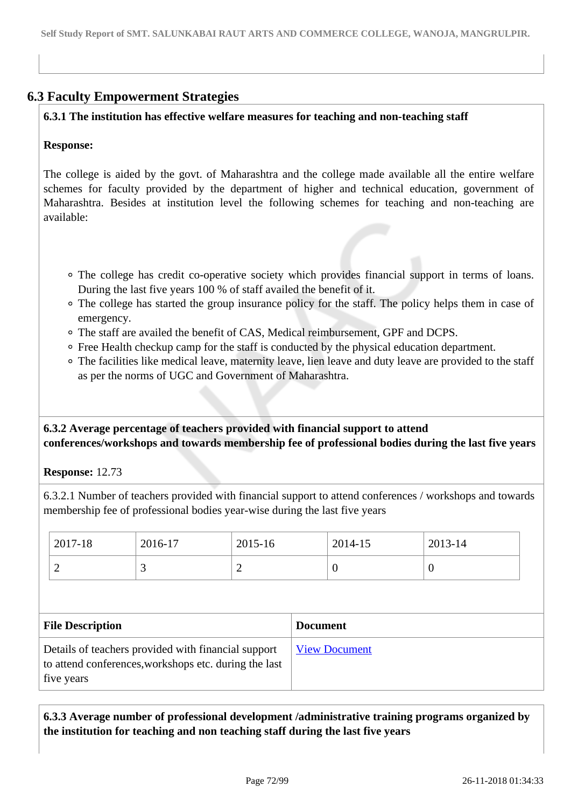# **6.3 Faculty Empowerment Strategies**

## **6.3.1 The institution has effective welfare measures for teaching and non-teaching staff**

## **Response:**

The college is aided by the govt. of Maharashtra and the college made available all the entire welfare schemes for faculty provided by the department of higher and technical education, government of Maharashtra. Besides at institution level the following schemes for teaching and non-teaching are available:

- The college has credit co-operative society which provides financial support in terms of loans. During the last five years 100 % of staff availed the benefit of it.
- The college has started the group insurance policy for the staff. The policy helps them in case of emergency.
- The staff are availed the benefit of CAS, Medical reimbursement, GPF and DCPS.
- Free Health checkup camp for the staff is conducted by the physical education department.
- The facilities like medical leave, maternity leave, lien leave and duty leave are provided to the staff as per the norms of UGC and Government of Maharashtra.

 **6.3.2 Average percentage of teachers provided with financial support to attend conferences/workshops and towards membership fee of professional bodies during the last five years**

**Response:** 12.73

6.3.2.1 Number of teachers provided with financial support to attend conferences / workshops and towards membership fee of professional bodies year-wise during the last five years

| 2017-18                 | 2016-17 | 2015-16        |                 | 2014-15  | 2013-14  |  |
|-------------------------|---------|----------------|-----------------|----------|----------|--|
| $\overline{2}$          | 3       | $\overline{2}$ |                 | $\theta$ | $\theta$ |  |
|                         |         |                |                 |          |          |  |
|                         |         |                |                 |          |          |  |
| <b>File Description</b> |         |                | <b>Document</b> |          |          |  |

# **6.3.3 Average number of professional development /administrative training programs organized by the institution for teaching and non teaching staff during the last five years**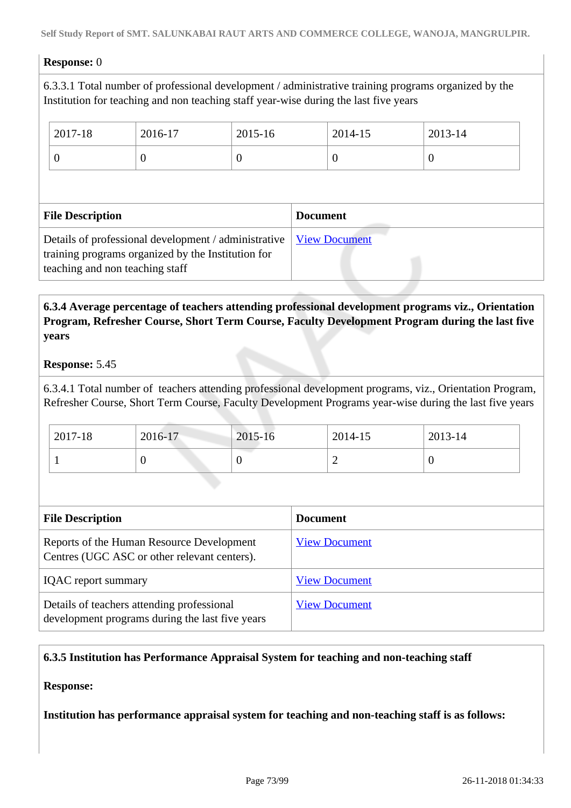## **Response:** 0

6.3.3.1 Total number of professional development / administrative training programs organized by the Institution for teaching and non teaching staff year-wise during the last five years

|                         | 2017-18 | 2016-17  | 2015-16         |  | 2014-15  | 2013-14  |
|-------------------------|---------|----------|-----------------|--|----------|----------|
|                         | 0       | $\theta$ | $\theta$        |  | $\theta$ | $\theta$ |
|                         |         |          |                 |  |          |          |
| <b>File Description</b> |         |          | <b>Document</b> |  |          |          |
|                         |         |          |                 |  |          |          |

## **6.3.4 Average percentage of teachers attending professional development programs viz., Orientation Program, Refresher Course, Short Term Course, Faculty Development Program during the last five years**

#### **Response:** 5.45

6.3.4.1 Total number of teachers attending professional development programs, viz., Orientation Program, Refresher Course, Short Term Course, Faculty Development Programs year-wise during the last five years

| 2017-18 | 2016-17 | 2015-16 | 2014-15 | 2013-14 |
|---------|---------|---------|---------|---------|
|         |         | ν       | -       |         |

| <b>File Description</b>                                                                       | <b>Document</b>      |
|-----------------------------------------------------------------------------------------------|----------------------|
| Reports of the Human Resource Development<br>Centres (UGC ASC or other relevant centers).     | <b>View Document</b> |
| <b>IQAC</b> report summary                                                                    | <b>View Document</b> |
| Details of teachers attending professional<br>development programs during the last five years | <b>View Document</b> |

## **6.3.5 Institution has Performance Appraisal System for teaching and non-teaching staff**

## **Response:**

**Institution has performance appraisal system for teaching and non-teaching staff is as follows:**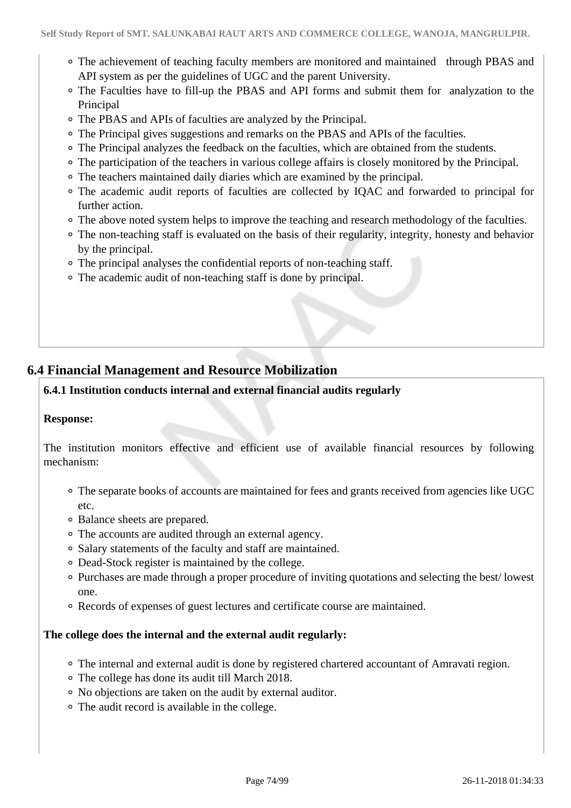- The achievement of teaching faculty members are monitored and maintained through PBAS and API system as per the guidelines of UGC and the parent University.
- The Faculties have to fill-up the PBAS and API forms and submit them for analyzation to the Principal
- The PBAS and APIs of faculties are analyzed by the Principal.
- The Principal gives suggestions and remarks on the PBAS and APIs of the faculties.
- The Principal analyzes the feedback on the faculties, which are obtained from the students.
- The participation of the teachers in various college affairs is closely monitored by the Principal.
- The teachers maintained daily diaries which are examined by the principal.
- The academic audit reports of faculties are collected by IQAC and forwarded to principal for further action.
- The above noted system helps to improve the teaching and research methodology of the faculties.
- The non-teaching staff is evaluated on the basis of their regularity, integrity, honesty and behavior by the principal.
- The principal analyses the confidential reports of non-teaching staff.
- The academic audit of non-teaching staff is done by principal.

## **6.4 Financial Management and Resource Mobilization**

## **6.4.1 Institution conducts internal and external financial audits regularly**

#### **Response:**

The institution monitors effective and efficient use of available financial resources by following mechanism:

- The separate books of accounts are maintained for fees and grants received from agencies like UGC etc.
- Balance sheets are prepared.
- The accounts are audited through an external agency.
- Salary statements of the faculty and staff are maintained.
- Dead-Stock register is maintained by the college.
- Purchases are made through a proper procedure of inviting quotations and selecting the best/ lowest one.
- Records of expenses of guest lectures and certificate course are maintained.

#### **The college does the internal and the external audit regularly:**

- The internal and external audit is done by registered chartered accountant of Amravati region.
- The college has done its audit till March 2018.
- No objections are taken on the audit by external auditor.
- The audit record is available in the college.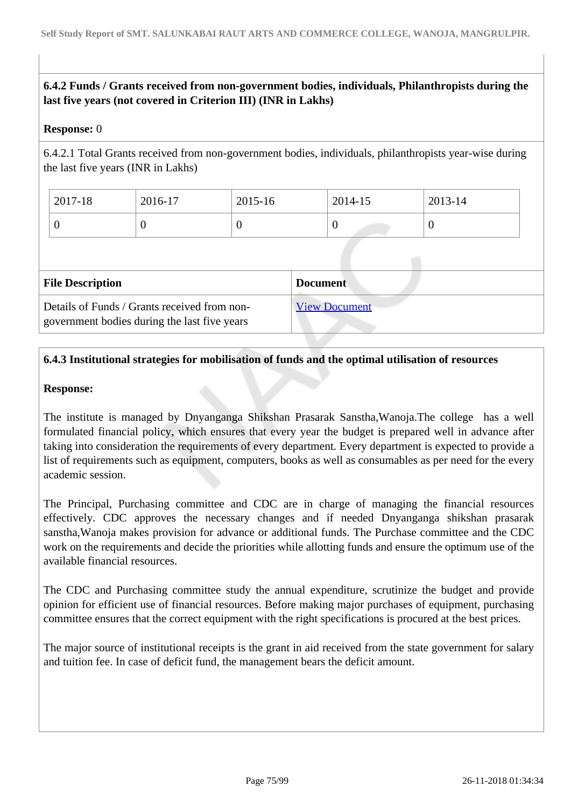## **6.4.2 Funds / Grants received from non-government bodies, individuals, Philanthropists during the last five years (not covered in Criterion III) (INR in Lakhs)**

## **Response:** 0

6.4.2.1 Total Grants received from non-government bodies, individuals, philanthropists year-wise during the last five years (INR in Lakhs)

| 2017-18 | 2016-17 | 2015-16 | 2014-15 | 2013-14          |
|---------|---------|---------|---------|------------------|
|         |         |         | ν       | $\boldsymbol{0}$ |

| <b>File Description</b>                                                                      | <b>Document</b>      |
|----------------------------------------------------------------------------------------------|----------------------|
| Details of Funds / Grants received from non-<br>government bodies during the last five years | <b>View Document</b> |

## **6.4.3 Institutional strategies for mobilisation of funds and the optimal utilisation of resources**

## **Response:**

The institute is managed by Dnyanganga Shikshan Prasarak Sanstha,Wanoja.The college has a well formulated financial policy, which ensures that every year the budget is prepared well in advance after taking into consideration the requirements of every department. Every department is expected to provide a list of requirements such as equipment, computers, books as well as consumables as per need for the every academic session.

The Principal, Purchasing committee and CDC are in charge of managing the financial resources effectively. CDC approves the necessary changes and if needed Dnyanganga shikshan prasarak sanstha,Wanoja makes provision for advance or additional funds. The Purchase committee and the CDC work on the requirements and decide the priorities while allotting funds and ensure the optimum use of the available financial resources.

The CDC and Purchasing committee study the annual expenditure, scrutinize the budget and provide opinion for efficient use of financial resources. Before making major purchases of equipment, purchasing committee ensures that the correct equipment with the right specifications is procured at the best prices.

The major source of institutional receipts is the grant in aid received from the state government for salary and tuition fee. In case of deficit fund, the management bears the deficit amount.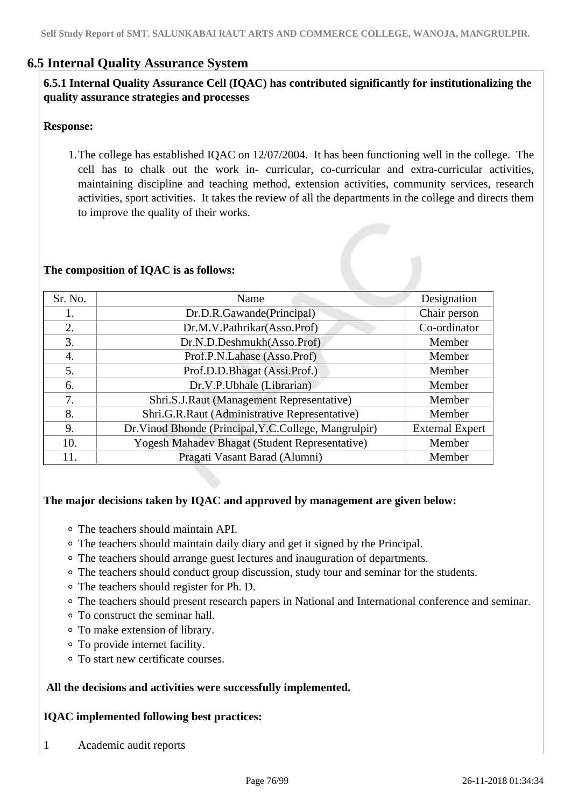## **6.5 Internal Quality Assurance System**

## **6.5.1 Internal Quality Assurance Cell (IQAC) has contributed significantly for institutionalizing the quality assurance strategies and processes**

#### **Response:**

1.The college has established IQAC on 12/07/2004. It has been functioning well in the college. The cell has to chalk out the work in- curricular, co-curricular and extra-curricular activities, maintaining discipline and teaching method, extension activities, community services, research activities, sport activities. It takes the review of all the departments in the college and directs them to improve the quality of their works.

#### **The composition of IQAC is as follows:**

| Sr. No. | Name                                                  | Designation            |
|---------|-------------------------------------------------------|------------------------|
| 1.      | Dr.D.R.Gawande(Principal)                             | Chair person           |
| 2.      | Dr.M.V.Pathrikar(Asso.Prof)                           | Co-ordinator           |
| 3.      | Dr.N.D.Deshmukh(Asso.Prof)                            | Member                 |
| 4.      | Prof.P.N.Lahase (Asso.Prof)                           | Member                 |
| 5.      | Prof.D.D.Bhagat (Assi.Prof.)                          | Member                 |
| 6.      | Dr.V.P.Ubhale (Librarian)                             | Member                 |
| 7.      | Shri.S.J.Raut (Management Representative)             | Member                 |
| 8.      | Shri.G.R.Raut (Administrative Representative)         | Member                 |
| 9.      | Dr. Vinod Bhonde (Principal, Y.C.College, Mangrulpir) | <b>External Expert</b> |
| 10.     | Yogesh Mahadev Bhagat (Student Representative)        | Member                 |
| 11.     | Pragati Vasant Barad (Alumni)                         | Member                 |

#### **The major decisions taken by IQAC and approved by management are given below:**

- The teachers should maintain API.
- The teachers should maintain daily diary and get it signed by the Principal.
- The teachers should arrange guest lectures and inauguration of departments.
- The teachers should conduct group discussion, study tour and seminar for the students.
- The teachers should register for Ph. D.
- The teachers should present research papers in National and International conference and seminar.
- To construct the seminar hall.
- To make extension of library.
- To provide internet facility.
- To start new certificate courses.

#### **All the decisions and activities were successfully implemented.**

#### **IQAC implemented following best practices:**

1 Academic audit reports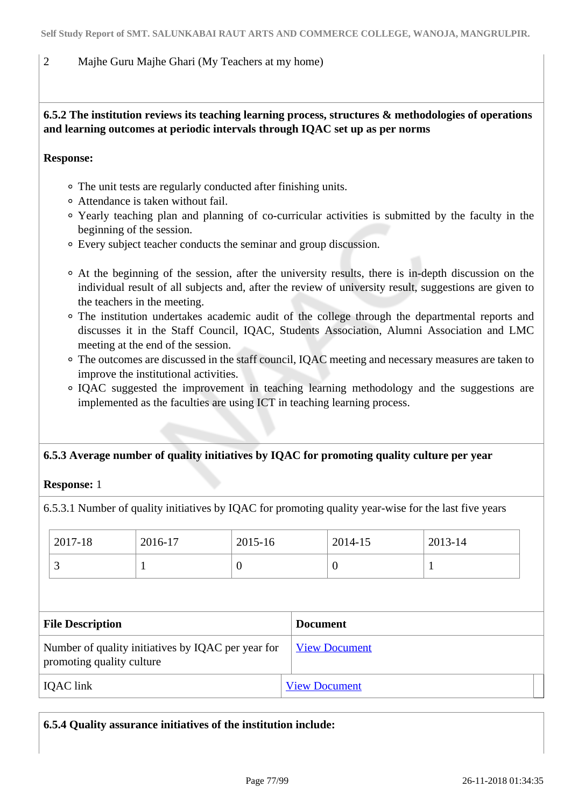## 2 Majhe Guru Majhe Ghari (My Teachers at my home)

## **6.5.2 The institution reviews its teaching learning process, structures & methodologies of operations and learning outcomes at periodic intervals through IQAC set up as per norms**

#### **Response:**

- The unit tests are regularly conducted after finishing units.
- Attendance is taken without fail.
- Yearly teaching plan and planning of co-curricular activities is submitted by the faculty in the beginning of the session.
- Every subject teacher conducts the seminar and group discussion.
- At the beginning of the session, after the university results, there is in-depth discussion on the individual result of all subjects and, after the review of university result, suggestions are given to the teachers in the meeting.
- The institution undertakes academic audit of the college through the departmental reports and discusses it in the Staff Council, IQAC, Students Association, Alumni Association and LMC meeting at the end of the session.
- The outcomes are discussed in the staff council, IQAC meeting and necessary measures are taken to improve the institutional activities.
- IQAC suggested the improvement in teaching learning methodology and the suggestions are implemented as the faculties are using ICT in teaching learning process.

## **6.5.3 Average number of quality initiatives by IQAC for promoting quality culture per year**

#### **Response:** 1

6.5.3.1 Number of quality initiatives by IQAC for promoting quality year-wise for the last five years

| 2017-18                                                                         |  | 2016-17 | 2015-16              |                      | 2014-15  | 2013-14 |  |
|---------------------------------------------------------------------------------|--|---------|----------------------|----------------------|----------|---------|--|
| 3                                                                               |  | L       | $\overline{0}$       |                      | $\theta$ | 1       |  |
|                                                                                 |  |         |                      |                      |          |         |  |
| <b>File Description</b>                                                         |  |         | <b>Document</b>      |                      |          |         |  |
| Number of quality initiatives by IQAC per year for<br>promoting quality culture |  |         |                      | <b>View Document</b> |          |         |  |
| <b>IQAC</b> link                                                                |  |         | <b>View Document</b> |                      |          |         |  |

| $\,^{\circ}$ 6.5.4 Quality assurance initiatives of the institution include: |  |  |  |
|------------------------------------------------------------------------------|--|--|--|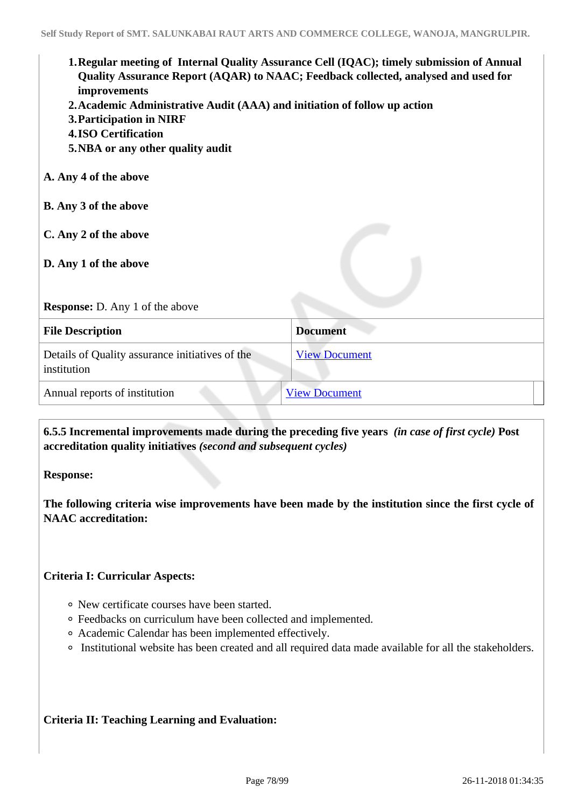| 1. Regular meeting of Internal Quality Assurance Cell (IQAC); timely submission of Annual<br>Quality Assurance Report (AQAR) to NAAC; Feedback collected, analysed and used for<br>improvements<br>2. Academic Administrative Audit (AAA) and initiation of follow up action<br>3. Participation in NIRF<br><b>4.ISO Certification</b><br>5. NBA or any other quality audit |                      |  |  |  |  |
|-----------------------------------------------------------------------------------------------------------------------------------------------------------------------------------------------------------------------------------------------------------------------------------------------------------------------------------------------------------------------------|----------------------|--|--|--|--|
| A. Any 4 of the above                                                                                                                                                                                                                                                                                                                                                       |                      |  |  |  |  |
| <b>B.</b> Any 3 of the above                                                                                                                                                                                                                                                                                                                                                |                      |  |  |  |  |
| C. Any 2 of the above<br>D. Any 1 of the above                                                                                                                                                                                                                                                                                                                              |                      |  |  |  |  |
| <b>Response:</b> D. Any 1 of the above                                                                                                                                                                                                                                                                                                                                      |                      |  |  |  |  |
| <b>Document</b><br><b>File Description</b>                                                                                                                                                                                                                                                                                                                                  |                      |  |  |  |  |
| Details of Quality assurance initiatives of the<br>institution                                                                                                                                                                                                                                                                                                              | <b>View Document</b> |  |  |  |  |
| Annual reports of institution                                                                                                                                                                                                                                                                                                                                               | <b>View Document</b> |  |  |  |  |

 **6.5.5 Incremental improvements made during the preceding five years** *(in case of first cycle)* **Post accreditation quality initiatives** *(second and subsequent cycles)*

**Response:** 

**The following criteria wise improvements have been made by the institution since the first cycle of NAAC accreditation:**

## **Criteria I: Curricular Aspects:**

- New certificate courses have been started.
- Feedbacks on curriculum have been collected and implemented.
- Academic Calendar has been implemented effectively.
- Institutional website has been created and all required data made available for all the stakeholders.

## **Criteria II: Teaching Learning and Evaluation:**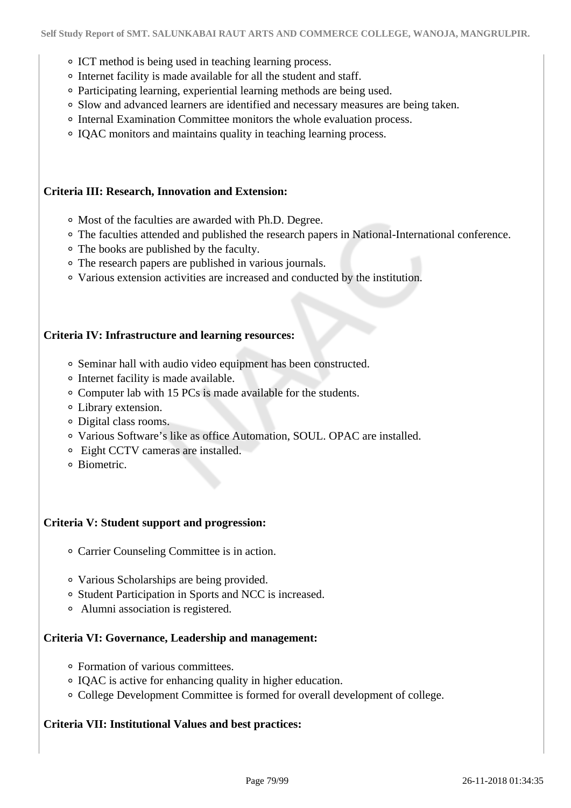- ICT method is being used in teaching learning process.
- Internet facility is made available for all the student and staff.
- Participating learning, experiential learning methods are being used.
- Slow and advanced learners are identified and necessary measures are being taken.
- o Internal Examination Committee monitors the whole evaluation process.
- IQAC monitors and maintains quality in teaching learning process.

#### **Criteria III: Research, Innovation and Extension:**

- Most of the faculties are awarded with Ph.D. Degree.
- The faculties attended and published the research papers in National-International conference.
- The books are published by the faculty.
- The research papers are published in various journals.
- Various extension activities are increased and conducted by the institution.

#### **Criteria IV: Infrastructure and learning resources:**

- Seminar hall with audio video equipment has been constructed.
- Internet facility is made available.
- Computer lab with 15 PCs is made available for the students.
- Library extension.
- Digital class rooms.
- Various Software's like as office Automation, SOUL. OPAC are installed.
- Eight CCTV cameras are installed.
- o Biometric

#### **Criteria V: Student support and progression:**

- Carrier Counseling Committee is in action.
- Various Scholarships are being provided.
- o Student Participation in Sports and NCC is increased.
- Alumni association is registered.

#### **Criteria VI: Governance, Leadership and management:**

- Formation of various committees.
- IQAC is active for enhancing quality in higher education.
- College Development Committee is formed for overall development of college.

#### **Criteria VII: Institutional Values and best practices:**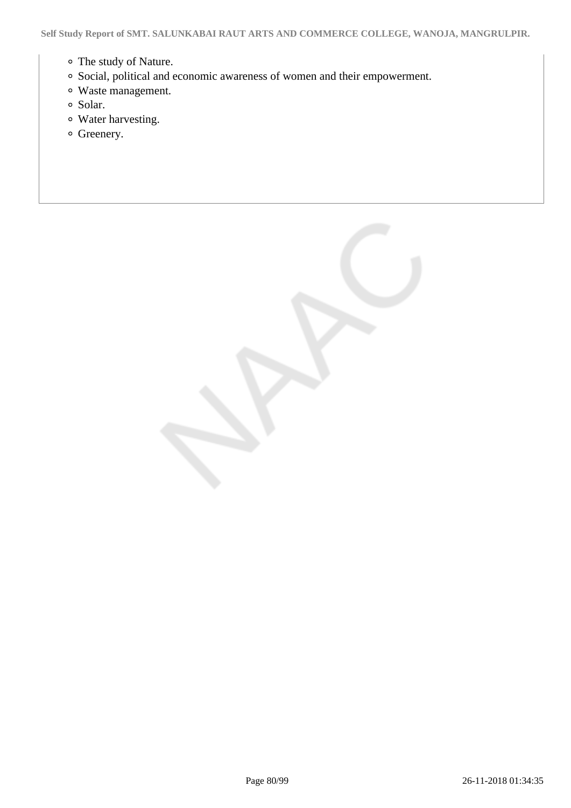- The study of Nature.
- Social, political and economic awareness of women and their empowerment.
- Waste management.
- Solar.
- Water harvesting.
- <sup>o</sup> Greenery.

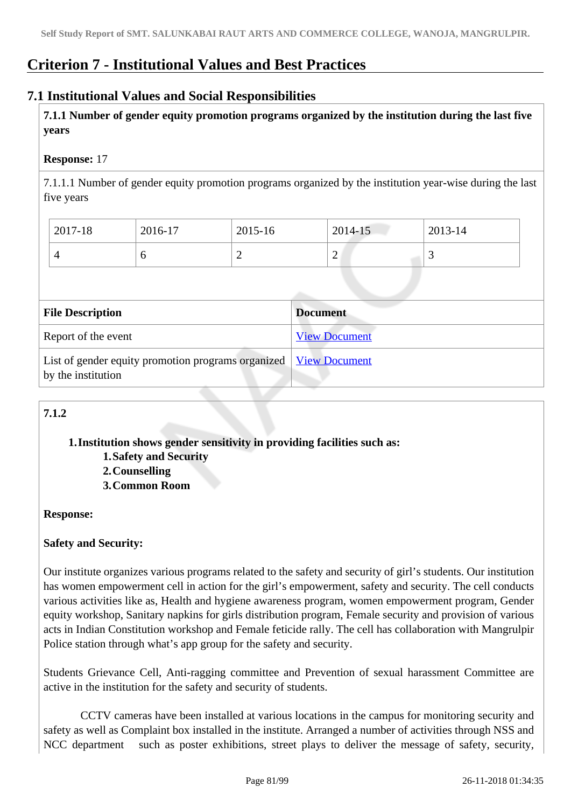## **Criterion 7 - Institutional Values and Best Practices**

## **7.1 Institutional Values and Social Responsibilities**

 **7.1.1 Number of gender equity promotion programs organized by the institution during the last five years** 

## **Response:** 17

7.1.1.1 Number of gender equity promotion programs organized by the institution year-wise during the last five years

| 2017-18 | 2016-17 | 2015-16 | 2014-15 | 2013-14 |
|---------|---------|---------|---------|---------|
|         |         | ∽       | ∽       |         |

| <b>File Description</b>                                                                  | <b>Document</b>      |
|------------------------------------------------------------------------------------------|----------------------|
| Report of the event                                                                      | <b>View Document</b> |
| List of gender equity promotion programs organized   View Document<br>by the institution |                      |

## **7.1.2**

**1.Institution shows gender sensitivity in providing facilities such as: 1.Safety and Security**

**2.Counselling 3.Common Room**

## **Response:**

## **Safety and Security:**

Our institute organizes various programs related to the safety and security of girl's students. Our institution has women empowerment cell in action for the girl's empowerment, safety and security. The cell conducts various activities like as, Health and hygiene awareness program, women empowerment program, Gender equity workshop, Sanitary napkins for girls distribution program, Female security and provision of various acts in Indian Constitution workshop and Female feticide rally. The cell has collaboration with Mangrulpir Police station through what's app group for the safety and security.

Students Grievance Cell, Anti-ragging committee and Prevention of sexual harassment Committee are active in the institution for the safety and security of students.

 CCTV cameras have been installed at various locations in the campus for monitoring security and safety as well as Complaint box installed in the institute. Arranged a number of activities through NSS and NCC department such as poster exhibitions, street plays to deliver the message of safety, security,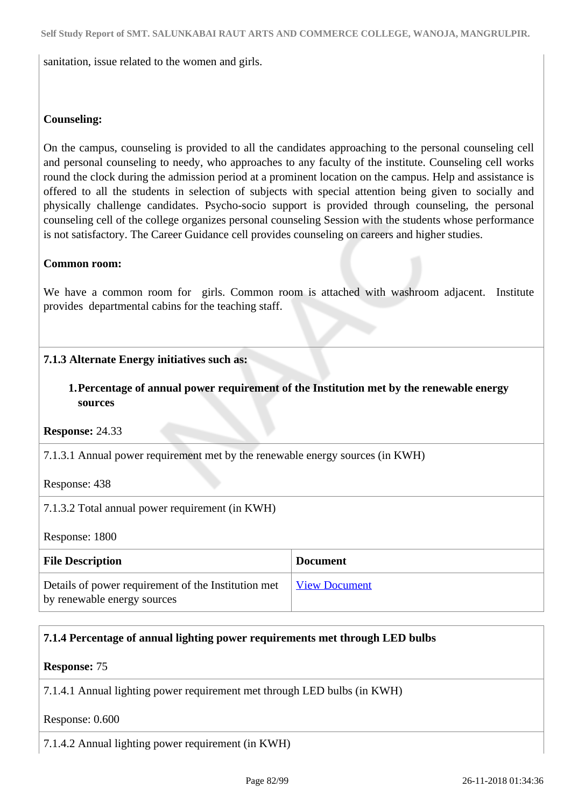sanitation, issue related to the women and girls.

## **Counseling:**

On the campus, counseling is provided to all the candidates approaching to the personal counseling cell and personal counseling to needy, who approaches to any faculty of the institute. Counseling cell works round the clock during the admission period at a prominent location on the campus. Help and assistance is offered to all the students in selection of subjects with special attention being given to socially and physically challenge candidates. Psycho-socio support is provided through counseling, the personal counseling cell of the college organizes personal counseling Session with the students whose performance is not satisfactory. The Career Guidance cell provides counseling on careers and higher studies.

#### **Common room:**

We have a common room for girls. Common room is attached with washroom adjacent. Institute provides departmental cabins for the teaching staff.

## **7.1.3 Alternate Energy initiatives such as:**

## **1.Percentage of annual power requirement of the Institution met by the renewable energy sources**

**Response:** 24.33

7.1.3.1 Annual power requirement met by the renewable energy sources (in KWH)

Response: 438

7.1.3.2 Total annual power requirement (in KWH)

Response: 1800

| <b>File Description</b>                                                            | <b>Document</b>      |
|------------------------------------------------------------------------------------|----------------------|
| Details of power requirement of the Institution met<br>by renewable energy sources | <b>View Document</b> |

## **7.1.4 Percentage of annual lighting power requirements met through LED bulbs**

**Response:** 75

7.1.4.1 Annual lighting power requirement met through LED bulbs (in KWH)

Response: 0.600

7.1.4.2 Annual lighting power requirement (in KWH)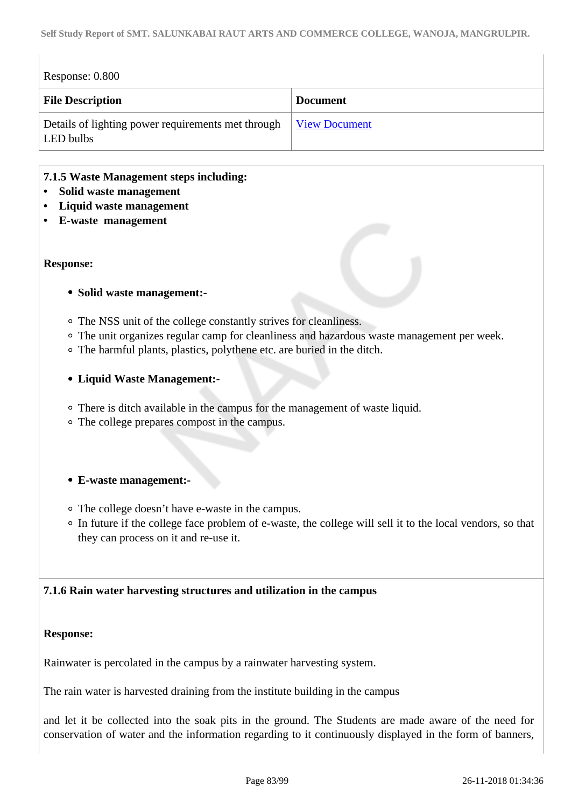| Response: 0.800                                                 |                      |
|-----------------------------------------------------------------|----------------------|
| <b>File Description</b>                                         | <b>Document</b>      |
| Details of lighting power requirements met through<br>LED bulbs | <b>View Document</b> |

## **7.1.5 Waste Management steps including:**

- **Solid waste management**
- **Liquid waste management**
- **E-waste management**

#### **Response:**

#### **Solid waste management:-**

- The NSS unit of the college constantly strives for cleanliness.
- The unit organizes regular camp for cleanliness and hazardous waste management per week.
- The harmful plants, plastics, polythene etc. are buried in the ditch.

#### **Liquid Waste Management:-**

- There is ditch available in the campus for the management of waste liquid.
- The college prepares compost in the campus.
- **E-waste management:-**
- The college doesn't have e-waste in the campus.
- In future if the college face problem of e-waste, the college will sell it to the local vendors, so that they can process on it and re-use it.

## **7.1.6 Rain water harvesting structures and utilization in the campus**

#### **Response:**

Rainwater is percolated in the campus by a rainwater harvesting system.

The rain water is harvested draining from the institute building in the campus

and let it be collected into the soak pits in the ground. The Students are made aware of the need for conservation of water and the information regarding to it continuously displayed in the form of banners,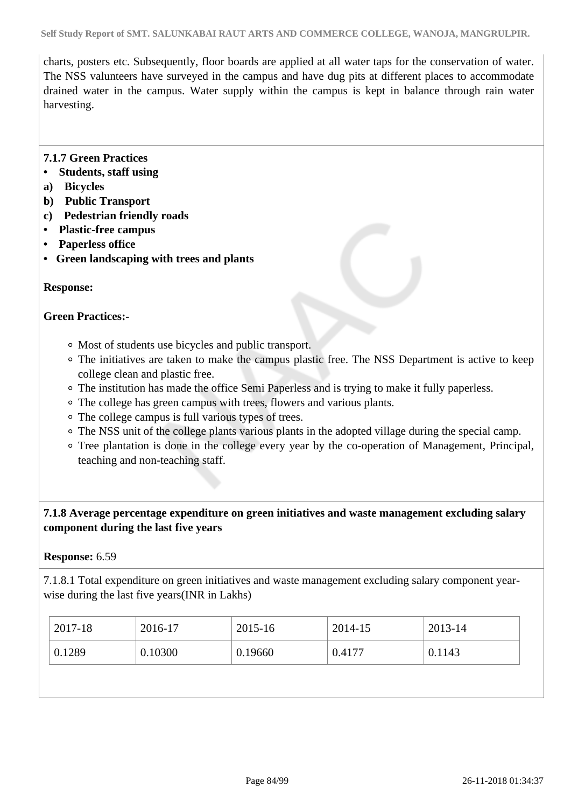charts, posters etc. Subsequently, floor boards are applied at all water taps for the conservation of water. The NSS valunteers have surveyed in the campus and have dug pits at different places to accommodate drained water in the campus. Water supply within the campus is kept in balance through rain water harvesting.

## **7.1.7 Green Practices**

- **Students, staff using**
- **a) Bicycles**
- **b) Public Transport**
- **c) Pedestrian friendly roads**
- **Plastic-free campus**
- **Paperless office**
- **Green landscaping with trees and plants**

## **Response:**

## **Green Practices:-**

- Most of students use bicycles and public transport.
- The initiatives are taken to make the campus plastic free. The NSS Department is active to keep college clean and plastic free.
- The institution has made the office Semi Paperless and is trying to make it fully paperless.
- The college has green campus with trees, flowers and various plants.
- The college campus is full various types of trees.
- The NSS unit of the college plants various plants in the adopted village during the special camp.
- Tree plantation is done in the college every year by the co-operation of Management, Principal, teaching and non-teaching staff.

## **7.1.8 Average percentage expenditure on green initiatives and waste management excluding salary component during the last five years**

## **Response:** 6.59

7.1.8.1 Total expenditure on green initiatives and waste management excluding salary component yearwise during the last five years(INR in Lakhs)

| 2017-18 | 2016-17 | 2015-16 | 2014-15 | 2013-14 |
|---------|---------|---------|---------|---------|
| 0.1289  | 0.10300 | 0.19660 | 0.4177  | 0.1143  |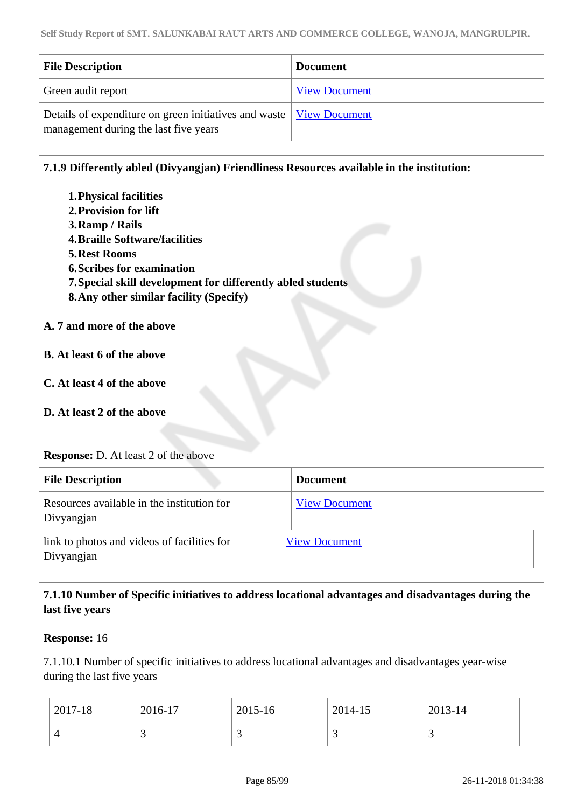| <b>File Description</b>                                                                                        | <b>Document</b>      |
|----------------------------------------------------------------------------------------------------------------|----------------------|
| Green audit report                                                                                             | <b>View Document</b> |
| Details of expenditure on green initiatives and waste   View Document<br>management during the last five years |                      |

## **7.1.9 Differently abled (Divyangjan) Friendliness Resources available in the institution:**

| 1. Physical facilities<br>2. Provision for lift<br>3. Ramp / Rails<br><b>4. Braille Software/facilities</b><br><b>5. Rest Rooms</b><br><b>6. Scribes for examination</b><br>7. Special skill development for differently abled students<br>8. Any other similar facility (Specify)<br>A. 7 and more of the above<br><b>B.</b> At least 6 of the above<br>C. At least 4 of the above<br>D. At least 2 of the above<br><b>Response:</b> D. At least 2 of the above |                      |  |
|------------------------------------------------------------------------------------------------------------------------------------------------------------------------------------------------------------------------------------------------------------------------------------------------------------------------------------------------------------------------------------------------------------------------------------------------------------------|----------------------|--|
| <b>File Description</b>                                                                                                                                                                                                                                                                                                                                                                                                                                          | <b>Document</b>      |  |
| Resources available in the institution for<br>Divyangjan                                                                                                                                                                                                                                                                                                                                                                                                         | <b>View Document</b> |  |
| link to photos and videos of facilities for<br>Divyangjan                                                                                                                                                                                                                                                                                                                                                                                                        | <b>View Document</b> |  |

## **7.1.10 Number of Specific initiatives to address locational advantages and disadvantages during the last five years**

#### **Response:** 16

7.1.10.1 Number of specific initiatives to address locational advantages and disadvantages year-wise during the last five years

| 2017-18 | 2016-17 | 2015-16 | 2014-15 | 2013-14 |
|---------|---------|---------|---------|---------|
|         | ້       |         |         |         |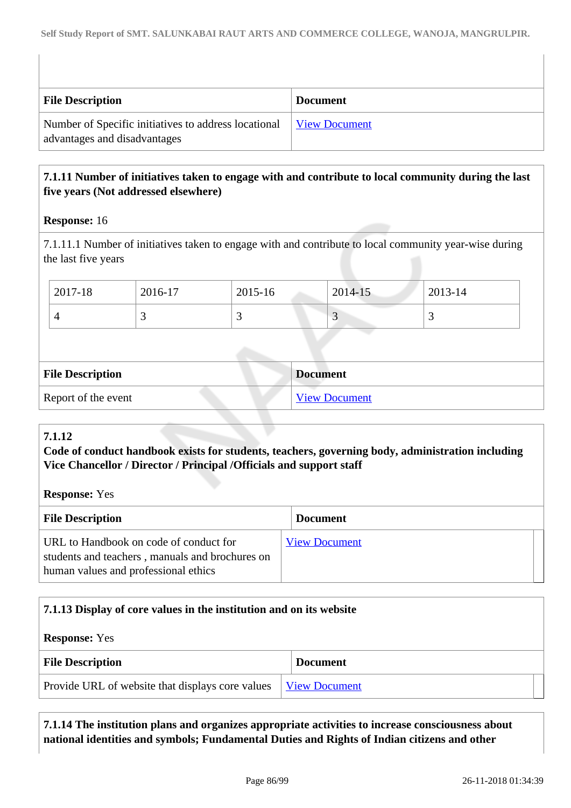| <b>File Description</b>                                                              | <b>Document</b>             |
|--------------------------------------------------------------------------------------|-----------------------------|
| Number of Specific initiatives to address locational<br>advantages and disadvantages | <u><b>View Document</b></u> |

## **7.1.11 Number of initiatives taken to engage with and contribute to local community during the last five years (Not addressed elsewhere)**

## **Response:** 16

7.1.11.1 Number of initiatives taken to engage with and contribute to local community year-wise during the last five years

| 2017-18 | 2016-17 | 2015-16 | 2014-15 | 2013-14                  |
|---------|---------|---------|---------|--------------------------|
| ட       |         |         |         | $\overline{\phantom{0}}$ |

| <b>File Description</b> | <b>Document</b>      |
|-------------------------|----------------------|
| Report of the event     | <b>View Document</b> |

## **7.1.12**

## **Code of conduct handbook exists for students, teachers, governing body, administration including Vice Chancellor / Director / Principal /Officials and support staff**

**Response:** Yes

| <b>File Description</b>                                                                                                           | <b>Document</b>      |  |
|-----------------------------------------------------------------------------------------------------------------------------------|----------------------|--|
| URL to Handbook on code of conduct for<br>students and teachers, manuals and brochures on<br>human values and professional ethics | <b>View Document</b> |  |

## **7.1.13 Display of core values in the institution and on its website**

**Response:** Yes

| <b>File Description</b>                                                 | <b>Document</b> |
|-------------------------------------------------------------------------|-----------------|
| Provide URL of website that displays core values   <u>View Document</u> |                 |

 **7.1.14 The institution plans and organizes appropriate activities to increase consciousness about national identities and symbols; Fundamental Duties and Rights of Indian citizens and other**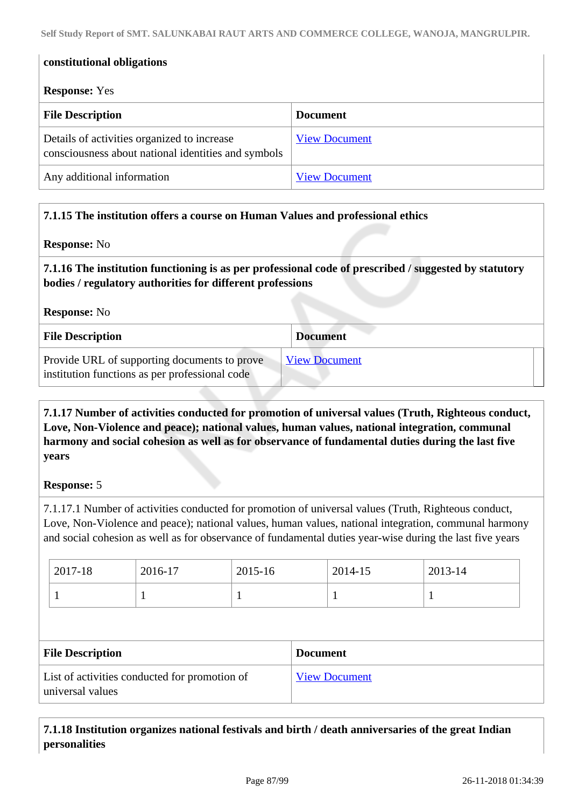| constitutional obligations<br><b>Response:</b> Yes                                                 |                      |
|----------------------------------------------------------------------------------------------------|----------------------|
| <b>File Description</b>                                                                            | <b>Document</b>      |
| Details of activities organized to increase<br>consciousness about national identities and symbols | <b>View Document</b> |
| Any additional information                                                                         | <b>View Document</b> |

## **7.1.15 The institution offers a course on Human Values and professional ethics**

#### **Response:** No

 **7.1.16 The institution functioning is as per professional code of prescribed / suggested by statutory bodies / regulatory authorities for different professions**

**Response:** No

| <b>File Description</b>                                                                        | <b>Document</b>      |
|------------------------------------------------------------------------------------------------|----------------------|
| Provide URL of supporting documents to prove<br>institution functions as per professional code | <b>View Document</b> |

 **7.1.17 Number of activities conducted for promotion of universal values (Truth, Righteous conduct, Love, Non-Violence and peace); national values, human values, national integration, communal harmony and social cohesion as well as for observance of fundamental duties during the last five years**

## **Response:** 5

7.1.17.1 Number of activities conducted for promotion of universal values (Truth, Righteous conduct, Love, Non-Violence and peace); national values, human values, national integration, communal harmony and social cohesion as well as for observance of fundamental duties year-wise during the last five years

| $2017 - 18$ | 2016-17 | 2015-16  | 2014-15 | 2013-14 |
|-------------|---------|----------|---------|---------|
|             |         | <b>.</b> |         |         |

| <b>File Description</b>                                           | <b>Document</b>      |
|-------------------------------------------------------------------|----------------------|
| List of activities conducted for promotion of<br>universal values | <b>View Document</b> |

## **7.1.18 Institution organizes national festivals and birth / death anniversaries of the great Indian personalities**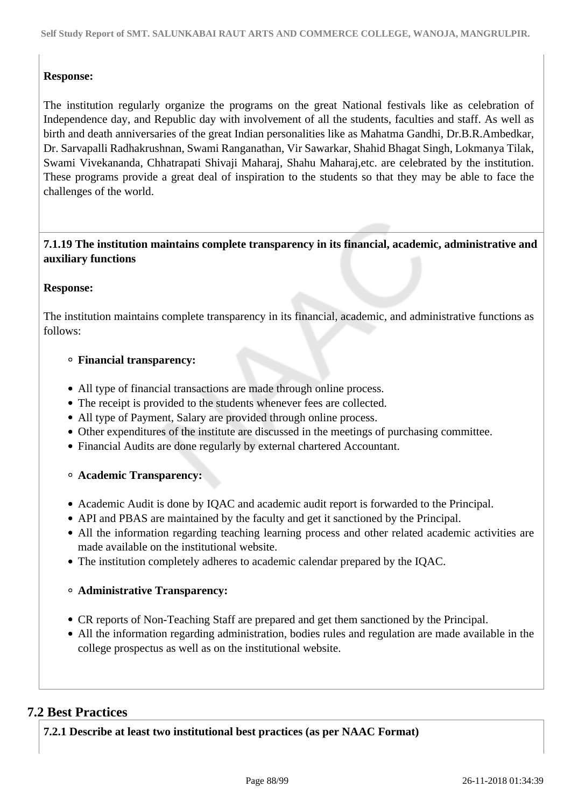## **Response:**

The institution regularly organize the programs on the great National festivals like as celebration of Independence day, and Republic day with involvement of all the students, faculties and staff. As well as birth and death anniversaries of the great Indian personalities like as Mahatma Gandhi, Dr.B.R.Ambedkar, Dr. Sarvapalli Radhakrushnan, Swami Ranganathan, Vir Sawarkar, Shahid Bhagat Singh, Lokmanya Tilak, Swami Vivekananda, Chhatrapati Shivaji Maharaj, Shahu Maharaj,etc. are celebrated by the institution. These programs provide a great deal of inspiration to the students so that they may be able to face the challenges of the world.

## **7.1.19 The institution maintains complete transparency in its financial, academic, administrative and auxiliary functions**

## **Response:**

The institution maintains complete transparency in its financial, academic, and administrative functions as follows:

#### **Financial transparency:**

- All type of financial transactions are made through online process.
- The receipt is provided to the students whenever fees are collected.
- All type of Payment, Salary are provided through online process.
- Other expenditures of the institute are discussed in the meetings of purchasing committee.
- Financial Audits are done regularly by external chartered Accountant.

## **Academic Transparency:**

- Academic Audit is done by IQAC and academic audit report is forwarded to the Principal.
- API and PBAS are maintained by the faculty and get it sanctioned by the Principal.
- All the information regarding teaching learning process and other related academic activities are made available on the institutional website.
- The institution completely adheres to academic calendar prepared by the IQAC.

## **Administrative Transparency:**

- CR reports of Non-Teaching Staff are prepared and get them sanctioned by the Principal.
- All the information regarding administration, bodies rules and regulation are made available in the college prospectus as well as on the institutional website.

## **7.2 Best Practices**

**7.2.1 Describe at least two institutional best practices (as per NAAC Format)**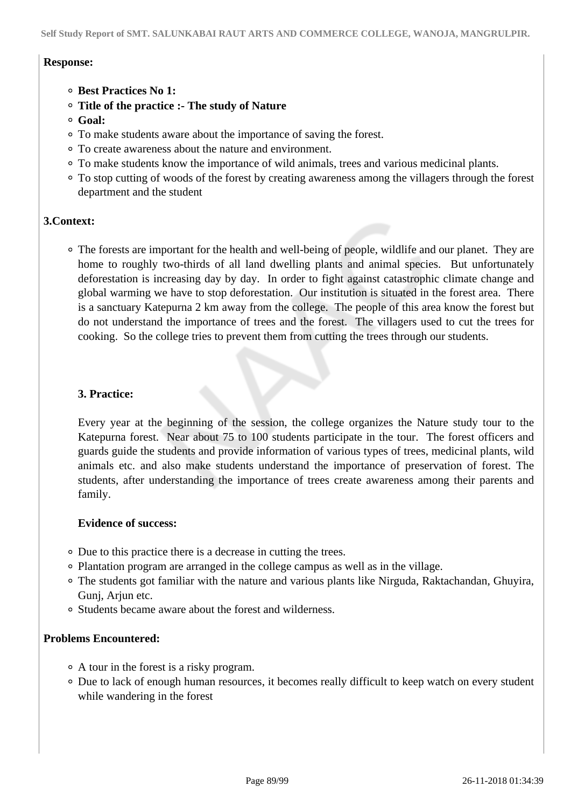#### **Response:**

- **Best Practices No 1:**
- **Title of the practice :- The study of Nature**
- **Goal:**
- To make students aware about the importance of saving the forest.
- To create awareness about the nature and environment.
- To make students know the importance of wild animals, trees and various medicinal plants.
- To stop cutting of woods of the forest by creating awareness among the villagers through the forest department and the student

#### **3.Context:**

The forests are important for the health and well-being of people, wildlife and our planet. They are home to roughly two-thirds of all land dwelling plants and animal species. But unfortunately deforestation is increasing day by day. In order to fight against catastrophic climate change and global warming we have to stop deforestation. Our institution is situated in the forest area. There is a sanctuary Katepurna 2 km away from the college. The people of this area know the forest but do not understand the importance of trees and the forest. The villagers used to cut the trees for cooking. So the college tries to prevent them from cutting the trees through our students.

#### **3. Practice:**

Every year at the beginning of the session, the college organizes the Nature study tour to the Katepurna forest. Near about 75 to 100 students participate in the tour. The forest officers and guards guide the students and provide information of various types of trees, medicinal plants, wild animals etc. and also make students understand the importance of preservation of forest. The students, after understanding the importance of trees create awareness among their parents and family.

#### **Evidence of success:**

- Due to this practice there is a decrease in cutting the trees.
- Plantation program are arranged in the college campus as well as in the village.
- The students got familiar with the nature and various plants like Nirguda, Raktachandan, Ghuyira, Gunj, Arjun etc.
- Students became aware about the forest and wilderness.

#### **Problems Encountered:**

- A tour in the forest is a risky program.
- Due to lack of enough human resources, it becomes really difficult to keep watch on every student while wandering in the forest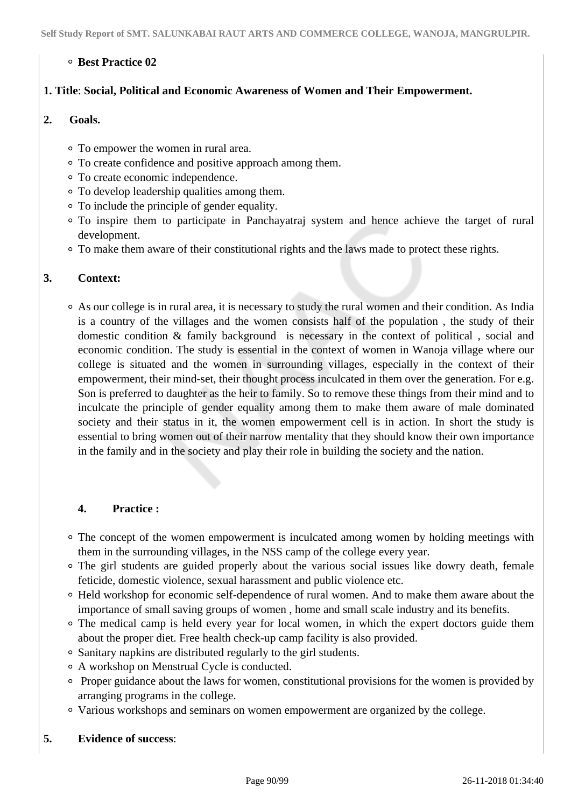## **Best Practice 02**

## **1. Title**: **Social, Political and Economic Awareness of Women and Their Empowerment.**

#### **2. Goals.**

- To empower the women in rural area.
- To create confidence and positive approach among them.
- To create economic independence.
- To develop leadership qualities among them.
- To include the principle of gender equality.
- To inspire them to participate in Panchayatraj system and hence achieve the target of rural development.
- To make them aware of their constitutional rights and the laws made to protect these rights.

## **3. Context:**

As our college is in rural area, it is necessary to study the rural women and their condition. As India is a country of the villages and the women consists half of the population , the study of their domestic condition & family background is necessary in the context of political , social and economic condition. The study is essential in the context of women in Wanoja village where our college is situated and the women in surrounding villages, especially in the context of their empowerment, their mind-set, their thought process inculcated in them over the generation. For e.g. Son is preferred to daughter as the heir to family. So to remove these things from their mind and to inculcate the principle of gender equality among them to make them aware of male dominated society and their status in it, the women empowerment cell is in action. In short the study is essential to bring women out of their narrow mentality that they should know their own importance in the family and in the society and play their role in building the society and the nation.

## **4. Practice :**

- The concept of the women empowerment is inculcated among women by holding meetings with them in the surrounding villages, in the NSS camp of the college every year.
- The girl students are guided properly about the various social issues like dowry death, female feticide, domestic violence, sexual harassment and public violence etc.
- Held workshop for economic self-dependence of rural women. And to make them aware about the importance of small saving groups of women , home and small scale industry and its benefits.
- The medical camp is held every year for local women, in which the expert doctors guide them about the proper diet. Free health check-up camp facility is also provided.
- Sanitary napkins are distributed regularly to the girl students.
- A workshop on Menstrual Cycle is conducted.
- Proper guidance about the laws for women, constitutional provisions for the women is provided by arranging programs in the college.
- Various workshops and seminars on women empowerment are organized by the college.

## **5. Evidence of success**: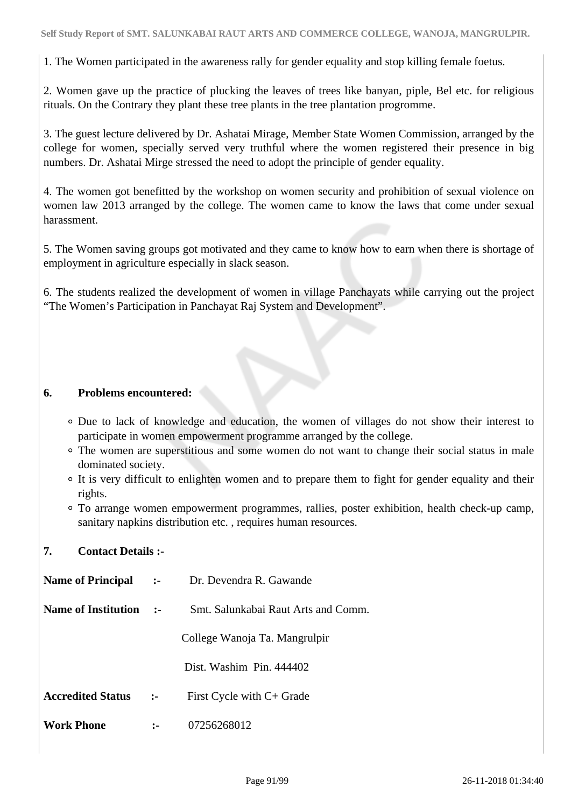1. The Women participated in the awareness rally for gender equality and stop killing female foetus.

2. Women gave up the practice of plucking the leaves of trees like banyan, piple, Bel etc. for religious rituals. On the Contrary they plant these tree plants in the tree plantation progromme.

3. The guest lecture delivered by Dr. Ashatai Mirage, Member State Women Commission, arranged by the college for women, specially served very truthful where the women registered their presence in big numbers. Dr. Ashatai Mirge stressed the need to adopt the principle of gender equality.

4. The women got benefitted by the workshop on women security and prohibition of sexual violence on women law 2013 arranged by the college. The women came to know the laws that come under sexual harassment.

5. The Women saving groups got motivated and they came to know how to earn when there is shortage of employment in agriculture especially in slack season.

6. The students realized the development of women in village Panchayats while carrying out the project "The Women's Participation in Panchayat Raj System and Development".

## **6. Problems encountered:**

- Due to lack of knowledge and education, the women of villages do not show their interest to participate in women empowerment programme arranged by the college.
- The women are superstitious and some women do not want to change their social status in male dominated society.
- It is very difficult to enlighten women and to prepare them to fight for gender equality and their rights.
- To arrange women empowerment programmes, rallies, poster exhibition, health check-up camp, sanitary napkins distribution etc., requires human resources.

## **7. Contact Details :-**

| <b>Name of Principal</b> | $\mathbf{L}$ | Dr. Devendra R. Gawande             |
|--------------------------|--------------|-------------------------------------|
| Name of Institution      | $\sim$ 2-    | Smt. Salunkabai Raut Arts and Comm. |
|                          |              | College Wanoja Ta. Mangrulpir       |
|                          |              | Dist. Washim Pin. 444402            |
| <b>Accredited Status</b> | $:-$         | First Cycle with C+ Grade           |
| Work Phone               |              | 07256268012                         |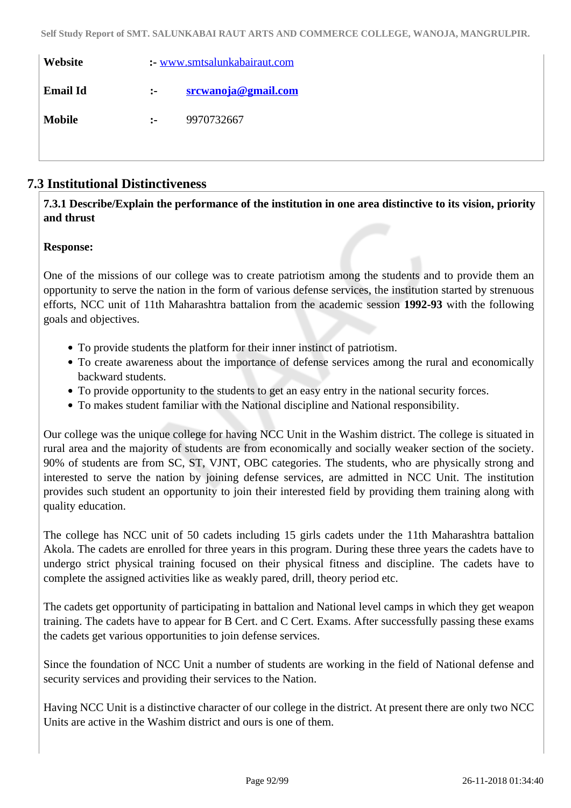| Website         |                      | : www.smtsalunkabairaut.com |
|-----------------|----------------------|-----------------------------|
| <b>Email Id</b> | $\ddot{\phantom{a}}$ | srcwanoja@gmail.com         |
| <b>Mobile</b>   | $\mathbf{L}$         | 9970732667                  |
|                 |                      |                             |

## **7.3 Institutional Distinctiveness**

## **7.3.1 Describe/Explain the performance of the institution in one area distinctive to its vision, priority and thrust**

## **Response:**

One of the missions of our college was to create patriotism among the students and to provide them an opportunity to serve the nation in the form of various defense services, the institution started by strenuous efforts, NCC unit of 11th Maharashtra battalion from the academic session **1992-93** with the following goals and objectives.

- To provide students the platform for their inner instinct of patriotism.
- To create awareness about the importance of defense services among the rural and economically backward students.
- To provide opportunity to the students to get an easy entry in the national security forces.
- To makes student familiar with the National discipline and National responsibility.

Our college was the unique college for having NCC Unit in the Washim district. The college is situated in rural area and the majority of students are from economically and socially weaker section of the society. 90% of students are from SC, ST, VJNT, OBC categories. The students, who are physically strong and interested to serve the nation by joining defense services, are admitted in NCC Unit. The institution provides such student an opportunity to join their interested field by providing them training along with quality education.

The college has NCC unit of 50 cadets including 15 girls cadets under the 11th Maharashtra battalion Akola. The cadets are enrolled for three years in this program. During these three years the cadets have to undergo strict physical training focused on their physical fitness and discipline. The cadets have to complete the assigned activities like as weakly pared, drill, theory period etc.

The cadets get opportunity of participating in battalion and National level camps in which they get weapon training. The cadets have to appear for B Cert. and C Cert. Exams. After successfully passing these exams the cadets get various opportunities to join defense services.

Since the foundation of NCC Unit a number of students are working in the field of National defense and security services and providing their services to the Nation.

Having NCC Unit is a distinctive character of our college in the district. At present there are only two NCC Units are active in the Washim district and ours is one of them.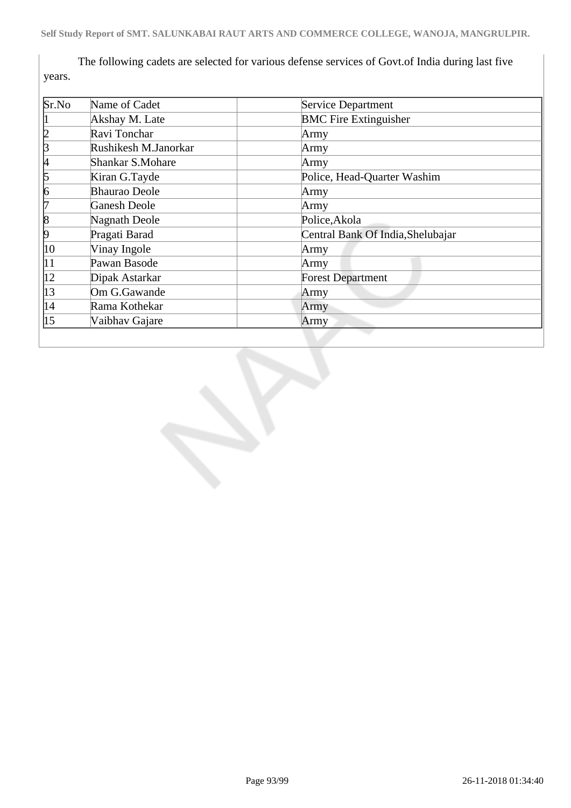The following cadets are selected for various defense services of Govt.of India during last five years.

| Sr.No            | Name of Cadet        | <b>Service Department</b>         |
|------------------|----------------------|-----------------------------------|
|                  | Akshay M. Late       | <b>BMC Fire Extinguisher</b>      |
| þ                | Ravi Tonchar         | Army                              |
| ß                | Rushikesh M.Janorkar | Army                              |
| 4                | Shankar S.Mohare     | Army                              |
| 5                | Kiran G.Tayde        | Police, Head-Quarter Washim       |
| 6                | <b>Bhaurao Deole</b> | Army                              |
| 17               | <b>Ganesh Deole</b>  | Army                              |
| 8                | Nagnath Deole        | Police, Akola                     |
| 19               | Pragati Barad        | Central Bank Of India, Shelubajar |
| 10               | Vinay Ingole         | Army                              |
| 11               | Pawan Basode         | Army                              |
| $ 12\rangle$     | Dipak Astarkar       | <b>Forest Department</b>          |
| 13               | Om G.Gawande         | Army                              |
| 14               | Rama Kothekar        | Army                              |
| $\vert 15 \vert$ | Vaibhav Gajare       | Army                              |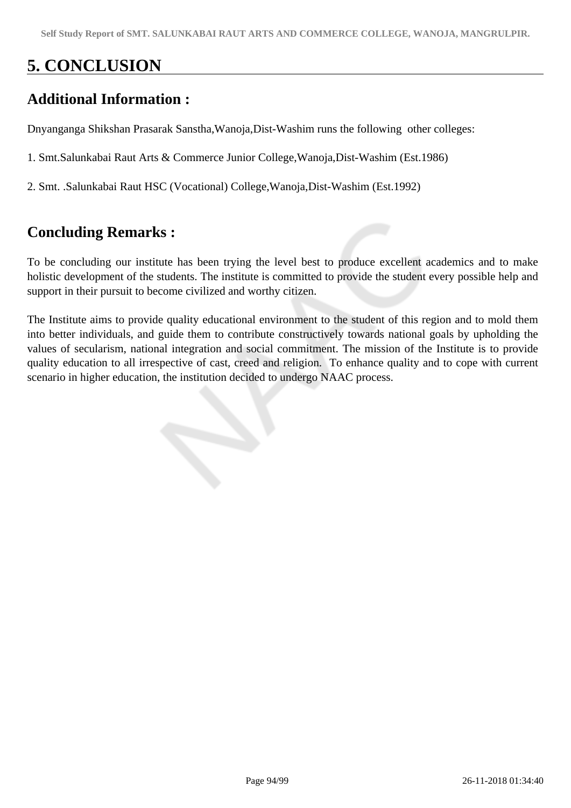# **5. CONCLUSION**

## **Additional Information :**

Dnyanganga Shikshan Prasarak Sanstha,Wanoja,Dist-Washim runs the following other colleges:

1. Smt.Salunkabai Raut Arts & Commerce Junior College,Wanoja,Dist-Washim (Est.1986)

2. Smt. .Salunkabai Raut HSC (Vocational) College,Wanoja,Dist-Washim (Est.1992)

## **Concluding Remarks :**

To be concluding our institute has been trying the level best to produce excellent academics and to make holistic development of the students. The institute is committed to provide the student every possible help and support in their pursuit to become civilized and worthy citizen.

The Institute aims to provide quality educational environment to the student of this region and to mold them into better individuals, and guide them to contribute constructively towards national goals by upholding the values of secularism, national integration and social commitment. The mission of the Institute is to provide quality education to all irrespective of cast, creed and religion. To enhance quality and to cope with current scenario in higher education, the institution decided to undergo NAAC process.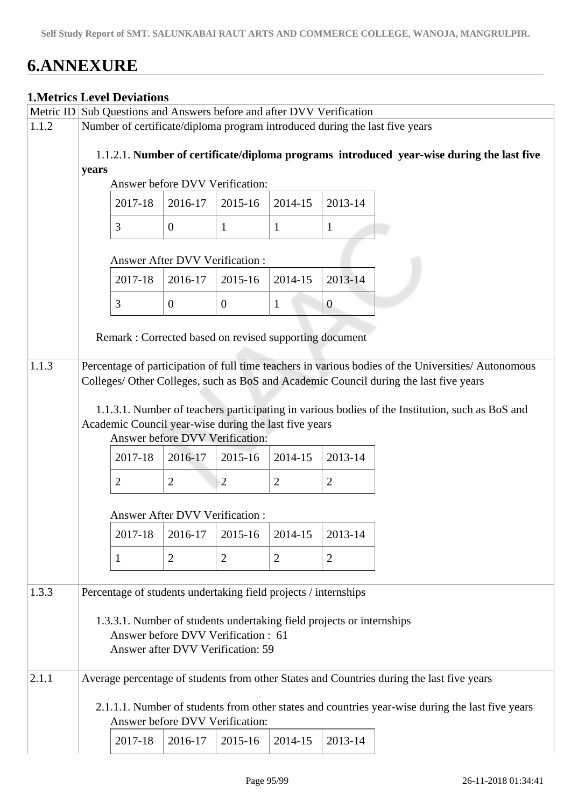# **6.ANNEXURE**

## **1.Metrics Level Deviations**

|       |                                                                                                                                       | Metric ID Sub Questions and Answers before and after DVV Verification                    |                |                  |                |                                                                       |                                                                                                                                                                                              |  |  |
|-------|---------------------------------------------------------------------------------------------------------------------------------------|------------------------------------------------------------------------------------------|----------------|------------------|----------------|-----------------------------------------------------------------------|----------------------------------------------------------------------------------------------------------------------------------------------------------------------------------------------|--|--|
| 1.1.2 |                                                                                                                                       |                                                                                          |                |                  |                |                                                                       | Number of certificate/diploma program introduced during the last five years                                                                                                                  |  |  |
|       | 1.1.2.1. Number of certificate/diploma programs introduced year-wise during the last five<br>years<br>Answer before DVV Verification: |                                                                                          |                |                  |                |                                                                       |                                                                                                                                                                                              |  |  |
|       |                                                                                                                                       | 2017-18                                                                                  | 2016-17        | 2015-16          | 2014-15        | 2013-14                                                               |                                                                                                                                                                                              |  |  |
|       |                                                                                                                                       | 3                                                                                        | $\mathbf{0}$   | $\mathbf{1}$     | $\mathbf{1}$   | $\mathbf{1}$                                                          |                                                                                                                                                                                              |  |  |
|       |                                                                                                                                       | Answer After DVV Verification:                                                           |                |                  |                |                                                                       |                                                                                                                                                                                              |  |  |
|       |                                                                                                                                       | 2017-18                                                                                  | 2016-17        | 2015-16          | 2014-15        | 2013-14                                                               |                                                                                                                                                                                              |  |  |
|       |                                                                                                                                       | 3                                                                                        | $\overline{0}$ | $\boldsymbol{0}$ | 1              | $\overline{0}$                                                        |                                                                                                                                                                                              |  |  |
|       |                                                                                                                                       | Remark : Corrected based on revised supporting document                                  |                |                  |                |                                                                       |                                                                                                                                                                                              |  |  |
| 1.1.3 |                                                                                                                                       |                                                                                          |                |                  |                |                                                                       | Percentage of participation of full time teachers in various bodies of the Universities/ Autonomous<br>Colleges/ Other Colleges, such as BoS and Academic Council during the last five years |  |  |
|       |                                                                                                                                       | Academic Council year-wise during the last five years<br>Answer before DVV Verification: |                |                  |                |                                                                       | 1.1.3.1. Number of teachers participating in various bodies of the Institution, such as BoS and                                                                                              |  |  |
|       |                                                                                                                                       | 2017-18                                                                                  | 2016-17        | $2015 - 16$      | 2014-15        | 2013-14                                                               |                                                                                                                                                                                              |  |  |
|       |                                                                                                                                       | $\overline{2}$                                                                           | $\overline{2}$ | $\overline{2}$   | $\overline{2}$ | $\overline{2}$                                                        |                                                                                                                                                                                              |  |  |
|       |                                                                                                                                       | Answer After DVV Verification :                                                          |                |                  |                |                                                                       |                                                                                                                                                                                              |  |  |
|       |                                                                                                                                       | 2017-18                                                                                  | 2016-17        | 2015-16          | 2014-15        | 2013-14                                                               |                                                                                                                                                                                              |  |  |
|       |                                                                                                                                       | 1                                                                                        | 2              | $\overline{2}$   | 2              | $\overline{2}$                                                        |                                                                                                                                                                                              |  |  |
| 1.3.3 |                                                                                                                                       | Percentage of students undertaking field projects / internships                          |                |                  |                |                                                                       |                                                                                                                                                                                              |  |  |
|       |                                                                                                                                       | Answer before DVV Verification : 61<br>Answer after DVV Verification: 59                 |                |                  |                | 1.3.3.1. Number of students undertaking field projects or internships |                                                                                                                                                                                              |  |  |
| 2.1.1 |                                                                                                                                       |                                                                                          |                |                  |                |                                                                       | Average percentage of students from other States and Countries during the last five years                                                                                                    |  |  |
|       |                                                                                                                                       | Answer before DVV Verification:                                                          |                |                  |                |                                                                       | 2.1.1.1. Number of students from other states and countries year-wise during the last five years                                                                                             |  |  |
|       |                                                                                                                                       | 2017-18                                                                                  | 2016-17        | 2015-16          | 2014-15        | 2013-14                                                               |                                                                                                                                                                                              |  |  |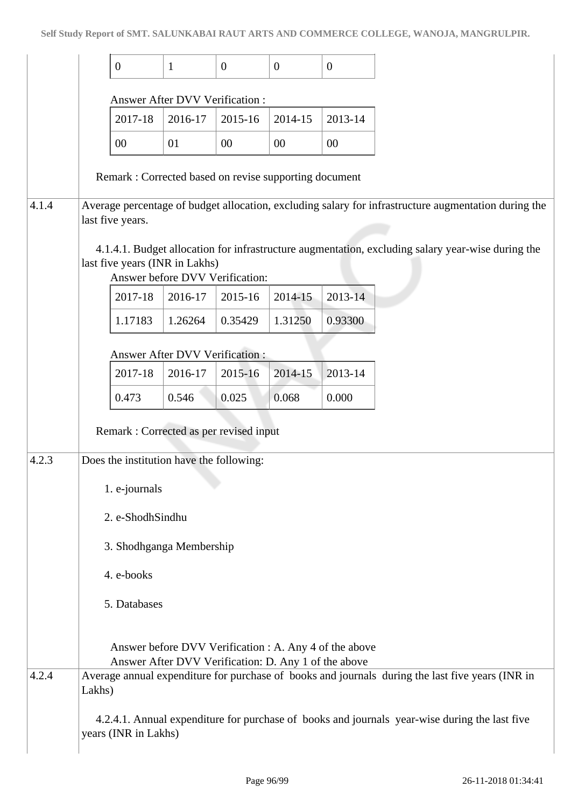|       | $\boldsymbol{0}$                                      | 1                                                    | $\mathbf{0}$ | $\mathbf{0}$ | $\overline{0}$                                         |                                                                                                      |
|-------|-------------------------------------------------------|------------------------------------------------------|--------------|--------------|--------------------------------------------------------|------------------------------------------------------------------------------------------------------|
|       |                                                       | Answer After DVV Verification:                       |              |              |                                                        |                                                                                                      |
|       | 2017-18                                               | 2016-17                                              | 2015-16      | 2014-15      | 2013-14                                                |                                                                                                      |
|       | 00                                                    | 01                                                   | $00\,$       | $00\,$       | 00                                                     |                                                                                                      |
|       | Remark: Corrected based on revise supporting document |                                                      |              |              |                                                        |                                                                                                      |
| 4.1.4 | last five years.                                      |                                                      |              |              |                                                        | Average percentage of budget allocation, excluding salary for infrastructure augmentation during the |
|       | last five years (INR in Lakhs)                        | Answer before DVV Verification:                      |              |              |                                                        | 4.1.4.1. Budget allocation for infrastructure augmentation, excluding salary year-wise during the    |
|       | 2017-18                                               | 2016-17                                              | 2015-16      | 2014-15      | 2013-14                                                |                                                                                                      |
|       | 1.17183                                               | 1.26264                                              | 0.35429      | 1.31250      | 0.93300                                                |                                                                                                      |
|       |                                                       | Answer After DVV Verification:                       |              |              |                                                        |                                                                                                      |
|       | 2017-18                                               | 2016-17                                              | 2015-16      | 2014-15      | 2013-14                                                |                                                                                                      |
|       | 0.473                                                 | 0.546                                                | 0.025        | 0.068        | 0.000                                                  |                                                                                                      |
|       | Remark : Corrected as per revised input               |                                                      |              |              |                                                        |                                                                                                      |
| 4.2.3 | Does the institution have the following:              |                                                      |              |              |                                                        |                                                                                                      |
|       | 1. e-journals                                         |                                                      |              |              |                                                        |                                                                                                      |
|       | 2. e-ShodhSindhu                                      |                                                      |              |              |                                                        |                                                                                                      |
|       | 3. Shodhganga Membership                              |                                                      |              |              |                                                        |                                                                                                      |
|       | 4. e-books                                            |                                                      |              |              |                                                        |                                                                                                      |
|       | 5. Databases                                          |                                                      |              |              |                                                        |                                                                                                      |
|       |                                                       |                                                      |              |              |                                                        |                                                                                                      |
|       |                                                       | Answer After DVV Verification: D. Any 1 of the above |              |              | Answer before DVV Verification : A. Any 4 of the above |                                                                                                      |
| 4.2.4 | Lakhs)                                                |                                                      |              |              |                                                        | Average annual expenditure for purchase of books and journals during the last five years (INR in     |
|       | years (INR in Lakhs)                                  |                                                      |              |              |                                                        | 4.2.4.1. Annual expenditure for purchase of books and journals year-wise during the last five        |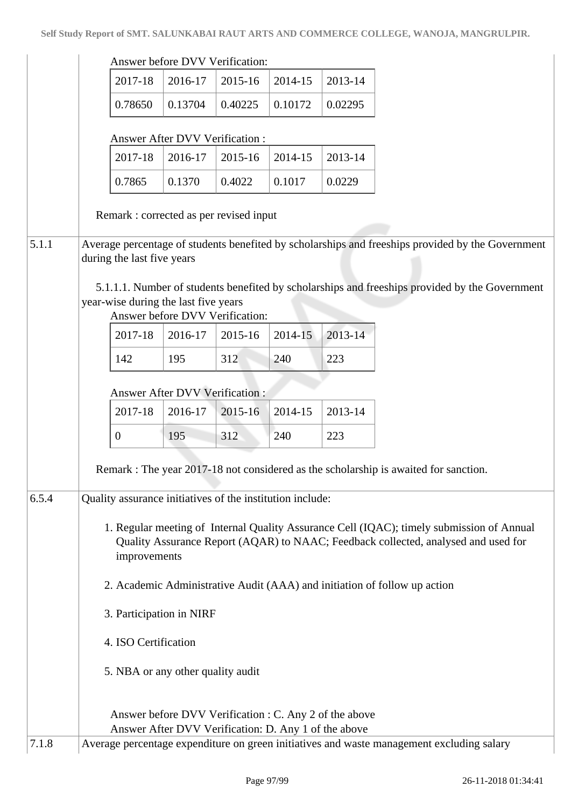|       |                                                                           |                                       | Answer before DVV Verification:                           |         |                                                        |                                                                                                                                                                                 |  |  |  |  |
|-------|---------------------------------------------------------------------------|---------------------------------------|-----------------------------------------------------------|---------|--------------------------------------------------------|---------------------------------------------------------------------------------------------------------------------------------------------------------------------------------|--|--|--|--|
|       | 2017-18                                                                   | 2016-17                               | 2015-16                                                   | 2014-15 | 2013-14                                                |                                                                                                                                                                                 |  |  |  |  |
|       | 0.78650                                                                   | 0.13704                               | 0.40225                                                   | 0.10172 | 0.02295                                                |                                                                                                                                                                                 |  |  |  |  |
|       |                                                                           |                                       |                                                           |         |                                                        |                                                                                                                                                                                 |  |  |  |  |
|       | 2017-18                                                                   | <b>Answer After DVV Verification:</b> |                                                           | 2014-15 |                                                        |                                                                                                                                                                                 |  |  |  |  |
|       |                                                                           | 2016-17                               | 2015-16                                                   |         | 2013-14                                                |                                                                                                                                                                                 |  |  |  |  |
|       | 0.7865                                                                    | 0.1370                                | 0.4022                                                    | 0.1017  | 0.0229                                                 |                                                                                                                                                                                 |  |  |  |  |
|       |                                                                           |                                       | Remark: corrected as per revised input                    |         |                                                        |                                                                                                                                                                                 |  |  |  |  |
| 5.1.1 |                                                                           |                                       |                                                           |         |                                                        | Average percentage of students benefited by scholarships and freeships provided by the Government                                                                               |  |  |  |  |
|       | during the last five years                                                |                                       |                                                           |         |                                                        |                                                                                                                                                                                 |  |  |  |  |
|       |                                                                           |                                       |                                                           |         |                                                        | 5.1.1.1. Number of students benefited by scholarships and freeships provided by the Government                                                                                  |  |  |  |  |
|       |                                                                           | year-wise during the last five years  | Answer before DVV Verification:                           |         |                                                        |                                                                                                                                                                                 |  |  |  |  |
|       | 2017-18                                                                   | 2016-17                               | 2015-16                                                   | 2014-15 | 2013-14                                                |                                                                                                                                                                                 |  |  |  |  |
|       | 142                                                                       | 195                                   | 312                                                       | 240     | 223                                                    |                                                                                                                                                                                 |  |  |  |  |
|       |                                                                           |                                       |                                                           |         |                                                        |                                                                                                                                                                                 |  |  |  |  |
|       |                                                                           | <b>Answer After DVV Verification:</b> |                                                           |         |                                                        |                                                                                                                                                                                 |  |  |  |  |
|       | 2017-18                                                                   | 2016-17                               | 2015-16                                                   | 2014-15 | 2013-14                                                |                                                                                                                                                                                 |  |  |  |  |
|       | $\overline{0}$                                                            | 195                                   | 312                                                       | 240     | 223                                                    |                                                                                                                                                                                 |  |  |  |  |
|       |                                                                           |                                       |                                                           |         |                                                        | Remark : The year 2017-18 not considered as the scholarship is awaited for sanction.                                                                                            |  |  |  |  |
|       |                                                                           |                                       |                                                           |         |                                                        |                                                                                                                                                                                 |  |  |  |  |
| 6.5.4 |                                                                           |                                       | Quality assurance initiatives of the institution include: |         |                                                        |                                                                                                                                                                                 |  |  |  |  |
|       | improvements                                                              |                                       |                                                           |         |                                                        | 1. Regular meeting of Internal Quality Assurance Cell (IQAC); timely submission of Annual<br>Quality Assurance Report (AQAR) to NAAC; Feedback collected, analysed and used for |  |  |  |  |
|       | 2. Academic Administrative Audit (AAA) and initiation of follow up action |                                       |                                                           |         |                                                        |                                                                                                                                                                                 |  |  |  |  |
|       | 3. Participation in NIRF                                                  |                                       |                                                           |         |                                                        |                                                                                                                                                                                 |  |  |  |  |
|       | 4. ISO Certification                                                      |                                       |                                                           |         |                                                        |                                                                                                                                                                                 |  |  |  |  |
|       |                                                                           | 5. NBA or any other quality audit     |                                                           |         |                                                        |                                                                                                                                                                                 |  |  |  |  |
|       |                                                                           |                                       |                                                           |         |                                                        |                                                                                                                                                                                 |  |  |  |  |
|       |                                                                           |                                       |                                                           |         | Answer before DVV Verification : C. Any 2 of the above |                                                                                                                                                                                 |  |  |  |  |
| 7.1.8 |                                                                           |                                       | Answer After DVV Verification: D. Any 1 of the above      |         |                                                        | Average percentage expenditure on green initiatives and waste management excluding salary                                                                                       |  |  |  |  |
|       |                                                                           |                                       |                                                           |         |                                                        |                                                                                                                                                                                 |  |  |  |  |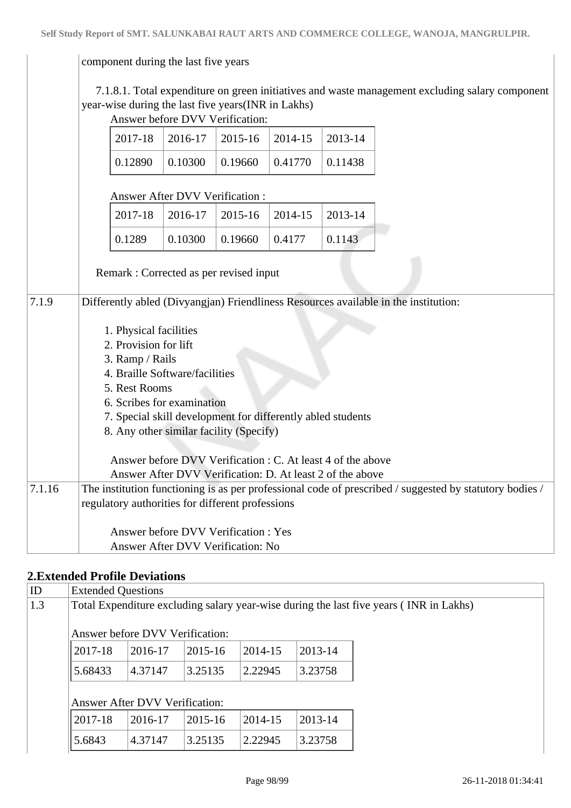#### component during the last five years

 7.1.8.1. Total expenditure on green initiatives and waste management excluding salary component year-wise during the last five years(INR in Lakhs) wer before DVV Verification

|        |                                                                                     | Aliswei deidie D v v verification.                                                                                                                                                                                                                                                                 |         |         |         |                                                                                                         |
|--------|-------------------------------------------------------------------------------------|----------------------------------------------------------------------------------------------------------------------------------------------------------------------------------------------------------------------------------------------------------------------------------------------------|---------|---------|---------|---------------------------------------------------------------------------------------------------------|
|        | 2017-18                                                                             | 2016-17                                                                                                                                                                                                                                                                                            | 2015-16 | 2014-15 | 2013-14 |                                                                                                         |
|        | 0.12890                                                                             | 0.10300                                                                                                                                                                                                                                                                                            | 0.19660 | 0.41770 | 0.11438 |                                                                                                         |
|        |                                                                                     | <b>Answer After DVV Verification:</b>                                                                                                                                                                                                                                                              |         |         |         |                                                                                                         |
|        | 2017-18                                                                             | 2016-17                                                                                                                                                                                                                                                                                            | 2015-16 | 2014-15 | 2013-14 |                                                                                                         |
|        | 0.1289                                                                              | 0.10300                                                                                                                                                                                                                                                                                            | 0.19660 | 0.4177  | 0.1143  |                                                                                                         |
|        | Remark: Corrected as per revised input                                              |                                                                                                                                                                                                                                                                                                    |         |         |         |                                                                                                         |
| 7.1.9  |                                                                                     |                                                                                                                                                                                                                                                                                                    |         |         |         | Differently abled (Divyangjan) Friendliness Resources available in the institution:                     |
| 7.1.16 | 1. Physical facilities<br>2. Provision for lift<br>3. Ramp / Rails<br>5. Rest Rooms | 4. Braille Software/facilities<br>6. Scribes for examination<br>7. Special skill development for differently abled students<br>8. Any other similar facility (Specify)<br>Answer before DVV Verification : C. At least 4 of the above<br>Answer After DVV Verification: D. At least 2 of the above |         |         |         | The institution functioning is as per professional code of prescribed / suggested by statutory bodies / |
|        | regulatory authorities for different professions                                    |                                                                                                                                                                                                                                                                                                    |         |         |         |                                                                                                         |
|        |                                                                                     | Answer before DVV Verification: Yes<br>Answer After DVV Verification: No                                                                                                                                                                                                                           |         |         |         |                                                                                                         |
|        |                                                                                     |                                                                                                                                                                                                                                                                                                    |         |         |         |                                                                                                         |

## **2.Extended Profile Deviations**

| ID  | <b>Extended Questions</b> |                                                                                        |         |         |         |  |  |  |  |  |  |
|-----|---------------------------|----------------------------------------------------------------------------------------|---------|---------|---------|--|--|--|--|--|--|
| 1.3 |                           | Total Expenditure excluding salary year-wise during the last five years (INR in Lakhs) |         |         |         |  |  |  |  |  |  |
|     |                           | Answer before DVV Verification:                                                        |         |         |         |  |  |  |  |  |  |
|     | 2017-18                   | 2016-17                                                                                | 2015-16 | 2014-15 | 2013-14 |  |  |  |  |  |  |
|     | 5.68433                   | 4.37147                                                                                | 3.25135 | 2.22945 | 3.23758 |  |  |  |  |  |  |
|     |                           | <b>Answer After DVV Verification:</b>                                                  |         |         |         |  |  |  |  |  |  |
|     | 2017-18                   | 2016-17                                                                                | 2015-16 | 2014-15 | 2013-14 |  |  |  |  |  |  |
|     | 5.6843                    | 4.37147                                                                                | 3.25135 | 2.22945 | 3.23758 |  |  |  |  |  |  |
|     |                           |                                                                                        |         |         |         |  |  |  |  |  |  |